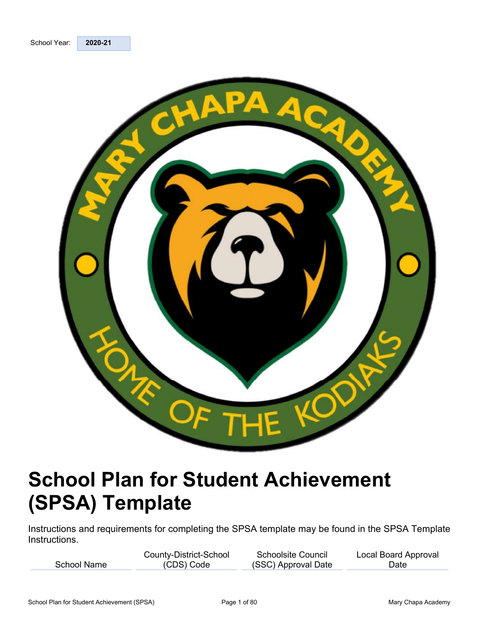

# School Plan for Student Achievement (SPSA) Template

Instructions and requirements for completing the SPSA template may be found in the SPSA Template Instructions.

|             | County-District-School | <b>Schoolsite Council</b> | Local Board Approval |
|-------------|------------------------|---------------------------|----------------------|
| School Name | CDS) Code              | (SSC) Approval Date       | Date                 |
|             |                        |                           |                      |

Date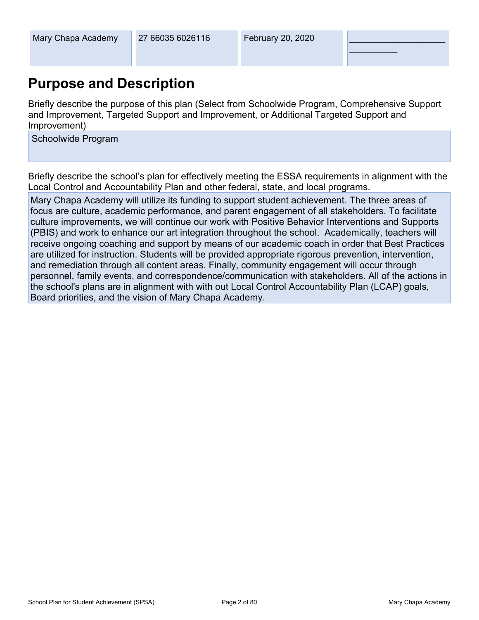$\overline{\phantom{a}}$  . The set of the set of the set of the set of the set of the set of the set of the set of the set of the set of the set of the set of the set of the set of the set of the set of the set of the set of the set o

Mary Chapa Academy<br>
27 66035 6026116<br> **Purpose and Description**<br>
Briefly describe the purpose of this plan (Select from Schoolwide Program, Comprehensive Support<br>
and Improvement, Targeted Support and Improvement, or Addit Mary Chapa Academy<br>
27 66035 6026116<br> **Purpose and Description**<br>
Briefly describe the purpose of this plan (Select from Schoolwide Program, Comprehensive Support<br>
and Improvement, Targeted Support and Improvement, or Addit Improvement)

Schoolwide Program<br>Briefly describe the school's plan for effectively meeting the ESSA requirements in alignment with the Local Control and Accountability Plan and other federal, state, and local programs.

Mary Chapa Academy 27 66035 6026116 February 20, 2020<br>
Purpose and Description<br>
Briefly describe the purpose of this plan (Select from Schoolwide Program, Comprehensive Support<br>
and Improvement, Targeted Support and Improv focus are culture, academic performance, and parent engagement of all stakeholders. To facilitate culture improvements, we will continue our work with Positive Behavior Interventions and Supports (PBIS) and work to enhance our art integration throughout the school. Academically, teachers will receive ongoing coaching and support by means of our academic coach in order that Best Practices are utilized for instruction. Students will be provided appropriate rigorous prevention, intervention, and remediation through all content areas. Finally, community engagement will occur through personnel, family events, and correspondence/communication with stakeholders. All of the actions in the school's plans are in alignment with with out Local Control Accountability Plan (LCAP) goals, Board priorities, and the vision of Mary Chapa Academy.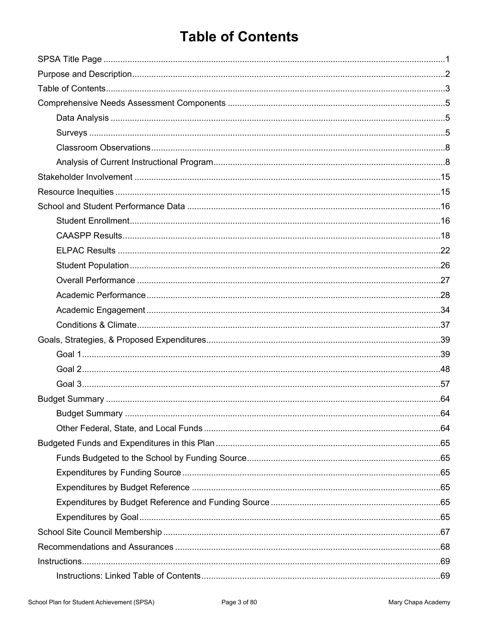# **Table of Contents**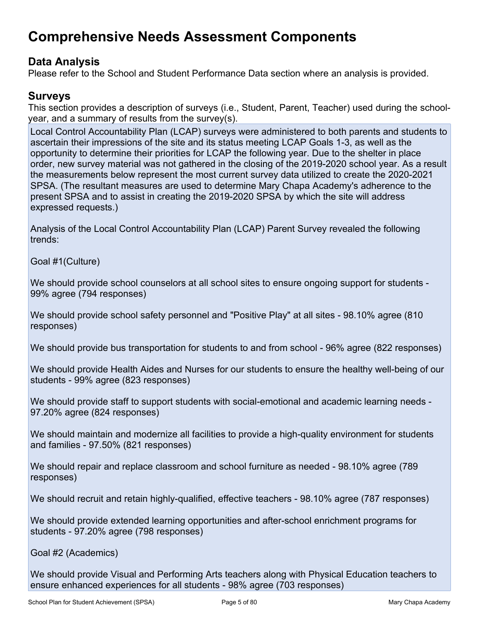# Comprehensive Needs Assessment Components

### Data Analysis

Please refer to the School and Student Performance Data section where an analysis is provided.

### Surveys

This section provides a description of surveys (i.e., Student, Parent, Teacher) used during the schoolyear, and a summary of results from the survey(s).

Local Control Accountability Plan (LCAP) surveys were administered to both parents and students to ascertain their impressions of the site and its status meeting LCAP Goals 1-3, as well as the opportunity to determine their priorities for LCAP the following year. Due to the shelter in place order, new survey material was not gathered in the closing of the 2019-2020 school year. As a result the measurements below represent the most current survey data utilized to create the 2020-2021 SPSA. (The resultant measures are used to determine Mary Chapa Academy's adherence to the present SPSA and to assist in creating the 2019-2020 SPSA by which the site will address expressed requests.)

Analysis of the Local Control Accountability Plan (LCAP) Parent Survey revealed the following trends:

Goal #1(Culture)

We should provide school counselors at all school sites to ensure ongoing support for students - 99% agree (794 responses)

We should provide school safety personnel and "Positive Play" at all sites - 98.10% agree (810 responses)

We should provide bus transportation for students to and from school - 96% agree (822 responses)

We should provide Health Aides and Nurses for our students to ensure the healthy well-being of our students - 99% agree (823 responses)

We should provide staff to support students with social-emotional and academic learning needs - 97.20% agree (824 responses)

We should maintain and modernize all facilities to provide a high-quality environment for students and families - 97.50% (821 responses)

We should repair and replace classroom and school furniture as needed - 98.10% agree (789 responses)

We should recruit and retain highly-qualified, effective teachers - 98.10% agree (787 responses)

We should provide extended learning opportunities and after-school enrichment programs for students - 97.20% agree (798 responses)

Goal #2 (Academics)

We should provide Visual and Performing Arts teachers along with Physical Education teachers to ensure enhanced experiences for all students - 98% agree (703 responses)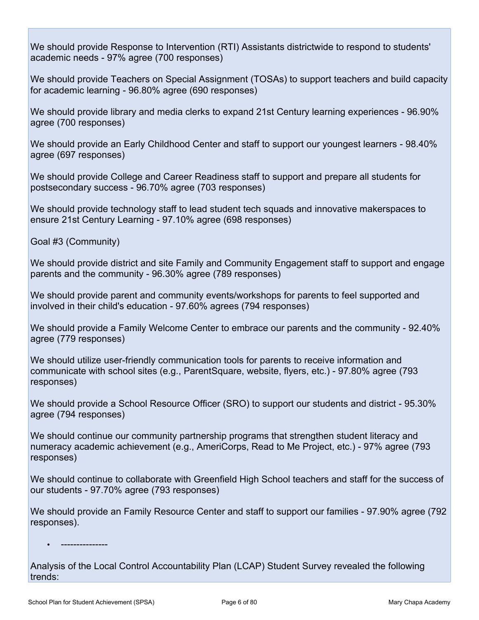We should provide Response to Intervention (RTI) Assistants districtwide to respond to students' academic needs - 97% agree (700 responses)

We should provide Teachers on Special Assignment (TOSAs) to support teachers and build capacity for academic learning - 96.80% agree (690 responses) We should provide Response to Intervention (RTI) Assistants districtwide to respond to students'<br>academic needs - 97% agree (700 responses)<br>We should provide Teachers on Special Assignment (TOSAs) to support teachers and b

agree (700 responses)

We should provide an Early Childhood Center and staff to support our youngest learners - 98.40% agree (697 responses)

We should provide College and Career Readiness staff to support and prepare all students for postsecondary success - 96.70% agree (703 responses)

We should provide technology staff to lead student tech squads and innovative makerspaces to ensure 21st Century Learning - 97.10% agree (698 responses)

Goal #3 (Community)

We should provide district and site Family and Community Engagement staff to support and engage parents and the community - 96.30% agree (789 responses)

We should provide parent and community events/workshops for parents to feel supported and involved in their child's education - 97.60% agrees (794 responses)

We should provide a Family Welcome Center to embrace our parents and the community - 92.40% agree (779 responses)

We should utilize user-friendly communication tools for parents to receive information and communicate with school sites (e.g., ParentSquare, website, flyers, etc.) - 97.80% agree (793 responses)

We should provide a School Resource Officer (SRO) to support our students and district - 95.30% agree (794 responses)

We should continue our community partnership programs that strengthen student literacy and numeracy academic achievement (e.g., AmeriCorps, Read to Me Project, etc.) - 97% agree (793 responses)

We should continue to collaborate with Greenfield High School teachers and staff for the success of our students - 97.70% agree (793 responses)

We should provide an Family Resource Center and staff to support our families - 97.90% agree (792 responses).

Analysis of the Local Control Accountability Plan (LCAP) Student Survey revealed the following trends: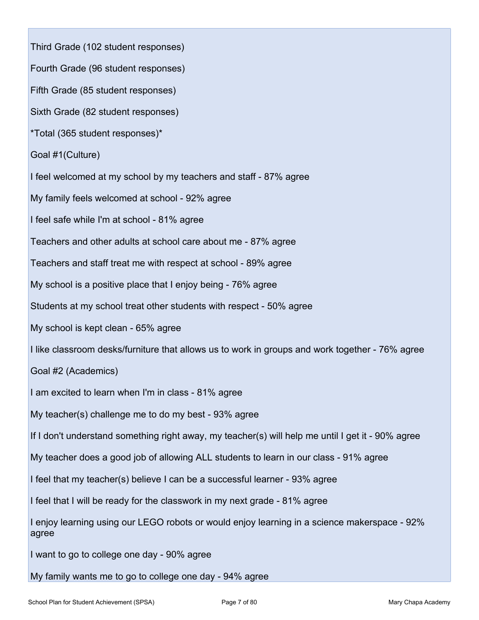Third Grade (102 student responses) Fourth Grade (96 student responses) Fifth Grade (85 student responses) Sixth Grade (82 student responses) \*Total (365 student responses)\* Goal #1(Culture) Third Grade (102 student responses)<br>Fourth Grade (96 student responses)<br>Sixth Grade (82 student responses)<br>\*Total (365 student responses)\*<br>Goal #1(Culture)<br>I feel welcomed at my school by my teachers and staff - 87% agree<br> My family feels welcomed at school - 92% agree I feel safe while I'm at school - 81% agree Teachers and other adults at school care about me - 87% agree Teachers and staff treat me with respect at school - 89% agree My school is a positive place that I enjoy being - 76% agree Students at my school treat other students with respect - 50% agree My school is kept clean - 65% agree I like classroom desks/furniture that allows us to work in groups and work together - 76% agree Goal #2 (Academics) I am excited to learn when I'm in class - 81% agree I feel safe while I'm at school - 81% agree<br>Teachers and other adults at school care about me - 87% agree<br>Teachers and staff treat me with respect at school - 89% agree<br>My school is a positive place that I enjoy being - 76 If I don't understand something right away, my teacher(s) will help me until I get it - 90% agree My teacher does a good job of allowing ALL students to learn in our class - 91% agree I feel that my teacher(s) believe I can be a successful learner - 93% agree I feel that I will be ready for the classwork in my next grade - 81% agree I enjoy learning using our LEGO robots or would enjoy learning in a science makerspace - 92% agree I want to go to college one day - 90% agree My family wants me to go to college one day - 94% agree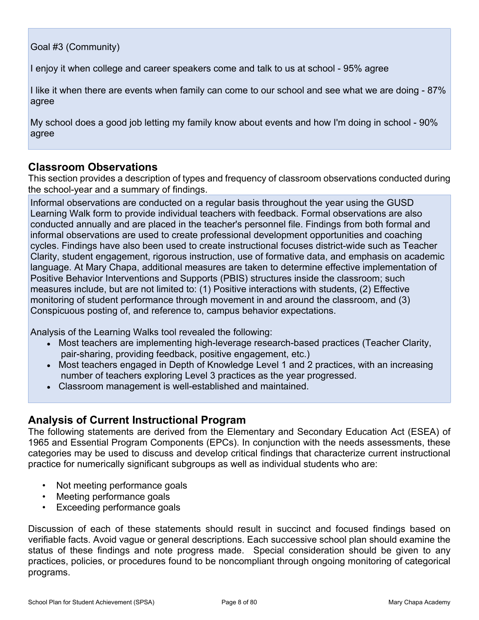Goal #3 (Community)

I enjoy it when college and career speakers come and talk to us at school - 95% agree

I like it when there are events when family can come to our school and see what we are doing - 87% agree

My school does a good job letting my family know about events and how I'm doing in school - 90% agree

### Classroom Observations

This section provides a description of types and frequency of classroom observations conducted during the school-year and a summary of findings.

Informal observations are conducted on a regular basis throughout the year using the GUSD Learning Walk form to provide individual teachers with feedback. Formal observations are also conducted annually and are placed in the teacher's personnel file. Findings from both formal and informal observations are used to create professional development opportunities and coaching cycles. Findings have also been used to create instructional focuses district-wide such as Teacher Clarity, student engagement, rigorous instruction, use of formative data, and emphasis on academic I enjoy it when college and career speakers come and talk to us at school - 95% agree<br>
I like it when there are events when family can come to our school and see what we are doing - 87%<br>
My school does a good job letting m Positive Behavior Interventions and Supports (PBIS) structures inside the classroom; such measures include, but are not limited to: (1) Positive interactions with students, (2) Effective agree<br>My school does a good job letting my family know about events and how I'm doing in school - 90%<br>agree<br>Classroom Observations<br>This section provides a description of types and frequency of classroom observations conduc Conspicuous posting of, and reference to, campus behavior expectations.

Analysis of the Learning Walks tool revealed the following:

- Most teachers are implementing high-leverage research-based practices (Teacher Clarity, pair-sharing, providing feedback, positive engagement, etc.)
- Most teachers engaged in Depth of Knowledge Level 1 and 2 practices, with an increasing number of teachers exploring Level 3 practices as the year progressed.
- Classroom management is well-established and maintained.

### Analysis of Current Instructional Program

The following statements are derived from the Elementary and Secondary Education Act (ESEA) of 1965 and Essential Program Components (EPCs). In conjunction with the needs assessments, these categories may be used to discuss and develop critical findings that characterize current instructional practice for numerically significant subgroups as well as individual students who are:

- Not meeting performance goals
- Meeting performance goals
- Exceeding performance goals

Analysis of the Learning Walks tool revealed the following:<br>
• Most teachers are implementing high-leverage research-based practices (Teacher Clarity,<br>
pair-sharing, providing feedback, positive engagement, etc.)<br>
• Most t verifiable facts. Avoid vague or general descriptions. Each successive school plan should examine the status of these findings and note progress made. Special consideration should be given to any practices, policies, or procedures found to be noncompliant through ongoing monitoring of categorical programs.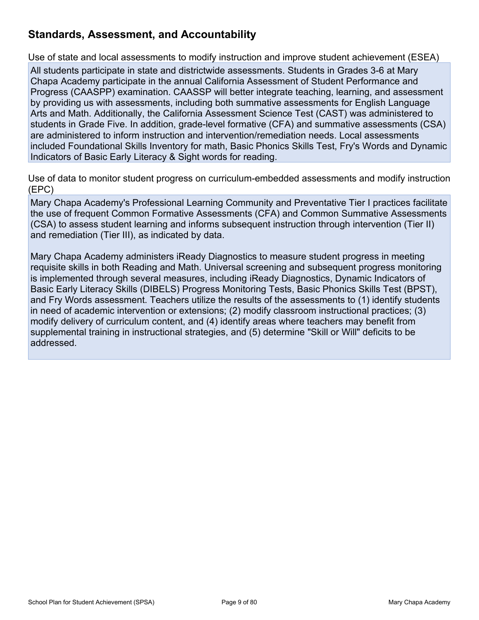## Standards, Assessment, and Accountability

Use of state and local assessments to modify instruction and improve student achievement (ESEA)

All students participate in state and districtwide assessments. Students in Grades 3-6 at Mary Chapa Academy participate in the annual California Assessment of Student Performance and Progress (CAASPP) examination. CAASSP will better integrate teaching, learning, and assessment by providing us with assessments, including both summative assessments for English Language Arts and Math. Additionally, the California Assessment Science Test (CAST) was administered to students in Grade Five. In addition, grade-level formative (CFA) and summative assessments (CSA) are administered to inform instruction and intervention/remediation needs. Local assessments included Foundational Skills Inventory for math, Basic Phonics Skills Test, Fry's Words and Dynamic **Standards, Assessment, and Accountability**<br>Jse of state and local assessments to modify instruction and improve student achievement (ESEA)<br>All students participate in state and districtwide assessments. Students in Grades

Use of data to monitor student progress on curriculum-embedded assessments and modify instruction (EPC)

Mary Chapa Academy's Professional Learning Community and Preventative Tier I practices facilitate the use of frequent Common Formative Assessments (CFA) and Common Summative Assessments (CSA) to assess student learning and informs subsequent instruction through intervention (Tier II) and remediation (Tier III), as indicated by data.

Mary Chapa Academy administers iReady Diagnostics to measure student progress in meeting requisite skills in both Reading and Math. Universal screening and subsequent progress monitoring is implemented through several measures, including iReady Diagnostics, Dynamic Indicators of Basic Early Literacy Skills (DIBELS) Progress Monitoring Tests, Basic Phonics Skills Test (BPST), and Fry Words assessment. Teachers utilize the results of the assessments to (1) identify students in need of academic intervention or extensions; (2) modify classroom instructional practices; (3) modify delivery of curriculum content, and (4) identify areas where teachers may benefit from supplemental training in instructional strategies, and (5) determine "Skill or Will" deficits to be addressed.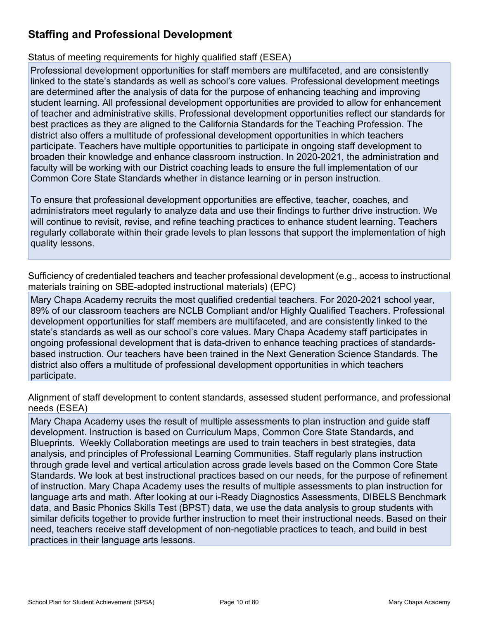# Staffing and Professional Development

#### Status of meeting requirements for highly qualified staff (ESEA)

Professional development opportunities for staff members are multifaceted, and are consistently linked to the state's standards as well as school's core values. Professional development meetings are determined after the analysis of data for the purpose of enhancing teaching and improving student learning. All professional development opportunities are provided to allow for enhancement of teacher and administrative skills. Professional development opportunities reflect our standards for best practices as they are aligned to the California Standards for the Teaching Profession. The district also offers a multitude of professional development opportunities in which teachers participate. Teachers have multiple opportunities to participate in ongoing staff development to broaden their knowledge and enhance classroom instruction. In 2020-2021, the administration and faculty will be working with our District coaching leads to ensure the full implementation of our Common Core State Standards whether in distance learning or in person instruction.

To ensure that professional development opportunities are effective, teacher, coaches, and administrators meet regularly to analyze data and use their findings to further drive instruction. We will continue to revisit, revise, and refine teaching practices to enhance student learning. Teachers regularly collaborate within their grade levels to plan lessons that support the implementation of high quality lessons.

Sufficiency of credentialed teachers and teacher professional development (e.g., access to instructional materials training on SBE-adopted instructional materials) (EPC)

Mary Chapa Academy recruits the most qualified credential teachers. For 2020-2021 school year, 89% of our classroom teachers are NCLB Compliant and/or Highly Qualified Teachers. Professional development opportunities for staff members are multifaceted, and are consistently linked to the state's standards as well as our school's core values. Mary Chapa Academy staff participates in ongoing professional development that is data-driven to enhance teaching practices of standardsbased instruction. Our teachers have been trained in the Next Generation Science Standards. The district also offers a multitude of professional development opportunities in which teachers participate.

Alignment of staff development to content standards, assessed student performance, and professional needs (ESEA)

Mary Chapa Academy uses the result of multiple assessments to plan instruction and guide staff development. Instruction is based on Curriculum Maps, Common Core State Standards, and Blueprints. Weekly Collaboration meetings are used to train teachers in best strategies, data analysis, and principles of Professional Learning Communities. Staff regularly plans instruction through grade level and vertical articulation across grade levels based on the Common Core State Standards. We look at best instructional practices based on our needs, for the purpose of refinement of instruction. Mary Chapa Academy uses the results of multiple assessments to plan instruction for language arts and math. After looking at our i-Ready Diagnostics Assessments, DIBELS Benchmark data, and Basic Phonics Skills Test (BPST) data, we use the data analysis to group students with similar deficits together to provide further instruction to meet their instructional needs. Based on their need, teachers receive staff development of non-negotiable practices to teach, and build in best practices in their language arts lessons.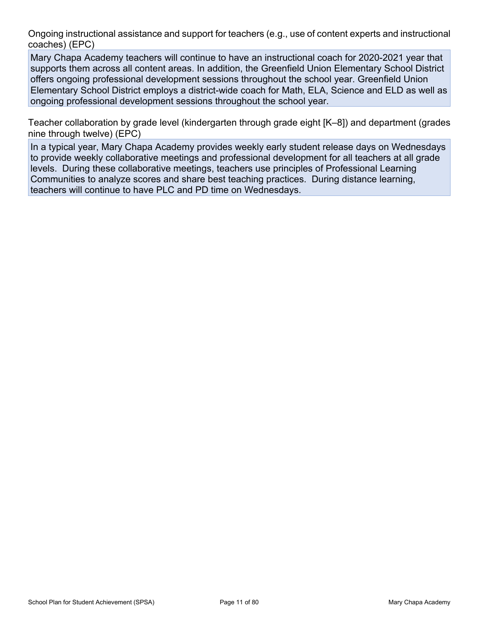Ongoing instructional assistance and support for teachers (e.g., use of content experts and instructional coaches) (EPC)

Mary Chapa Academy teachers will continue to have an instructional coach for 2020-2021 year that supports them across all content areas. In addition, the Greenfield Union Elementary School District offers ongoing professional development sessions throughout the school year. Greenfield Union Elementary School District employs a district-wide coach for Math, ELA, Science and ELD as well as Drigoing instructional assistance and support for teachers (e.g., use of content experts and instructional coaches) (EPC)<br>Mary Chapa Academy teachers will continue to have an instructional coach for 2020-2021 year that<br>sup

Teacher collaboration by grade level (kindergarten through grade eight [K–8]) and department (grades nine through twelve) (EPC)

In a typical year, Mary Chapa Academy provides weekly early student release days on Wednesdays to provide weekly collaborative meetings and professional development for all teachers at all grade levels. During these collaborative meetings, teachers use principles of Professional Learning Communities to analyze scores and share best teaching practices. During distance learning, teachers will continue to have PLC and PD time on Wednesdays.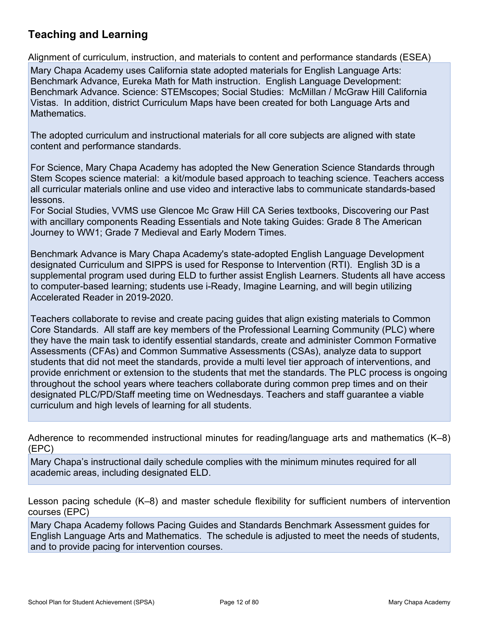## Teaching and Learning

**Teaching and Learning**<br>Alignment of curriculum, instruction, and materials to content and performance standards (ESEA)<br>Mary Chapa Academy uses California state adopted materials for English Language Arts:<br>Benchmark Advanc Mary Chapa Academy uses California state adopted materials for English Language Arts: Benchmark Advance, Eureka Math for Math instruction. English Language Development: Benchmark Advance. Science: STEMscopes; Social Studies: McMillan / McGraw Hill California Vistas. In addition, district Curriculum Maps have been created for both Language Arts and Mathematics.

The adopted curriculum and instructional materials for all core subjects are aligned with state content and performance standards.

For Science, Mary Chapa Academy has adopted the New Generation Science Standards through Stem Scopes science material: a kit/module based approach to teaching science. Teachers access all curricular materials online and use video and interactive labs to communicate standards-based lessons.

For Social Studies, VVMS use Glencoe Mc Graw Hill CA Series textbooks, Discovering our Past with ancillary components Reading Essentials and Note taking Guides: Grade 8 The American Journey to WW1; Grade 7 Medieval and Early Modern Times.

Benchmark Advance is Mary Chapa Academy's state-adopted English Language Development designated Curriculum and SIPPS is used for Response to Intervention (RTI). English 3D is a supplemental program used during ELD to further assist English Learners. Students all have access Benchmark Advance, Lueek want for warm instruction. Enginal canguage Development<br>
Benchmark Advance. Science: STEMscopes: Social Studies: McMillan / McGraw Hill California<br>
Mathematics.<br>
Mathematics.<br>
The adopted curriculu Accelerated Reader in 2019-2020.

manienalis.<br>The adopted curriculum and instructional materials for all core subjects are aligned with state<br>Content and performance standards.<br>For Science, Mary Chapa Academy has adopted the New Generation Science. Teacher Core Standards. All staff are key members of the Professional Learning Community (PLC) where they have the main task to identify essential standards, create and administer Common Formative Assessments (CFAs) and Common Summative Assessments (CSAs), analyze data to support For Science, Mary Chapa Academy has adopted the New Generation Science Standards through<br>Stem Scopes science material: a kit/module based approach to teaching science. Teachers access<br>all curicular materials online and use For Science, wary Unique Rusalemy has a culpted the New Gerelaton Science Standards through<br>The Science materials online and use video and interactive labs to communicate standards-based<br>also communicate standards. Nextens throughout the school years where teachers collaborate during common prep times and on their designated PLC/PD/Staff meeting time on Wednesdays. Teachers and staff guarantee a viable curriculum and high levels of learning for all students.

Adherence to recommended instructional minutes for reading/language arts and mathematics (K–8) (EPC)

Mary Chapa's instructional daily schedule complies with the minimum minutes required for all academic areas, including designated ELD.

Lesson pacing schedule (K–8) and master schedule flexibility for sufficient numbers of intervention courses (EPC)

Mary Chapa Academy follows Pacing Guides and Standards Benchmark Assessment guides for English Language Arts and Mathematics. The schedule is adjusted to meet the needs of students, and to provide pacing for intervention courses.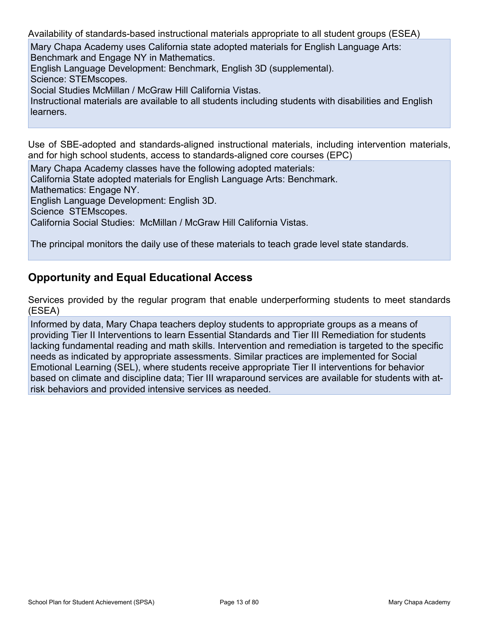Availability of standards-based instructional materials appropriate to all student groups (ESEA)

Mary Chapa Academy uses California state adopted materials for English Language Arts: Benchmark and Engage NY in Mathematics.

English Language Development: Benchmark, English 3D (supplemental).

Science: STEMscopes.

Social Studies McMillan / McGraw Hill California Vistas.

Notaliability of standards-based instructional materials appropriate to all student groups (ESEA)<br>Mary Chapa Academy uses California state adopted materials for English Language Arts:<br>Benchmark and Engage NY in Mathematics learners.

Use of SBE-adopted and standards-aligned instructional materials, including intervention materials, and for high school students, access to standards-aligned core courses (EPC)

Mary Chapa Academy classes have the following adopted materials:

California State adopted materials for English Language Arts: Benchmark.

Mathematics: Engage NY.

English Language Development: English 3D.

Science STEMscopes.

California Social Studies: McMillan / McGraw Hill California Vistas.

The principal monitors the daily use of these materials to teach grade level state standards.

### Opportunity and Equal Educational Access

Services provided by the regular program that enable underperforming students to meet standards (ESEA)

Informed by data, Mary Chapa teachers deploy students to appropriate groups as a means of providing Tier II Interventions to learn Essential Standards and Tier III Remediation for students lacking fundamental reading and math skills. Intervention and remediation is targeted to the specific needs as indicated by appropriate assessments. Similar practices are implemented for Social Emotional Learning (SEL), where students receive appropriate Tier II interventions for behavior based on climate and discipline data; Tier III wraparound services are available for students with atrisk behaviors and provided intensive services as needed.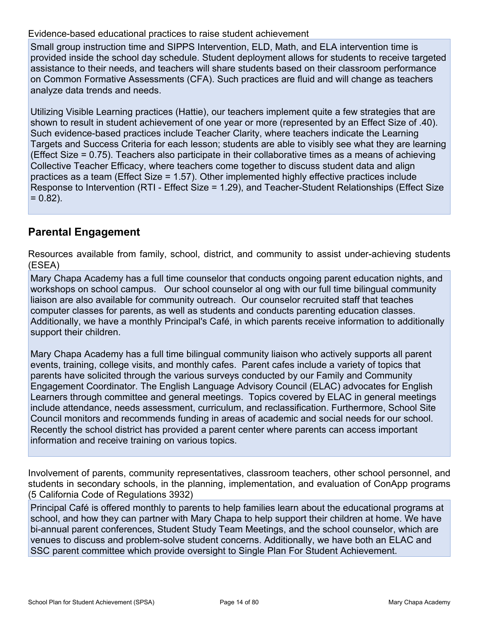#### Evidence-based educational practices to raise student achievement

Small group instruction time and SIPPS Intervention, ELD, Math, and ELA intervention time is provided inside the school day schedule. Student deployment allows for students to receive targeted assistance to their needs, and teachers will share students based on their classroom performance on Common Formative Assessments (CFA). Such practices are fluid and will change as teachers analyze data trends and needs.

Evidence-based educational practices to raise student achievement<br>Small group instruction time and SIPPS Intervention, ELD, Math, and ELA intervention time is<br>provided inside the school day schedule. Student deployment all shown to result in student achievement of one year or more (represented by an Effect Size of .40). Such evidence-based practices include Teacher Clarity, where teachers indicate the Learning Targets and Success Criteria for each lesson; students are able to visibly see what they are learning (Effect Size = 0.75). Teachers also participate in their collaborative times as a means of achieving Collective Teacher Efficacy, where teachers come together to discuss student data and align practices as a team (Effect Size = 1.57). Other implemented highly effective practices include Response to Intervention (RTI - Effect Size = 1.29), and Teacher-Student Relationships (Effect Size  $= 0.82$ ).

### Parental Engagement

Resources available from family, school, district, and community to assist under-achieving students (ESEA)

Mary Chapa Academy has a full time counselor that conducts ongoing parent education nights, and workshops on school campus. Our school counselor al ong with our full time bilingual community liaison are also available for community outreach. Our counselor recruited staff that teaches computer classes for parents, as well as students and conducts parenting education classes. Additionally, we have a monthly Principal's Café, in which parents receive information to additionally support their children.

Mary Chapa Academy has a full time bilingual community liaison who actively supports all parent events, training, college visits, and monthly cafes. Parent cafes include a variety of topics that parents have solicited through the various surveys conducted by our Family and Community Engagement Coordinator. The English Language Advisory Council (ELAC) advocates for English Learners through committee and general meetings. Topics covered by ELAC in general meetings include attendance, needs assessment, curriculum, and reclassification. Furthermore, School Site Council monitors and recommends funding in areas of academic and social needs for our school. Recently the school district has provided a parent center where parents can access important information and receive training on various topics.

Involvement of parents, community representatives, classroom teachers, other school personnel, and students in secondary schools, in the planning, implementation, and evaluation of ConApp programs (5 California Code of Regulations 3932)

Principal Café is offered monthly to parents to help families learn about the educational programs at school, and how they can partner with Mary Chapa to help support their children at home. We have bi-annual parent conferences, Student Study Team Meetings, and the school counselor, which are venues to discuss and problem-solve student concerns. Additionally, we have both an ELAC and SSC parent committee which provide oversight to Single Plan For Student Achievement.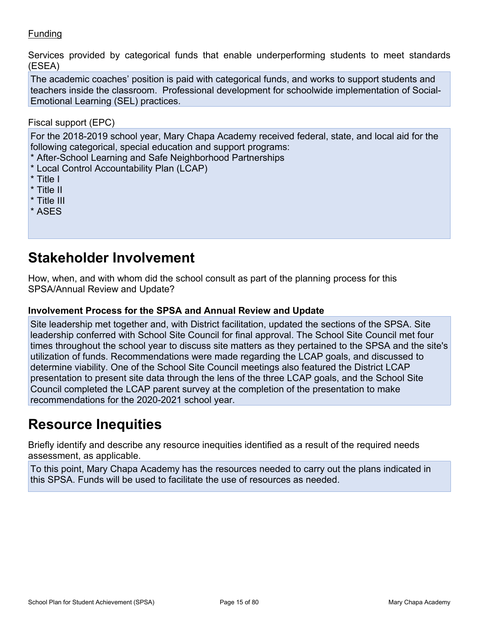### Funding

Services provided by categorical funds that enable underperforming students to meet standards (ESEA)

The academic coaches' position is paid with categorical funds, and works to support students and Funding<br>The academic coaches' position is paid with categorical funds, and works to support students and<br>The academic coaches' position is paid with categorical funds, and works to support students and<br>teachers inside the Emotional Learning (SEL) practices.

Fiscal support (EPC)

For the 2018-2019 school year, Mary Chapa Academy received federal, state, and local aid for the following categorical, special education and support programs:

- \* After-School Learning and Safe Neighborhood Partnerships
- \* Local Control Accountability Plan (LCAP)
- \* Title I
- \* Title II
- \* Title III
- \* ASES

# Stakeholder Involvement

How, when, and with whom did the school consult as part of the planning process for this SPSA/Annual Review and Update?

#### Involvement Process for the SPSA and Annual Review and Update

Site leadership met together and, with District facilitation, updated the sections of the SPSA. Site leadership conferred with School Site Council for final approval. The School Site Council met four following categorical, special education and support programs:<br>
\* After-School Learning and Safe Neighborhood Partnerships<br>
\* Title II<br>
\* Title II<br>
\* Title II<br>
\* Title II<br>
\* Title II<br>
\* Title II<br>
\* Title II<br>
Stakeholder In utilization of funds. Recommendations were made regarding the LCAP goals, and discussed to determine viability. One of the School Site Council meetings also featured the District LCAP presentation to present site data through the lens of the three LCAP goals, and the School Site Council completed the LCAP parent survey at the completion of the presentation to make recommendations for the 2020-2021 school year. **Stakeholder Involvement**<br>
How, when, and with whom did the school consult as part of the planning process for this<br>
SPSA/Annual Review and Update?<br>
Involvement Process for the SPSA and Annual Review and Update<br>
Site leade

# Resource Inequities

assessment, as applicable.

To this point, Mary Chapa Academy has the resources needed to carry out the plans indicated in this SPSA. Funds will be used to facilitate the use of resources as needed.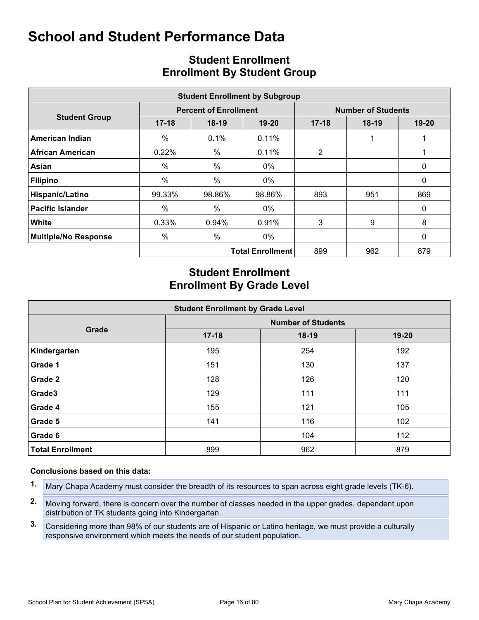|                         | <b>Student Enrollment by Subgroup</b> |                              |                           |                |         |           |  |  |  |  |  |  |
|-------------------------|---------------------------------------|------------------------------|---------------------------|----------------|---------|-----------|--|--|--|--|--|--|
|                         |                                       | <b>Percent of Enrollment</b> | <b>Number of Students</b> |                |         |           |  |  |  |  |  |  |
| <b>Student Group</b>    | $17 - 18$                             | $18-19$                      | $19 - 20$                 | $17 - 18$      | $18-19$ | $19 - 20$ |  |  |  |  |  |  |
| American Indian         | $\%$                                  | 0.1%                         | 0.11%                     |                |         |           |  |  |  |  |  |  |
| <b>African American</b> | 0.22%                                 | $\%$                         | $0.11\%$                  | $\overline{2}$ |         |           |  |  |  |  |  |  |
| Asian                   | $\%$                                  | $\%$                         | 0%                        |                |         | 0         |  |  |  |  |  |  |
| Filipino                | $\%$                                  | $\%$                         | 0%                        |                |         | 0         |  |  |  |  |  |  |
| Hispanic/Latino         | 99.33%                                | 98.86%                       | 98.86%                    | 893            | 951     | 869       |  |  |  |  |  |  |
| <b>Pacific Islander</b> | $\%$                                  | $\%$                         | 0%                        |                |         | 0         |  |  |  |  |  |  |
| White                   | 0.33%                                 | 0.94%                        | 0.91%                     | 3              | 9       | 8         |  |  |  |  |  |  |
| Multiple/No Response    | %                                     | $\%$                         | 0%                        |                |         | 0         |  |  |  |  |  |  |
|                         |                                       |                              | <b>Total Enrollment</b>   | 899            | 962     | 879       |  |  |  |  |  |  |

## Student Enrollment Enrollment By Student Group

# Student Enrollment Enrollment By Grade Level

|                         | 99.33% | 98.86%                                                        | 98.86%                  | 893                       | 951 | 869         |
|-------------------------|--------|---------------------------------------------------------------|-------------------------|---------------------------|-----|-------------|
| <b>Pacific Islander</b> | $\%$   | $\%$                                                          | $0\%$                   |                           |     | $\mathbf 0$ |
| White                   | 0.33%  | 0.94%                                                         | 0.91%                   | 3                         | 9   | 8           |
| Multiple/No Response    | %      | $\%$                                                          | 0%                      |                           |     | 0           |
|                         |        |                                                               | <b>Total Enrollment</b> | 899                       | 962 | 879         |
|                         |        | <b>Student Enrollment</b><br><b>Enrollment By Grade Level</b> |                         |                           |     |             |
|                         |        | <b>Student Enrollment by Grade Level</b>                      |                         | <b>Number of Students</b> |     |             |
| Grade                   |        | $17 - 18$                                                     |                         | $18-19$                   |     | $19 - 20$   |
| Kindergarten            |        | 195                                                           |                         | 254                       |     | 192         |
| Grade 1                 |        | 151                                                           |                         | 130                       |     | 137         |
| <b>Grade 2</b>          |        | 128                                                           |                         | 126                       |     | 120         |
| Grade3                  |        | 129                                                           |                         | 111                       |     | 111         |
|                         |        | 155                                                           |                         | 121                       |     | 105         |
| Grade 4                 |        |                                                               |                         |                           |     |             |
| Grade 5                 |        | 141                                                           |                         | 116                       |     | 102         |
| Grade 6                 |        |                                                               |                         | 104                       |     | 112         |

#### Conclusions based on this data:

- 1. Mary Chapa Academy must consider the breadth of its resources to span across eight grade levels (TK-6).
- 2. Moving forward, there is concern over the number of classes needed in the upper grades, dependent upon distribution of TK students going into Kindergarten.
- 3. Considering more than 98% of our students are of Hispanic or Latino heritage, we must provide a culturally responsive environment which meets the needs of our student population.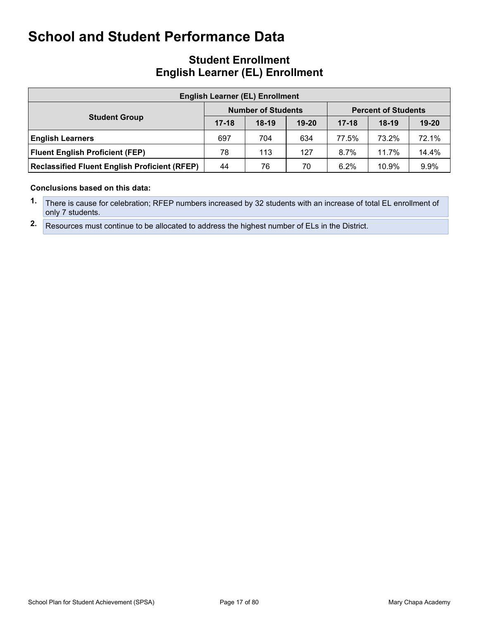# Student Enrollment<br>English Learner (EL) Enrollment

|                                                                                                                 |           | <b>Student Enrollment</b>              |       |           |                            |           |
|-----------------------------------------------------------------------------------------------------------------|-----------|----------------------------------------|-------|-----------|----------------------------|-----------|
| <b>English Learner (EL) Enrollment</b>                                                                          |           |                                        |       |           |                            |           |
|                                                                                                                 |           | <b>English Learner (EL) Enrollment</b> |       |           |                            |           |
|                                                                                                                 |           | <b>Number of Students</b>              |       |           | <b>Percent of Students</b> |           |
| <b>Student Group</b>                                                                                            | $17 - 18$ | $18-19$                                | 19-20 | $17 - 18$ | $18-19$                    | $19 - 20$ |
|                                                                                                                 | 697       | 704                                    | 634   | 77.5%     | 73.2%                      | 72.1%     |
| <b>School and Student Performance Data</b><br><b>English Learners</b><br><b>Fluent English Proficient (FEP)</b> | 78        | 113                                    | 127   | 8.7%      | 11.7%                      | 14.4%     |

#### Conclusions based on this data:

- 1. There is cause for celebration; RFEP numbers increased by 32 students with an increase of total EL enrollment of only 7 students.
- 2. Resources must continue to be allocated to address the highest number of ELs in the District.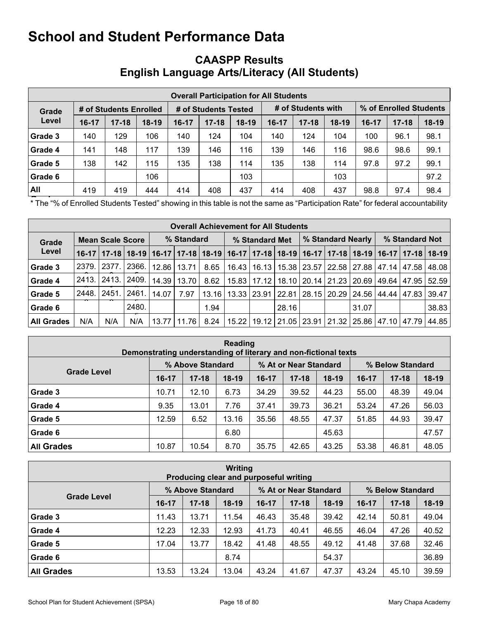## CAASPP Results English Language Arts/Literacy (All Students)

|         | <b>Overall Participation for All Students</b> |           |         |           |                      |         |       |                    |         |       |                        |         |  |  |
|---------|-----------------------------------------------|-----------|---------|-----------|----------------------|---------|-------|--------------------|---------|-------|------------------------|---------|--|--|
| Grade   | # of Students Enrolled                        |           |         |           | # of Students Tested |         |       | # of Students with |         |       | % of Enrolled Students |         |  |  |
| Level   | $16 - 17$                                     | $17 - 18$ | $18-19$ | $16 - 17$ | $17 - 18$            | $18-19$ | 16-17 | $17 - 18$          | $18-19$ | 16-17 | $17 - 18$              | $18-19$ |  |  |
| Grade 3 | 140                                           | 129       | 106     | 140       | 124                  | 104     | 140   | 124                | 104     | 100   | 96.1                   | 98.1    |  |  |
| Grade 4 | 141                                           | 148       | 117     | 139       | 146                  | 116     | 139   | 146                | 116     | 98.6  | 98.6                   | 99.1    |  |  |
| Grade 5 | 138                                           | 142       | 115     | 135       | 138                  | 114     | 135   | 138                | 114     | 97.8  | 97.2                   | 99.1    |  |  |
| Grade 6 |                                               |           | 106     |           |                      | 103     |       |                    | 103     |       |                        | 97.2    |  |  |
| All     | 419                                           | 419       | 444     | 414       | 408                  | 437     | 414   | 408                | 437     | 98.8  | 97.4                   | 98.4    |  |  |

The "% of Enrolled Students Tested" showing in this table is not the same as "Participation Rate" for federal accountability

|                | <b>Overall Achievement for All Students</b> |                   |       |                                                                                                                       |               |       |                |  |       |  |                                                                       |       |  |                |       |  |
|----------------|---------------------------------------------|-------------------|-------|-----------------------------------------------------------------------------------------------------------------------|---------------|-------|----------------|--|-------|--|-----------------------------------------------------------------------|-------|--|----------------|-------|--|
| Grade          | <b>Mean Scale Score</b>                     |                   |       |                                                                                                                       | % Standard    |       | % Standard Met |  |       |  | % Standard Nearly                                                     |       |  | % Standard Not |       |  |
| Level          |                                             |                   |       | 16-17   17-18   18-19   16-17   17-18   18-19   16-17   17-18   18-19   16-17   17-18   18-19   16-17   17-18   18-19 |               |       |                |  |       |  |                                                                       |       |  |                |       |  |
| <b>Grade 3</b> |                                             | 2379. 2377. 2366. |       |                                                                                                                       | 12.86   13.71 | 8.65  |                |  |       |  | 16.43   16.13   15.38   23.57   22.58   27.88   47.14   47.58   48.08 |       |  |                |       |  |
| Grade 4        |                                             | 2413. 2413. 2409. |       |                                                                                                                       | 14.39   13.70 | 8.62  |                |  |       |  | 15.83   17.12   18.10   20.14   21.23   20.69   49.64   47.95   52.59 |       |  |                |       |  |
| Grade 5        | 2448. 2451                                  |                   | ∫2461 | 14.07                                                                                                                 | 7.97          | 13.16 |                |  |       |  | 13.33   23.91   22.81   28.15   20.29   24.56   44.44   47.83   39.47 |       |  |                |       |  |
| Grade 6        |                                             |                   | 2480. |                                                                                                                       |               | 1.94  |                |  | 28.16 |  |                                                                       | 31.07 |  |                | 38.83 |  |
| ∣All Grades    | N/A                                         | N/A               | N/A   |                                                                                                                       | 13.77   11.76 | 8.24  |                |  |       |  | 15.22   19.12   21.05   23.91   21.32   25.86   47.10   47.79   44.85 |       |  |                |       |  |

| <b>Reading</b><br>Demonstrating understanding of literary and non-fictional texts |       |                  |         |           |                       |         |           |                  |         |  |  |
|-----------------------------------------------------------------------------------|-------|------------------|---------|-----------|-----------------------|---------|-----------|------------------|---------|--|--|
|                                                                                   |       | % Above Standard |         |           | % At or Near Standard |         |           | % Below Standard |         |  |  |
| <b>Grade Level</b>                                                                | 16-17 | $17 - 18$        | $18-19$ | $16 - 17$ | $17 - 18$             | $18-19$ | $16 - 17$ | $17 - 18$        | $18-19$ |  |  |
| Grade 3                                                                           | 10.71 | 12.10            | 6.73    | 34.29     | 39.52                 | 44.23   | 55.00     | 48.39            | 49.04   |  |  |
| Grade 4                                                                           | 9.35  | 13.01            | 7.76    | 37.41     | 39.73                 | 36.21   | 53.24     | 47.26            | 56.03   |  |  |
| Grade 5                                                                           | 12.59 | 6.52             | 13.16   | 35.56     | 48.55                 | 47.37   | 51.85     | 44.93            | 39.47   |  |  |
| Grade 6                                                                           |       |                  | 6.80    |           |                       | 45.63   |           |                  | 47.57   |  |  |
| <b>All Grades</b>                                                                 | 10.87 | 10.54            | 8.70    | 35.75     | 42.65                 | 43.25   | 53.38     | 46.81            | 48.05   |  |  |

| <b>Writing</b><br>Producing clear and purposeful writing |           |                  |         |         |                       |         |         |                  |         |  |  |
|----------------------------------------------------------|-----------|------------------|---------|---------|-----------------------|---------|---------|------------------|---------|--|--|
|                                                          |           | % Above Standard |         |         | % At or Near Standard |         |         | % Below Standard |         |  |  |
| <b>Grade Level</b>                                       | $16 - 17$ | $17 - 18$        | $18-19$ | $16-17$ | $17 - 18$             | $18-19$ | $16-17$ | $17 - 18$        | $18-19$ |  |  |
| Grade 3                                                  | 11.43     | 13.71            | 11.54   | 46.43   | 35.48                 | 39.42   | 42.14   | 50.81            | 49.04   |  |  |
| Grade 4                                                  | 12.23     | 12.33            | 12.93   | 41.73   | 40.41                 | 46.55   | 46.04   | 47.26            | 40.52   |  |  |
| Grade 5                                                  | 17.04     | 13.77            | 18.42   | 41.48   | 48.55                 | 49.12   | 41.48   | 37.68            | 32.46   |  |  |
| Grade 6                                                  |           |                  | 8.74    |         |                       | 54.37   |         |                  | 36.89   |  |  |
| <b>All Grades</b>                                        | 13.53     | 13.24            | 13.04   | 43.24   | 41.67                 | 47.37   | 43.24   | 45.10            | 39.59   |  |  |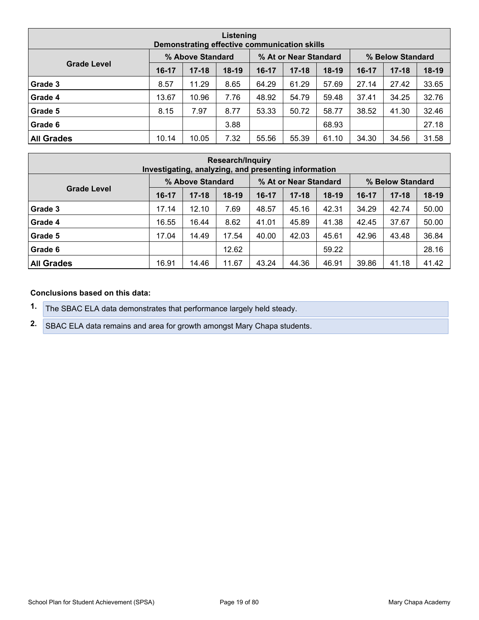| Listening<br>Demonstrating effective communication skills |       |                  |         |         |                       |         |         |                  |         |  |  |
|-----------------------------------------------------------|-------|------------------|---------|---------|-----------------------|---------|---------|------------------|---------|--|--|
|                                                           |       | % Above Standard |         |         | % At or Near Standard |         |         | % Below Standard |         |  |  |
| <b>Grade Level</b>                                        | 16-17 | $17 - 18$        | $18-19$ | $16-17$ | $17 - 18$             | $18-19$ | $16-17$ | $17 - 18$        | $18-19$ |  |  |
| Grade 3                                                   | 8.57  | 11.29            | 8.65    | 64.29   | 61.29                 | 57.69   | 27.14   | 27.42            | 33.65   |  |  |
| Grade 4                                                   | 13.67 | 10.96            | 7.76    | 48.92   | 54.79                 | 59.48   | 37.41   | 34.25            | 32.76   |  |  |
| Grade 5                                                   | 8.15  | 7.97             | 8.77    | 53.33   | 50.72                 | 58.77   | 38.52   | 41.30            | 32.46   |  |  |
| Grade 6                                                   |       |                  | 3.88    |         |                       | 68.93   |         |                  | 27.18   |  |  |
| <b>All Grades</b>                                         | 10.14 | 10.05            | 7.32    | 55.56   | 55.39                 | 61.10   | 34.30   | 34.56            | 31.58   |  |  |

| <b>Research/Inquiry</b><br>Investigating, analyzing, and presenting information |       |                  |         |         |                       |         |         |                  |         |  |  |
|---------------------------------------------------------------------------------|-------|------------------|---------|---------|-----------------------|---------|---------|------------------|---------|--|--|
|                                                                                 |       | % Above Standard |         |         | % At or Near Standard |         |         | % Below Standard |         |  |  |
| <b>Grade Level</b>                                                              | 16-17 | $17 - 18$        | $18-19$ | $16-17$ | $17 - 18$             | $18-19$ | $16-17$ | $17 - 18$        | $18-19$ |  |  |
| Grade 3                                                                         | 17.14 | 12.10            | 7.69    | 48.57   | 45.16                 | 42.31   | 34.29   | 42.74            | 50.00   |  |  |
| Grade 4                                                                         | 16.55 | 16.44            | 8.62    | 41.01   | 45.89                 | 41.38   | 42.45   | 37.67            | 50.00   |  |  |
| Grade 5                                                                         | 17.04 | 14.49            | 17.54   | 40.00   | 42.03                 | 45.61   | 42.96   | 43.48            | 36.84   |  |  |
| Grade 6                                                                         |       |                  | 12.62   |         |                       | 59.22   |         |                  | 28.16   |  |  |
| <b>All Grades</b>                                                               | 16.91 | 14.46            | 11.67   | 43.24   | 44.36                 | 46.91   | 39.86   | 41.18            | 41.42   |  |  |

#### Conclusions based on this data:

1. The SBAC ELA data demonstrates that performance largely held steady.

2. SBAC ELA data remains and area for growth amongst Mary Chapa students.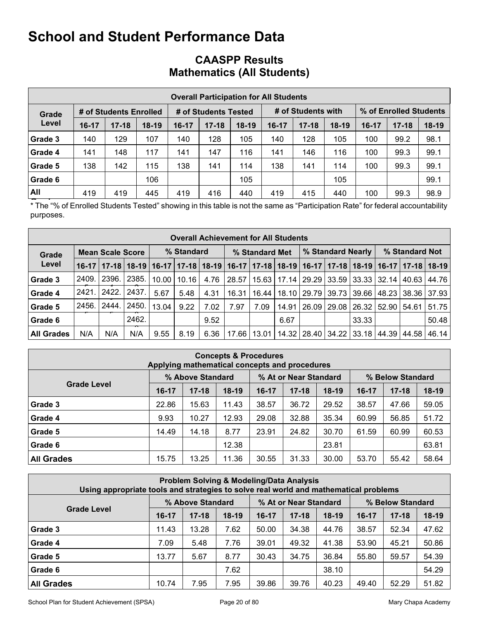|         |         |                        |         |           | <b>Overall Participation for All Students</b> |         |           |                    |         |       |                        |         |
|---------|---------|------------------------|---------|-----------|-----------------------------------------------|---------|-----------|--------------------|---------|-------|------------------------|---------|
| Grade   |         | # of Students Enrolled |         |           | # of Students Tested                          |         |           | # of Students with |         |       | % of Enrolled Students |         |
| Level   | $16-17$ | $17 - 18$              | $18-19$ | $16 - 17$ | $17 - 18$                                     | $18-19$ | $16 - 17$ | $17 - 18$          | $18-19$ | 16-17 | $17 - 18$              | $18-19$ |
| Grade 3 | 140     | 129                    | 107     | 140       | 128                                           | 105     | 140       | 128                | 105     | 100   | 99.2                   | 98.1    |
| Grade 4 | 141     | 148                    | 117     | 141       | 147                                           | 116     | 141       | 146                | 116     | 100   | 99.3                   | 99.1    |
| Grade 5 | 138     | 142                    | 115     | 138       | 141                                           | 114     | 138       | 141                | 114     | 100   | 99.3                   | 99.1    |
| Grade 6 |         |                        | 106     |           |                                               | 105     |           |                    | 105     |       |                        | 99.1    |
| All     | 419     | 419                    | 445     | 419       | 416                                           | 440     | 419       | 415                | 440     | 100   | 99.3                   | 98.9    |

### CAASPP Results Mathematics (All Students)

The "% of Enrolled Students Tested" showing in this table is not the same as "Participation Rate" for federal accountability purposes.

|                |     |                         |       |            |                        |      | <b>Overall Achievement for All Students</b>                                                                   |       |       |                   |  |       |                                                       |  |       |
|----------------|-----|-------------------------|-------|------------|------------------------|------|---------------------------------------------------------------------------------------------------------------|-------|-------|-------------------|--|-------|-------------------------------------------------------|--|-------|
| Grade          |     | <b>Mean Scale Score</b> |       | % Standard |                        |      | % Standard Met                                                                                                |       |       | % Standard Nearly |  |       | % Standard Not                                        |  |       |
| Level          |     |                         |       |            |                        |      | 16-17   17-18   18-19   16-17   17-18   18-19   16-17   17-18   18-19   16-17   17-18   16-17   17-18   18-19 |       |       |                   |  |       |                                                       |  |       |
| <b>Grade 3</b> |     | 2409.   2396.   2385.   |       |            | $10.00$   10.16   4.76 |      | 28.57                                                                                                         | 15.63 |       |                   |  |       | 17.14   29.29   33.59   33.33   32.14   40.63   44.76 |  |       |
| Grade 4        |     | 2421.   2422.           | 2437  | 5.67       | 5.48                   | 4.31 | 16.31                                                                                                         | 16.44 |       |                   |  |       | 18.10   29.79   39.73   39.66   48.23   38.36   37.93 |  |       |
| Grade 5        |     | 2456. 2444.             | 2450  | 13.04      | 9.22                   | 7.02 | 7.97                                                                                                          | 7.09  | 14.91 |                   |  |       | 26.09   29.08   26.32   52.90   54.61   51.75         |  |       |
| Grade 6        |     |                         | 2462. |            |                        | 9.52 |                                                                                                               |       | 6.67  |                   |  | 33.33 |                                                       |  | 50.48 |
| All Grades     | N/A | N/A                     | N/A   | 9.55       | 8.19                   | 6.36 | 17.66                                                                                                         | 13.01 |       |                   |  |       | 14.32   28.40   34.22   33.18   44.39   44.58   46.14 |  |       |

|                    | Applying mathematical concepts and procedures |                  | <b>Concepts &amp; Procedures</b> |         |                       |         |                  |           |         |  |
|--------------------|-----------------------------------------------|------------------|----------------------------------|---------|-----------------------|---------|------------------|-----------|---------|--|
|                    |                                               | % Above Standard |                                  |         | % At or Near Standard |         | % Below Standard |           |         |  |
| <b>Grade Level</b> | $16-17$                                       | $17 - 18$        | $18-19$                          | $16-17$ | $17 - 18$             | $18-19$ | $16 - 17$        | $17 - 18$ | $18-19$ |  |
| <b>Grade 3</b>     | 22.86                                         | 15.63            | 11.43                            | 38.57   | 36.72                 | 29.52   | 38.57            | 47.66     | 59.05   |  |
| Grade 4            | 9.93                                          | 10.27            | 12.93                            | 29.08   | 32.88                 | 35.34   | 60.99            | 56.85     | 51.72   |  |
| Grade 5            | 14.49                                         | 14.18            | 8.77                             | 23.91   | 24.82                 | 30.70   | 61.59            | 60.99     | 60.53   |  |
| Grade 6            |                                               |                  | 12.38                            |         |                       | 23.81   |                  |           | 63.81   |  |
| <b>All Grades</b>  | 15.75                                         | 13.25            | 11.36                            | 30.55   | 31.33                 | 30.00   | 53.70            | 55.42     | 58.64   |  |

| Using appropriate tools and strategies to solve real world and mathematical problems |         |                  |         |         | <b>Problem Solving &amp; Modeling/Data Analysis</b> |         |           |                  |         |
|--------------------------------------------------------------------------------------|---------|------------------|---------|---------|-----------------------------------------------------|---------|-----------|------------------|---------|
|                                                                                      |         | % Above Standard |         |         | % At or Near Standard                               |         |           | % Below Standard |         |
| <b>Grade Level</b>                                                                   | $16-17$ | $17 - 18$        | $18-19$ | $16-17$ | $17 - 18$                                           | $18-19$ | $16 - 17$ | $17 - 18$        | $18-19$ |
| Grade 3                                                                              | 11.43   | 13.28            | 7.62    | 50.00   | 34.38                                               | 44.76   | 38.57     | 52.34            | 47.62   |
| Grade 4                                                                              | 7.09    | 5.48             | 7.76    | 39.01   | 49.32                                               | 41.38   | 53.90     | 45.21            | 50.86   |
| Grade 5                                                                              | 13.77   | 5.67             | 8.77    | 30.43   | 34.75                                               | 36.84   | 55.80     | 59.57            | 54.39   |
| Grade 6                                                                              |         |                  | 7.62    |         |                                                     | 38.10   |           |                  | 54.29   |
| <b>All Grades</b>                                                                    | 10.74   | 7.95             | 7.95    | 39.86   | 39.76                                               | 40.23   | 49.40     | 52.29            | 51.82   |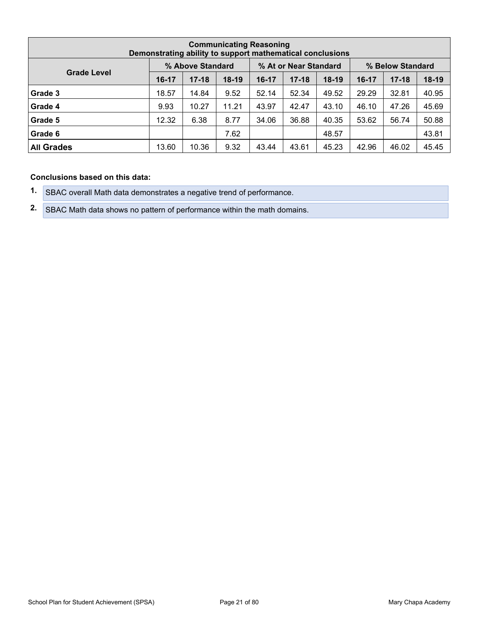|                                                               | <b>Communicating Reasoning</b><br>Demonstrating ability to support mathematical conclusions |           |         |           |           |         |         |           |         |  |  |  |  |  |
|---------------------------------------------------------------|---------------------------------------------------------------------------------------------|-----------|---------|-----------|-----------|---------|---------|-----------|---------|--|--|--|--|--|
| % At or Near Standard<br>% Above Standard<br>% Below Standard |                                                                                             |           |         |           |           |         |         |           |         |  |  |  |  |  |
| <b>Grade Level</b>                                            | 16-17                                                                                       | $17 - 18$ | $18-19$ | $16 - 17$ | $17 - 18$ | $18-19$ | $16-17$ | $17 - 18$ | $18-19$ |  |  |  |  |  |
| Grade 3                                                       | 18.57                                                                                       | 14.84     | 9.52    | 52.14     | 52.34     | 49.52   | 29.29   | 32.81     | 40.95   |  |  |  |  |  |
| Grade 4                                                       | 9.93                                                                                        | 10.27     | 11.21   | 43.97     | 42.47     | 43.10   | 46.10   | 47.26     | 45.69   |  |  |  |  |  |
| Grade 5                                                       | 12.32                                                                                       | 6.38      | 8.77    | 34.06     | 36.88     | 40.35   | 53.62   | 56.74     | 50.88   |  |  |  |  |  |
| Grade 6                                                       |                                                                                             |           | 7.62    |           |           | 48.57   |         |           | 43.81   |  |  |  |  |  |
| <b>All Grades</b>                                             | 13.60                                                                                       | 10.36     | 9.32    | 43.44     | 43.61     | 45.23   | 42.96   | 46.02     | 45.45   |  |  |  |  |  |

#### Conclusions based on this data:

- 1. SBAC overall Math data demonstrates a negative trend of performance.
- 2. SBAC Math data shows no pattern of performance within the math domains.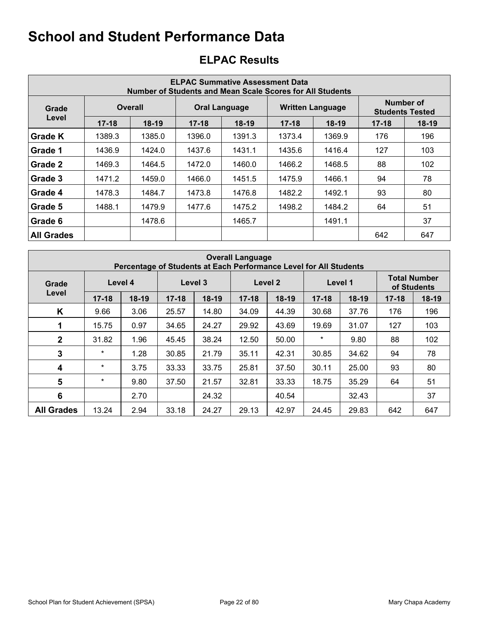|                   |           |                |           | <b>ELPAC Summative Assessment Data</b><br>Number of Students and Mean Scale Scores for All Students |           |                         |           |                                     |
|-------------------|-----------|----------------|-----------|-----------------------------------------------------------------------------------------------------|-----------|-------------------------|-----------|-------------------------------------|
| Grade             |           | <b>Overall</b> |           | <b>Oral Language</b>                                                                                |           | <b>Written Language</b> |           | Number of<br><b>Students Tested</b> |
| Level             | $17 - 18$ | $18-19$        | $17 - 18$ | $18-19$                                                                                             | $17 - 18$ | $18-19$                 | $17 - 18$ | $18-19$                             |
| <b>Grade K</b>    | 1389.3    | 1385.0         | 1396.0    | 1391.3                                                                                              | 1373.4    | 1369.9                  | 176       | 196                                 |
| <b>Grade 1</b>    | 1436.9    | 1424.0         | 1437.6    | 1431.1                                                                                              | 1435.6    | 1416.4                  | 127       | 103                                 |
| <b>Grade 2</b>    | 1469.3    | 1464.5         | 1472.0    | 1460.0                                                                                              | 1466.2    | 1468.5                  | 88        | 102                                 |
| <b>Grade 3</b>    | 1471.2    | 1459.0         | 1466.0    | 1451.5                                                                                              | 1475.9    | 1466.1                  | 94        | 78                                  |
| Grade 4           | 1478.3    | 1484.7         | 1473.8    | 1476.8                                                                                              | 1482.2    | 1492.1                  | 93        | 80                                  |
| <b>Grade 5</b>    | 1488.1    | 1479.9         | 1477.6    | 1475.2                                                                                              | 1498.2    | 1484.2                  | 64        | 51                                  |
| <b>Grade 6</b>    |           | 1478.6         |           | 1465.7                                                                                              |           | 1491.1                  |           | 37                                  |
| <b>All Grades</b> |           |                |           |                                                                                                     |           |                         | 642       | 647                                 |

# ELPAC Results

|                   |           |         |           |         | <b>Overall Language</b> | Percentage of Students at Each Performance Level for All Students |           |         |           |                                    |
|-------------------|-----------|---------|-----------|---------|-------------------------|-------------------------------------------------------------------|-----------|---------|-----------|------------------------------------|
| Grade             |           | Level 4 |           | Level 3 |                         | Level 2                                                           |           | Level 1 |           | <b>Total Number</b><br>of Students |
| Level             | $17 - 18$ | $18-19$ | $17 - 18$ | $18-19$ | $17 - 18$               | $18-19$                                                           | $17 - 18$ | $18-19$ | $17 - 18$ | $18-19$                            |
| K                 | 9.66      | 3.06    | 25.57     | 14.80   | 34.09                   | 44.39                                                             | 30.68     | 37.76   | 176       | 196                                |
|                   | 15.75     | 0.97    | 34.65     | 24.27   | 29.92                   | 43.69                                                             | 19.69     | 31.07   | 127       | 103                                |
| $\mathbf{2}$      | 31.82     | 1.96    | 45.45     | 38.24   | 12.50                   | 50.00                                                             | $\star$   | 9.80    | 88        | 102                                |
| 3                 | $\star$   | 1.28    | 30.85     | 21.79   | 35.11                   | 42.31                                                             | 30.85     | 34.62   | 94        | 78                                 |
| 4                 | $\ast$    | 3.75    | 33.33     | 33.75   | 25.81                   | 37.50                                                             | 30.11     | 25.00   | 93        | 80                                 |
| 5                 | $\ast$    | 9.80    | 37.50     | 21.57   | 32.81                   | 33.33                                                             | 18.75     | 35.29   | 64        | 51                                 |
| 6                 |           | 2.70    |           | 24.32   |                         | 40.54                                                             |           | 32.43   |           | 37                                 |
| <b>All Grades</b> | 13.24     | 2.94    | 33.18     | 24.27   | 29.13                   | 42.97                                                             | 24.45     | 29.83   | 642       | 647                                |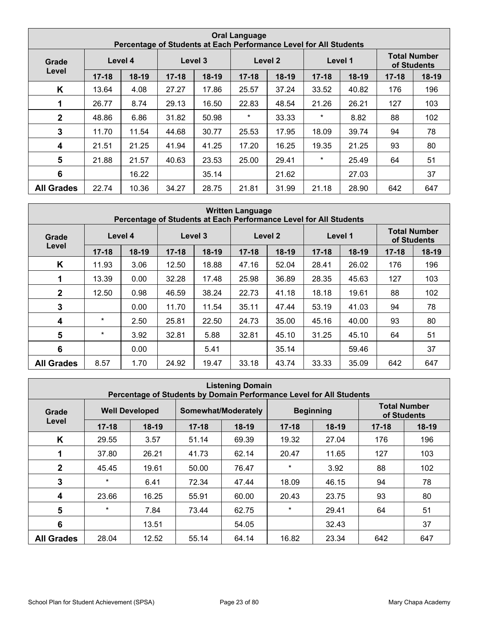|                         |           |         |           |         | <b>Oral Language</b> |         | Percentage of Students at Each Performance Level for All Students |         |                                    |         |
|-------------------------|-----------|---------|-----------|---------|----------------------|---------|-------------------------------------------------------------------|---------|------------------------------------|---------|
| Grade                   |           | Level 4 | Level 3   |         |                      | Level 2 | Level 1                                                           |         | <b>Total Number</b><br>of Students |         |
| Level                   | $17 - 18$ | $18-19$ | $17 - 18$ | $18-19$ | $17 - 18$            | $18-19$ | $17 - 18$                                                         | $18-19$ | $17 - 18$                          | $18-19$ |
| K                       | 13.64     | 4.08    | 27.27     | 17.86   | 25.57                | 37.24   | 33.52                                                             | 40.82   | 176                                | 196     |
| 1                       | 26.77     | 8.74    | 29.13     | 16.50   | 22.83                | 48.54   | 21.26                                                             | 26.21   | 127                                | 103     |
| $\mathbf{2}$            | 48.86     | 6.86    | 31.82     | 50.98   | $\star$              | 33.33   | $\star$                                                           | 8.82    | 88                                 | 102     |
| 3                       | 11.70     | 11.54   | 44.68     | 30.77   | 25.53                | 17.95   | 18.09                                                             | 39.74   | 94                                 | 78      |
| $\overline{\mathbf{4}}$ | 21.51     | 21.25   | 41.94     | 41.25   | 17.20                | 16.25   | 19.35                                                             | 21.25   | 93                                 | 80      |
| 5                       | 21.88     | 21.57   | 40.63     | 23.53   | 25.00                | 29.41   | $\star$                                                           | 25.49   | 64                                 | 51      |
| 6                       |           | 16.22   |           | 35.14   |                      | 21.62   |                                                                   | 27.03   |                                    | 37      |
| <b>All Grades</b>       | 22.74     | 10.36   | 34.27     | 28.75   | 21.81                | 31.99   | 21.18                                                             | 28.90   | 642                                | 647     |

|                   |           | Percentage of Students at Each Performance Level for All Students |           |         | <b>Written Language</b> |         |           |         |           |                                    |
|-------------------|-----------|-------------------------------------------------------------------|-----------|---------|-------------------------|---------|-----------|---------|-----------|------------------------------------|
| Grade             |           | Level 4                                                           |           | Level 3 |                         | Level 2 |           | Level 1 |           | <b>Total Number</b><br>of Students |
| Level             | $17 - 18$ | 18-19                                                             | $17 - 18$ | 18-19   | $17 - 18$               | $18-19$ | $17 - 18$ | 18-19   | $17 - 18$ | $18-19$                            |
| K                 | 11.93     | 3.06                                                              | 12.50     | 18.88   | 47.16                   | 52.04   | 28.41     | 26.02   | 176       | 196                                |
|                   | 13.39     | 0.00                                                              | 32.28     | 17.48   | 25.98                   | 36.89   | 28.35     | 45.63   | 127       | 103                                |
| $\mathbf{2}$      | 12.50     | 0.98                                                              | 46.59     | 38.24   | 22.73                   | 41.18   | 18.18     | 19.61   | 88        | 102                                |
| 3                 |           | 0.00                                                              | 11.70     | 11.54   | 35.11                   | 47.44   | 53.19     | 41.03   | 94        | 78                                 |
| 4                 | $\star$   | 2.50                                                              | 25.81     | 22.50   | 24.73                   | 35.00   | 45.16     | 40.00   | 93        | 80                                 |
| 5                 | $\star$   | 3.92                                                              | 32.81     | 5.88    | 32.81                   | 45.10   | 31.25     | 45.10   | 64        | 51                                 |
| 6                 |           | 0.00                                                              |           | 5.41    |                         | 35.14   |           | 59.46   |           | 37                                 |
| <b>All Grades</b> | 8.57      | 1.70                                                              | 24.92     | 19.47   | 33.18                   | 43.74   | 33.33     | 35.09   | 642       | 647                                |

|                   |           |                       |           | <b>Listening Domain</b><br>Percentage of Students by Domain Performance Level for All Students |           |                  |           |                                    |
|-------------------|-----------|-----------------------|-----------|------------------------------------------------------------------------------------------------|-----------|------------------|-----------|------------------------------------|
| Grade             |           | <b>Well Developed</b> |           | Somewhat/Moderately                                                                            |           | <b>Beginning</b> |           | <b>Total Number</b><br>of Students |
| Level             | $17 - 18$ | $18-19$               | $17 - 18$ | $18-19$                                                                                        | $17 - 18$ | $18-19$          | $17 - 18$ | $18-19$                            |
| K                 | 29.55     | 3.57                  | 51.14     | 69.39                                                                                          | 19.32     | 27.04            | 176       | 196                                |
| 1                 | 37.80     | 26.21                 | 41.73     | 62.14                                                                                          | 20.47     | 11.65            | 127       | 103                                |
| 2 <sup>1</sup>    | 45.45     | 19.61                 | 50.00     | 76.47                                                                                          | $\star$   | 3.92             | 88        | 102                                |
| $\mathbf{3}$      | $\star$   | 6.41                  | 72.34     | 47.44                                                                                          | 18.09     | 46.15            | 94        | 78                                 |
| 4                 | 23.66     | 16.25                 | 55.91     | 60.00                                                                                          | 20.43     | 23.75            | 93        | 80                                 |
| $5\phantom{1}$    | $\ast$    | 7.84                  | 73.44     | 62.75                                                                                          | $\star$   | 29.41            | 64        | 51                                 |
| 6                 |           | 13.51                 |           | 54.05                                                                                          |           | 32.43            |           | 37                                 |
| <b>All Grades</b> | 28.04     | 12.52                 | 55.14     | 64.14                                                                                          | 16.82     | 23.34            | 642       | 647                                |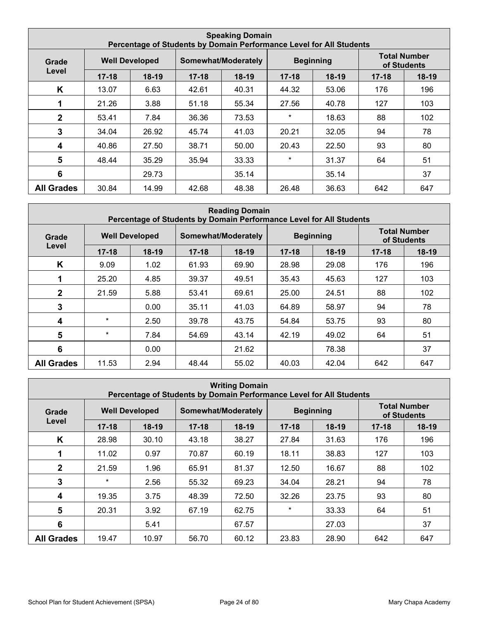|                   |                                                                                                        |         |           | <b>Speaking Domain</b><br>Percentage of Students by Domain Performance Level for All Students |           |       |           |         |  |  |  |  |  |  |  |  |  |  |
|-------------------|--------------------------------------------------------------------------------------------------------|---------|-----------|-----------------------------------------------------------------------------------------------|-----------|-------|-----------|---------|--|--|--|--|--|--|--|--|--|--|
| Grade             | <b>Total Number</b><br><b>Beginning</b><br><b>Well Developed</b><br>Somewhat/Moderately<br>of Students |         |           |                                                                                               |           |       |           |         |  |  |  |  |  |  |  |  |  |  |
| Level             | $17 - 18$                                                                                              | $18-19$ | $17 - 18$ | $18-19$                                                                                       | $17 - 18$ | 18-19 | $17 - 18$ | $18-19$ |  |  |  |  |  |  |  |  |  |  |
| K                 | 13.07                                                                                                  | 6.63    | 42.61     | 40.31                                                                                         | 44.32     | 53.06 | 176       | 196     |  |  |  |  |  |  |  |  |  |  |
| 1                 | 21.26                                                                                                  | 3.88    | 51.18     | 55.34                                                                                         | 27.56     | 40.78 | 127       | 103     |  |  |  |  |  |  |  |  |  |  |
| $\mathbf{2}$      | 53.41                                                                                                  | 7.84    | 36.36     | 73.53                                                                                         | $\star$   | 18.63 | 88        | 102     |  |  |  |  |  |  |  |  |  |  |
| 3                 | 34.04                                                                                                  | 26.92   | 45.74     | 41.03                                                                                         | 20.21     | 32.05 | 94        | 78      |  |  |  |  |  |  |  |  |  |  |
| 4                 | 40.86                                                                                                  | 27.50   | 38.71     | 50.00                                                                                         | 20.43     | 22.50 | 93        | 80      |  |  |  |  |  |  |  |  |  |  |
| 5                 | 48.44                                                                                                  | 35.29   | 35.94     | 33.33                                                                                         | $\star$   | 31.37 | 64        | 51      |  |  |  |  |  |  |  |  |  |  |
| 6                 |                                                                                                        | 29.73   |           | 35.14                                                                                         |           | 35.14 |           | 37      |  |  |  |  |  |  |  |  |  |  |
| <b>All Grades</b> | 30.84                                                                                                  | 14.99   | 42.68     | 48.38                                                                                         | 26.48     | 36.63 | 642       | 647     |  |  |  |  |  |  |  |  |  |  |

|                         |           |                       |           | <b>Reading Domain</b><br>Percentage of Students by Domain Performance Level for All Students |           |                  |           |                                    |
|-------------------------|-----------|-----------------------|-----------|----------------------------------------------------------------------------------------------|-----------|------------------|-----------|------------------------------------|
| Grade                   |           | <b>Well Developed</b> |           | Somewhat/Moderately                                                                          |           | <b>Beginning</b> |           | <b>Total Number</b><br>of Students |
| Level                   | $17 - 18$ | $18-19$               | $17 - 18$ | $18-19$                                                                                      | $17 - 18$ | $18-19$          | $17 - 18$ | $18-19$                            |
| K                       | 9.09      | 1.02                  | 61.93     | 69.90                                                                                        | 28.98     | 29.08            | 176       | 196                                |
| 1                       | 25.20     | 4.85                  | 39.37     | 49.51                                                                                        | 35.43     | 45.63            | 127       | 103                                |
| 2 <sup>1</sup>          | 21.59     | 5.88                  | 53.41     | 69.61                                                                                        | 25.00     | 24.51            | 88        | 102                                |
| 3                       |           | 0.00                  | 35.11     | 41.03                                                                                        | 64.89     | 58.97            | 94        | 78                                 |
| $\overline{\mathbf{4}}$ | $\star$   | 2.50                  | 39.78     | 43.75                                                                                        | 54.84     | 53.75            | 93        | 80                                 |
| $5\phantom{1}$          | $\star$   | 7.84                  | 54.69     | 43.14                                                                                        | 42.19     | 49.02            | 64        | 51                                 |
| 6                       |           | 0.00                  |           | 21.62                                                                                        |           | 78.38            |           | 37                                 |
| <b>All Grades</b>       | 11.53     | 2.94                  | 48.44     | 55.02                                                                                        | 40.03     | 42.04            | 642       | 647                                |

| <b>Writing Domain</b><br>Percentage of Students by Domain Performance Level for All Students |                       |         |                     |         |                  |         |                                    |         |
|----------------------------------------------------------------------------------------------|-----------------------|---------|---------------------|---------|------------------|---------|------------------------------------|---------|
| Grade                                                                                        | <b>Well Developed</b> |         | Somewhat/Moderately |         | <b>Beginning</b> |         | <b>Total Number</b><br>of Students |         |
| Level                                                                                        | $17 - 18$             | $18-19$ | $17 - 18$           | $18-19$ | $17 - 18$        | $18-19$ | $17 - 18$                          | $18-19$ |
| K                                                                                            | 28.98                 | 30.10   | 43.18               | 38.27   | 27.84            | 31.63   | 176                                | 196     |
|                                                                                              | 11.02                 | 0.97    | 70.87               | 60.19   | 18.11            | 38.83   | 127                                | 103     |
| $\mathbf{2}$                                                                                 | 21.59                 | 1.96    | 65.91               | 81.37   | 12.50            | 16.67   | 88                                 | 102     |
| 3                                                                                            | $\star$               | 2.56    | 55.32               | 69.23   | 34.04            | 28.21   | 94                                 | 78      |
| 4                                                                                            | 19.35                 | 3.75    | 48.39               | 72.50   | 32.26            | 23.75   | 93                                 | 80      |
| 5                                                                                            | 20.31                 | 3.92    | 67.19               | 62.75   | $\star$          | 33.33   | 64                                 | 51      |
| 6                                                                                            |                       | 5.41    |                     | 67.57   |                  | 27.03   |                                    | 37      |
| <b>All Grades</b>                                                                            | 19.47                 | 10.97   | 56.70               | 60.12   | 23.83            | 28.90   | 642                                | 647     |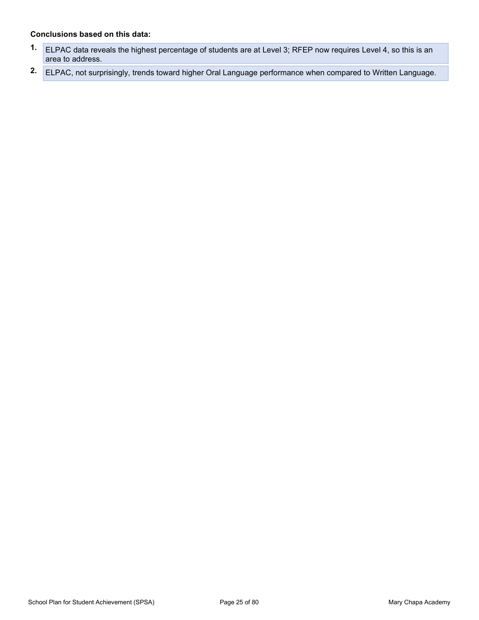#### Conclusions based on this data:

- 1. ELPAC data reveals the highest percentage of students are at Level 3; RFEP now requires Level 4, so this is an area to address. clusions based on this data:<br>ELPAC data reveals the highest percentage of students are at Level 3; RFEP n<br>area to address.<br>ELPAC, not surprisingly, trends toward higher Oral Language performance whe
- 2. ELPAC, not surprisingly, trends toward higher Oral Language performance when compared to Written Language.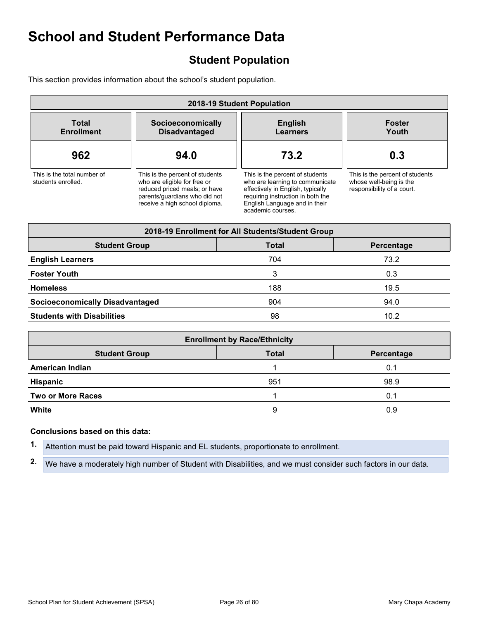# Student Population

This section provides information about the school's student population.

| 2018-19 Student Population                        |                                                                                                                                                                     |                                                                                                                                                                                                    |                                                                                          |  |  |  |  |
|---------------------------------------------------|---------------------------------------------------------------------------------------------------------------------------------------------------------------------|----------------------------------------------------------------------------------------------------------------------------------------------------------------------------------------------------|------------------------------------------------------------------------------------------|--|--|--|--|
| <b>Total</b><br><b>Enrollment</b>                 | Socioeconomically<br><b>Disadvantaged</b>                                                                                                                           | <b>English</b><br>Learners                                                                                                                                                                         | <b>Foster</b><br>Youth                                                                   |  |  |  |  |
| 962                                               | 94.0                                                                                                                                                                | 73.2                                                                                                                                                                                               | 0.3                                                                                      |  |  |  |  |
| This is the total number of<br>students enrolled. | This is the percent of students<br>who are eligible for free or<br>reduced priced meals; or have<br>parents/quardians who did not<br>receive a high school diploma. | This is the percent of students<br>who are learning to communicate<br>effectively in English, typically<br>requiring instruction in both the<br>English Language and in their<br>academic courses. | This is the percent of students<br>whose well-being is the<br>responsibility of a court. |  |  |  |  |
|                                                   |                                                                                                                                                                     | 2018-19 Enrollment for All Students/Student Group                                                                                                                                                  |                                                                                          |  |  |  |  |
| <b>Student Group</b>                              |                                                                                                                                                                     | <b>Total</b>                                                                                                                                                                                       | <b>Parcantaga</b>                                                                        |  |  |  |  |

| <b>Student Group</b>                   | <b>Total</b> | Percentage |
|----------------------------------------|--------------|------------|
| <b>English Learners</b>                | 704          | 73.2       |
| <b>Foster Youth</b>                    |              | 0.3        |
| <b>Homeless</b>                        | 188          | 19.5       |
| <b>Socioeconomically Disadvantaged</b> | 904          | 94.0       |
| <b>Students with Disabilities</b>      | 98           | 10.2       |

|       | <b>English Learners</b>                                                                                       | 704                                 | 73.Z       |
|-------|---------------------------------------------------------------------------------------------------------------|-------------------------------------|------------|
|       | <b>Foster Youth</b>                                                                                           | 3                                   | 0.3        |
|       | <b>Homeless</b>                                                                                               | 188                                 | 19.5       |
|       | <b>Socioeconomically Disadvantaged</b>                                                                        | 904                                 | 94.0       |
|       | <b>Students with Disabilities</b>                                                                             | 98                                  | 10.2       |
|       |                                                                                                               | <b>Enrollment by Race/Ethnicity</b> |            |
|       | <b>Student Group</b>                                                                                          | <b>Total</b>                        | Percentage |
|       | <b>American Indian</b>                                                                                        | 1                                   | 0.1        |
|       | Hispanic                                                                                                      | 951                                 | 98.9       |
|       | <b>Two or More Races</b>                                                                                      | 1                                   | 0.1        |
| White |                                                                                                               | 9                                   | 0.9        |
|       | Conclusions based on this data:                                                                               |                                     |            |
| 1.    | Attention must be paid toward Hispanic and EL students, proportionate to enrollment.                          |                                     |            |
| 2.    | We have a moderately high number of Student with Disabilities, and we must consider such factors in our data. |                                     |            |

#### Conclusions based on this data: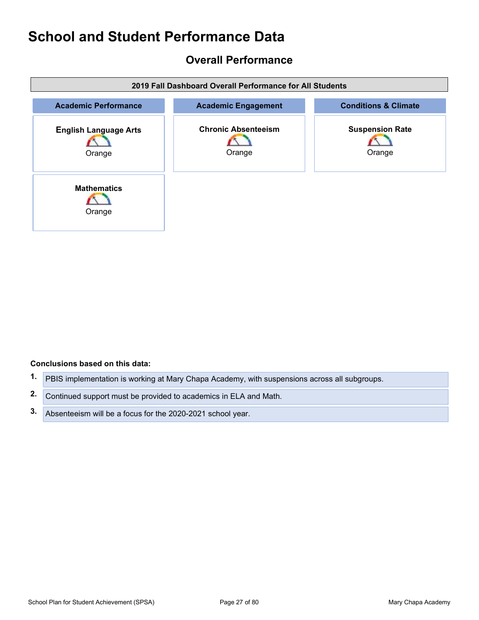## Overall Performance

| 2019 Fall Dashboard Overall Performance for All Students |                                      |                                  |  |  |  |  |  |
|----------------------------------------------------------|--------------------------------------|----------------------------------|--|--|--|--|--|
| <b>Academic Performance</b>                              | <b>Academic Engagement</b>           | <b>Conditions &amp; Climate</b>  |  |  |  |  |  |
| <b>English Language Arts</b><br>Orange                   | <b>Chronic Absenteeism</b><br>Orange | <b>Suspension Rate</b><br>Orange |  |  |  |  |  |
| <b>Mathematics</b><br>Orange                             |                                      |                                  |  |  |  |  |  |

#### Conclusions based on this data:

- 1. PBIS implementation is working at Mary Chapa Academy, with suspensions across all subgroups.
- 2. Continued support must be provided to academics in ELA and Math.
- 3. Absenteeism will be a focus for the 2020-2021 school year.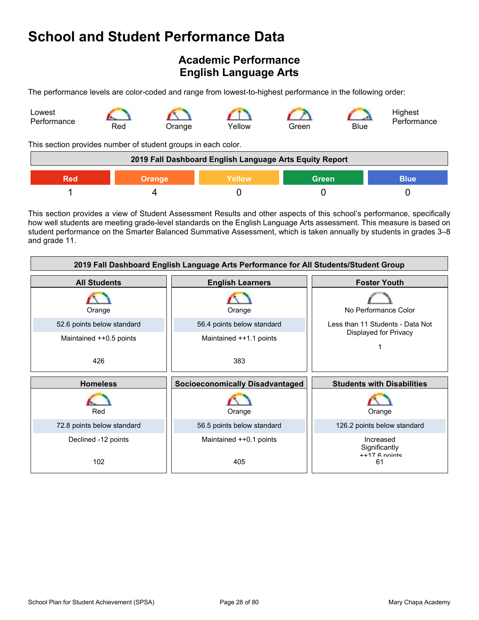# Academic Performance English Language Arts

The performance levels are color-coded and range from lowest-to-highest performance in the following order:



This section provides number of student groups in each color.

| 2019 Fall Dashboard English Language Arts Equity Report |        |               |              |             |  |
|---------------------------------------------------------|--------|---------------|--------------|-------------|--|
| Red                                                     | Drange | <b>Yellow</b> | <b>Green</b> | <b>Blue</b> |  |
|                                                         |        |               |              |             |  |

This section provides a view of Student Assessment Results and other aspects of this school's performance, specifically how well students are meeting grade-level standards on the English Language Arts assessment. This measure is based on student performance on the Smarter Balanced Summative Assessment, which is taken annually by students in grades 3–8 and grade 11.

| 2019 Fall Dashboard English Language Arts Performance for All Students/Student Group |                                        |                                                 |  |  |  |  |  |
|--------------------------------------------------------------------------------------|----------------------------------------|-------------------------------------------------|--|--|--|--|--|
| <b>All Students</b>                                                                  | <b>English Learners</b>                | <b>Foster Youth</b>                             |  |  |  |  |  |
| Orange                                                                               | Orange                                 | No Performance Color                            |  |  |  |  |  |
| 52.6 points below standard                                                           | 56.4 points below standard             | Less than 11 Students - Data Not                |  |  |  |  |  |
| Maintained ++0.5 points                                                              | Maintained ++1.1 points                | Displayed for Privacy                           |  |  |  |  |  |
| 426                                                                                  | 383                                    |                                                 |  |  |  |  |  |
|                                                                                      |                                        |                                                 |  |  |  |  |  |
| <b>Homeless</b>                                                                      | <b>Socioeconomically Disadvantaged</b> | <b>Students with Disabilities</b>               |  |  |  |  |  |
| Red                                                                                  | Orange                                 | Orange                                          |  |  |  |  |  |
| 72.8 points below standard                                                           | 56.5 points below standard             | 126.2 points below standard                     |  |  |  |  |  |
| Declined -12 points                                                                  | Maintained ++0.1 points                | Increased<br>Significantly<br>$++17$ $6$ nointe |  |  |  |  |  |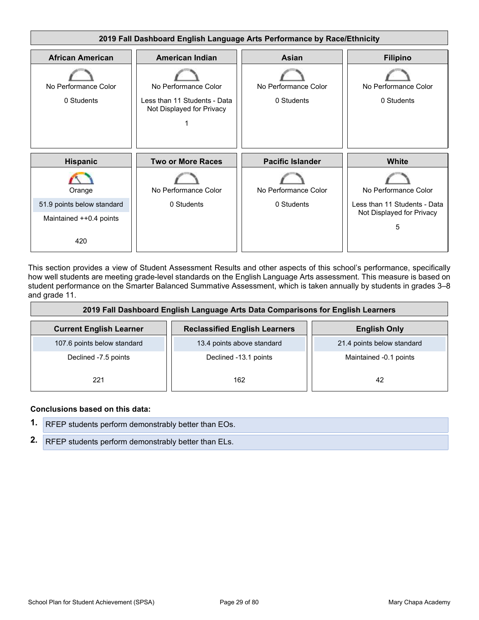

This section provides a view of Student Assessment Results and other aspects of this school's performance, specifically how well students are meeting grade-level standards on the English Language Arts assessment. This measure is based on student performance on the Smarter Balanced Summative Assessment, which is taken annually by students in grades 3–8 and grade 11.

| 2019 Fall Dashboard English Language Arts Data Comparisons for English Learners |                                      |                            |  |  |  |  |
|---------------------------------------------------------------------------------|--------------------------------------|----------------------------|--|--|--|--|
| <b>Current English Learner</b>                                                  | <b>Reclassified English Learners</b> | <b>English Only</b>        |  |  |  |  |
| 107.6 points below standard                                                     | 13.4 points above standard           | 21.4 points below standard |  |  |  |  |
| Declined -7.5 points                                                            | Declined -13.1 points                | Maintained -0.1 points     |  |  |  |  |
| 221                                                                             | 162                                  | 42                         |  |  |  |  |

#### Conclusions based on this data:

1. RFEP students perform demonstrably better than EOs. 2. RFEP students perform demonstrably better than ELs.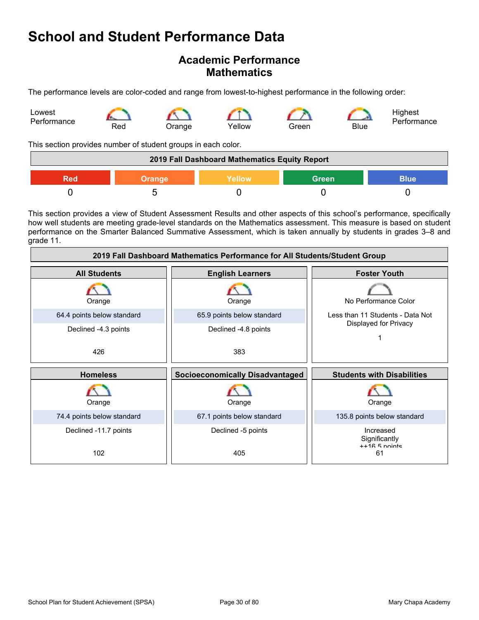### Academic Performance **Mathematics**



| <b>School and Student Performance Data</b>                                                                  |     |               |                                                                            |                |      |                                                                                                                                                                                                                                                                                                                                                                   |
|-------------------------------------------------------------------------------------------------------------|-----|---------------|----------------------------------------------------------------------------|----------------|------|-------------------------------------------------------------------------------------------------------------------------------------------------------------------------------------------------------------------------------------------------------------------------------------------------------------------------------------------------------------------|
|                                                                                                             |     |               | <b>Academic Performance</b><br><b>Mathematics</b>                          |                |      |                                                                                                                                                                                                                                                                                                                                                                   |
| The performance levels are color-coded and range from lowest-to-highest performance in the following order: |     |               |                                                                            |                |      |                                                                                                                                                                                                                                                                                                                                                                   |
| Lowest<br>Performance                                                                                       | Red | Orange        | Yellow                                                                     | Green          | Blue | Highest<br>Performance                                                                                                                                                                                                                                                                                                                                            |
| This section provides number of student groups in each color.                                               |     |               |                                                                            |                |      |                                                                                                                                                                                                                                                                                                                                                                   |
|                                                                                                             |     |               | 2019 Fall Dashboard Mathematics Equity Report                              |                |      |                                                                                                                                                                                                                                                                                                                                                                   |
| <b>Red</b>                                                                                                  |     | <b>Orange</b> | <b>Yellow</b>                                                              | <b>Green</b>   |      | <b>Blue</b>                                                                                                                                                                                                                                                                                                                                                       |
| $\overline{0}$                                                                                              |     | 5             | $\mathbf 0$                                                                | $\overline{0}$ |      | $\mathbf 0$                                                                                                                                                                                                                                                                                                                                                       |
| grade 11.                                                                                                   |     |               |                                                                            |                |      | This section provides a view of Student Assessment Results and other aspects of this school's performance, specifically<br>how well students are meeting grade-level standards on the Mathematics assessment. This measure is based on student<br>performance on the Smarter Balanced Summative Assessment, which is taken annually by students in grades 3-8 and |
|                                                                                                             |     |               | 2019 Fall Dashboard Mathematics Performance for All Students/Student Group |                |      |                                                                                                                                                                                                                                                                                                                                                                   |
| <b>All Students</b>                                                                                         |     |               | <b>English Learners</b>                                                    |                |      | <b>Foster Youth</b>                                                                                                                                                                                                                                                                                                                                               |

| 2019 Fall Dashboard Mathematics Performance for All Students/Student Group |                                                                |                                               |  |  |  |  |  |
|----------------------------------------------------------------------------|----------------------------------------------------------------|-----------------------------------------------|--|--|--|--|--|
| <b>All Students</b>                                                        | <b>English Learners</b>                                        | <b>Foster Youth</b>                           |  |  |  |  |  |
| Orange                                                                     | Orange                                                         | No Performance Color                          |  |  |  |  |  |
| 64.4 points below standard                                                 | 65.9 points below standard<br>Less than 11 Students - Data Not |                                               |  |  |  |  |  |
| Declined -4.3 points                                                       | Declined -4.8 points                                           | Displayed for Privacy                         |  |  |  |  |  |
| 426                                                                        | 383                                                            |                                               |  |  |  |  |  |
| <b>Homeless</b>                                                            | <b>Socioeconomically Disadvantaged</b>                         | <b>Students with Disabilities</b>             |  |  |  |  |  |
| Orange                                                                     | Orange                                                         | Orange                                        |  |  |  |  |  |
| 74.4 points below standard                                                 | 67.1 points below standard                                     | 135.8 points below standard                   |  |  |  |  |  |
| Declined -11.7 points                                                      | Declined -5 points                                             | Increased<br>Significantly<br>$++16$ 5 noints |  |  |  |  |  |
| 102                                                                        | 405                                                            | 61                                            |  |  |  |  |  |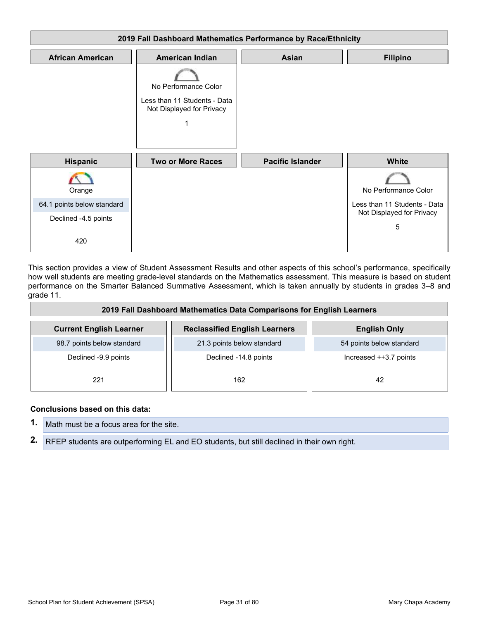|                                                    | 2019 Fall Dashboard Mathematics Performance by Race/Ethnicity         |                         |                                                                                                                                                                                                                                                                                                                                                                   |
|----------------------------------------------------|-----------------------------------------------------------------------|-------------------------|-------------------------------------------------------------------------------------------------------------------------------------------------------------------------------------------------------------------------------------------------------------------------------------------------------------------------------------------------------------------|
| <b>African American</b>                            | <b>American Indian</b>                                                | Asian                   | <b>Filipino</b>                                                                                                                                                                                                                                                                                                                                                   |
|                                                    |                                                                       |                         |                                                                                                                                                                                                                                                                                                                                                                   |
|                                                    | No Performance Color<br>Less than 11 Students - Data                  |                         |                                                                                                                                                                                                                                                                                                                                                                   |
|                                                    | Not Displayed for Privacy                                             |                         |                                                                                                                                                                                                                                                                                                                                                                   |
|                                                    | 1                                                                     |                         |                                                                                                                                                                                                                                                                                                                                                                   |
| <b>Hispanic</b>                                    | <b>Two or More Races</b>                                              | <b>Pacific Islander</b> | White                                                                                                                                                                                                                                                                                                                                                             |
|                                                    |                                                                       |                         |                                                                                                                                                                                                                                                                                                                                                                   |
| Orange                                             |                                                                       |                         | No Performance Color                                                                                                                                                                                                                                                                                                                                              |
| 64.1 points below standard<br>Declined -4.5 points |                                                                       |                         | Less than 11 Students - Data<br>Not Displayed for Privacy                                                                                                                                                                                                                                                                                                         |
|                                                    |                                                                       |                         | 5                                                                                                                                                                                                                                                                                                                                                                 |
| 420                                                |                                                                       |                         |                                                                                                                                                                                                                                                                                                                                                                   |
| grade 11.                                          |                                                                       |                         | This section provides a view of Student Assessment Results and other aspects of this school's performance, specifically<br>how well students are meeting grade-level standards on the Mathematics assessment. This measure is based on student<br>performance on the Smarter Balanced Summative Assessment, which is taken annually by students in grades 3–8 and |
|                                                    |                                                                       |                         |                                                                                                                                                                                                                                                                                                                                                                   |
|                                                    | 2019 Fall Dashboard Mathematics Data Comparisons for English Learners |                         |                                                                                                                                                                                                                                                                                                                                                                   |

| 2019 Fall Dashboard Mathematics Data Comparisons for English Learners |                                      |                          |  |  |  |  |
|-----------------------------------------------------------------------|--------------------------------------|--------------------------|--|--|--|--|
| <b>Current English Learner</b>                                        | <b>Reclassified English Learners</b> | <b>English Only</b>      |  |  |  |  |
| 98.7 points below standard                                            | 21.3 points below standard           | 54 points below standard |  |  |  |  |
| Declined -9.9 points                                                  | Declined -14.8 points                | Increased ++3.7 points   |  |  |  |  |
| 221                                                                   | 162                                  | 42                       |  |  |  |  |

#### Conclusions based on this data:

| <b>1.</b> Math must be a focus area for the site.                                             |
|-----------------------------------------------------------------------------------------------|
| 2. RFEP students are outperforming EL and EO students, but still declined in their own right. |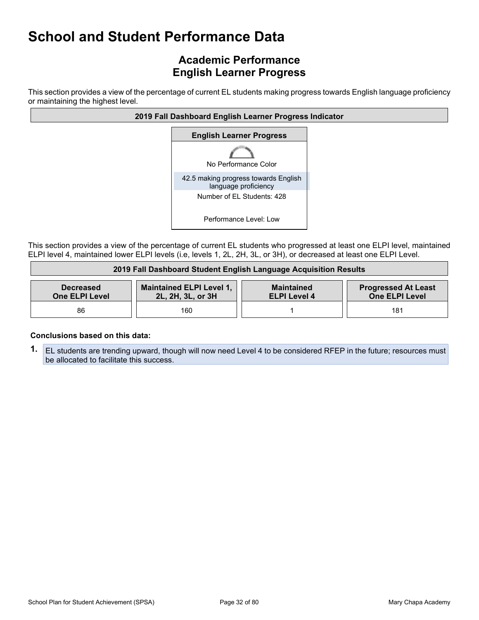## Academic Performance English Learner Progress

This section provides a view of the percentage of current EL students making progress towards English language proficiency or maintaining the highest level.



This section provides a view of the percentage of current EL students who progressed at least one ELPI level, maintained ELPI level 4, maintained lower ELPI levels (i.e, levels 1, 2L, 2H, 3L, or 3H), or decreased at least one ELPI Level.

|                                           | 2019 Fall Dashboard Student English Language Acquisition Results |                                          |                                                     |
|-------------------------------------------|------------------------------------------------------------------|------------------------------------------|-----------------------------------------------------|
| <b>Decreased</b><br><b>One ELPI Level</b> | <b>Maintained ELPI Level 1,</b><br>2L, 2H, 3L, or 3H             | <b>Maintained</b><br><b>ELPI Level 4</b> | <b>Progressed At Least</b><br><b>One ELPI Level</b> |
| 86                                        | 160                                                              |                                          | 181                                                 |

#### Conclusions based on this data:

1. EL students are trending upward, though will now need Level 4 to be considered RFEP in the future; resources must be allocated to facilitate this success.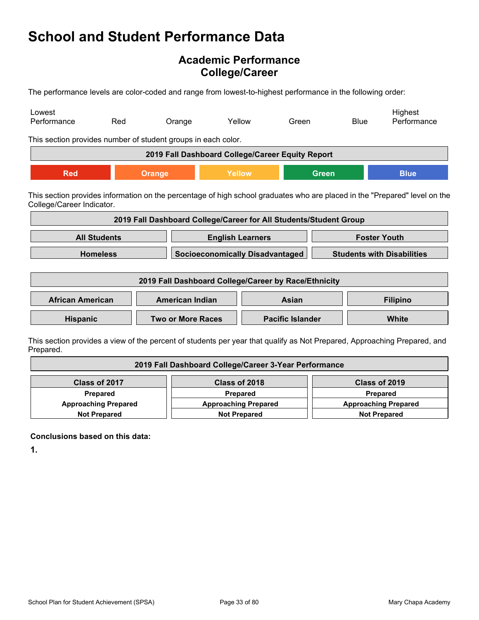### Academic Performance College/Career

The performance levels are color-coded and range from lowest-to-highest performance in the following order:

| Lowest<br>Performance     | Red                 | Orange                                                                                                                     | Yellow                                 | Green                                                             | <b>Blue</b> | Highest<br>Performance            |
|---------------------------|---------------------|----------------------------------------------------------------------------------------------------------------------------|----------------------------------------|-------------------------------------------------------------------|-------------|-----------------------------------|
|                           |                     | This section provides number of student groups in each color.                                                              |                                        |                                                                   |             |                                   |
|                           |                     | 2019 Fall Dashboard College/Career Equity Report                                                                           |                                        |                                                                   |             |                                   |
| <b>Red</b>                |                     | <b>Orange</b>                                                                                                              | Yellow                                 | <b>Green</b>                                                      |             | <b>Blue</b>                       |
| College/Career Indicator. |                     | This section provides information on the percentage of high school graduates who are placed in the "Prepared" level on the |                                        |                                                                   |             |                                   |
|                           |                     |                                                                                                                            |                                        |                                                                   |             |                                   |
|                           | <b>All Students</b> |                                                                                                                            | <b>English Learners</b>                | 2019 Fall Dashboard College/Career for All Students/Student Group |             | <b>Foster Youth</b>               |
|                           | <b>Homeless</b>     |                                                                                                                            | <b>Socioeconomically Disadvantaged</b> |                                                                   |             | <b>Students with Disabilities</b> |
|                           |                     | 2019 Fall Dashboard College/Career by Race/Ethnicity                                                                       |                                        |                                                                   |             |                                   |
| <b>African American</b>   |                     | <b>American Indian</b>                                                                                                     |                                        | Asian                                                             |             | <b>Filipino</b>                   |

Prepared.

|                             | 2019 Fall Dashboard College/Career 3-Year Performance |                             |
|-----------------------------|-------------------------------------------------------|-----------------------------|
| Class of 2017               | Class of 2018                                         | Class of 2019               |
| <b>Prepared</b>             | <b>Prepared</b>                                       | <b>Prepared</b>             |
| <b>Approaching Prepared</b> | <b>Approaching Prepared</b>                           | <b>Approaching Prepared</b> |
| <b>Not Prepared</b>         | <b>Not Prepared</b>                                   | <b>Not Prepared</b>         |

Conclusions based on this data:

1.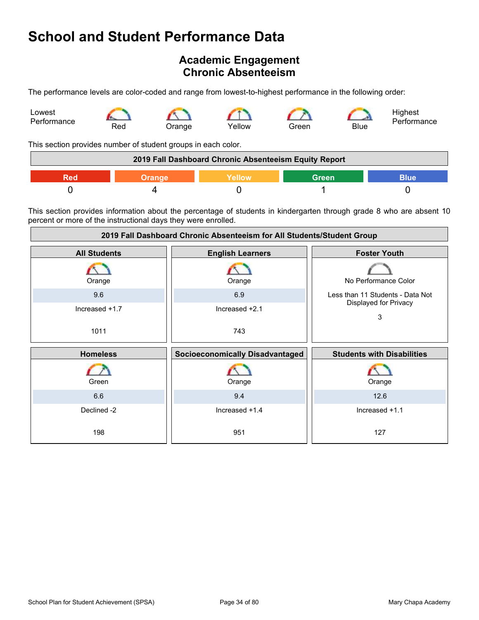### Academic Engagement Chronic Absenteeism

The performance levels are color-coded and range from lowest-to-highest performance in the following order:



This section provides number of student groups in each color.

|     | 2019 Fall Dashboard Chronic Absenteeism Equity Report |       |      |
|-----|-------------------------------------------------------|-------|------|
| Red | Yellow                                                | Green | 3lue |
|     |                                                       |       |      |

This section provides information about the percentage of students in kindergarten through grade 8 who are absent 10 percent or more of the instructional days they were enrolled.

|                     | 2019 Fall Dashboard Chronic Absenteeism for All Students/Student Group |                                   |
|---------------------|------------------------------------------------------------------------|-----------------------------------|
| <b>All Students</b> | <b>English Learners</b>                                                | <b>Foster Youth</b>               |
| Orange              | Orange                                                                 | No Performance Color              |
| 9.6                 | 6.9                                                                    | Less than 11 Students - Data Not  |
| Increased +1.7      | Increased +2.1                                                         | Displayed for Privacy<br>3        |
| 1011                | 743                                                                    |                                   |
|                     |                                                                        |                                   |
| <b>Homeless</b>     | <b>Socioeconomically Disadvantaged</b>                                 | <b>Students with Disabilities</b> |
| Green               | Orange                                                                 | Orange                            |
| 6.6                 | 9.4                                                                    | 12.6                              |
| Declined -2         | Increased +1.4                                                         | Increased +1.1                    |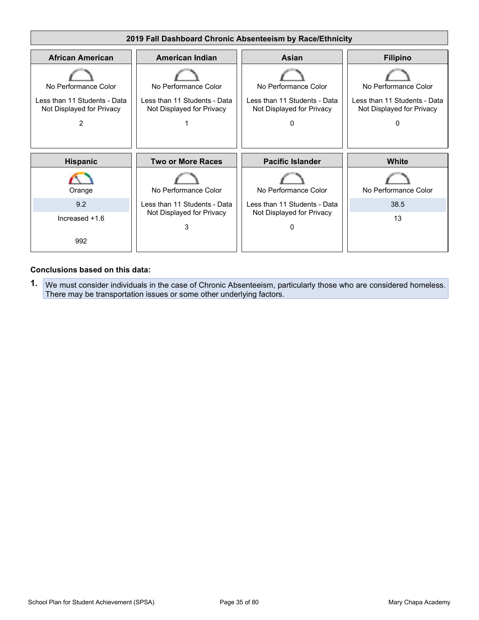

#### Conclusions based on this data:

1. We must consider individuals in the case of Chronic Absenteeism, particularly those who are considered homeless. There may be transportation issues or some other underlying factors.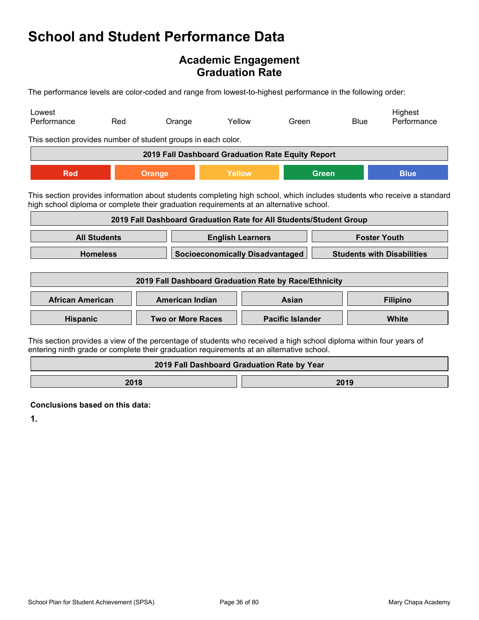### Academic Engagement Graduation Rate

|                         |                     | <b>School and Student Performance Data</b>                                                                                                                                                                         |                                                      |                         |              |                     |                                   |
|-------------------------|---------------------|--------------------------------------------------------------------------------------------------------------------------------------------------------------------------------------------------------------------|------------------------------------------------------|-------------------------|--------------|---------------------|-----------------------------------|
|                         |                     |                                                                                                                                                                                                                    | <b>Academic Engagement</b><br><b>Graduation Rate</b> |                         |              |                     |                                   |
|                         |                     | The performance levels are color-coded and range from lowest-to-highest performance in the following order:                                                                                                        |                                                      |                         |              |                     |                                   |
| Lowest<br>Performance   | Red                 | Orange                                                                                                                                                                                                             | Yellow                                               | Green                   |              | <b>Blue</b>         | Highest<br>Performance            |
|                         |                     | This section provides number of student groups in each color.                                                                                                                                                      |                                                      |                         |              |                     |                                   |
|                         |                     | 2019 Fall Dashboard Graduation Rate Equity Report                                                                                                                                                                  |                                                      |                         |              |                     |                                   |
| <b>Red</b>              |                     | <b>Orange</b>                                                                                                                                                                                                      | <b>Yellow</b>                                        |                         | <b>Green</b> |                     | <b>Blue</b>                       |
|                         |                     | This section provides information about students completing high school, which includes students who receive a standard<br>high school diploma or complete their graduation requirements at an alternative school. |                                                      |                         |              |                     |                                   |
|                         |                     | 2019 Fall Dashboard Graduation Rate for All Students/Student Group                                                                                                                                                 |                                                      |                         |              |                     |                                   |
|                         | <b>All Students</b> |                                                                                                                                                                                                                    | <b>English Learners</b>                              |                         |              | <b>Foster Youth</b> |                                   |
|                         | <b>Homeless</b>     |                                                                                                                                                                                                                    | <b>Socioeconomically Disadvantaged</b>               |                         |              |                     | <b>Students with Disabilities</b> |
|                         |                     | 2019 Fall Dashboard Graduation Rate by Race/Ethnicity                                                                                                                                                              |                                                      |                         |              |                     |                                   |
| <b>African American</b> |                     | American Indian                                                                                                                                                                                                    |                                                      | Asian                   |              |                     | <b>Filipino</b>                   |
| Hispanic                |                     | <b>Two or More Races</b>                                                                                                                                                                                           |                                                      | <b>Pacific Islander</b> |              |                     | White                             |
|                         |                     | This section provides a view of the percentage of students who received a high school diploma within four years of<br>entering ninth grade or complete their graduation requirements at an alternative school.     |                                                      |                         |              |                     |                                   |
|                         |                     |                                                                                                                                                                                                                    | 2019 Fall Dashboard Graduation Rate by Year          |                         |              |                     |                                   |

2018 2019

Conclusions based on this data:

1.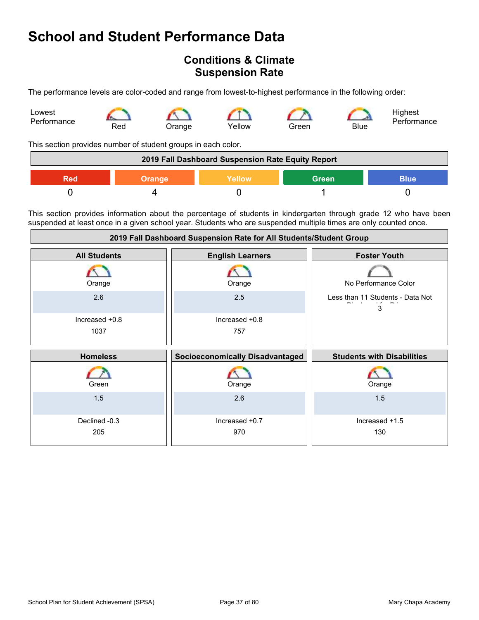# School and Student Performance Data

### Conditions & Climate Suspension Rate

The performance levels are color-coded and range from lowest-to-highest performance in the following order:



This section provides number of student groups in each color.

| 2019 Fall Dashboard Suspension Rate Equity Report |        |         |       |      |
|---------------------------------------------------|--------|---------|-------|------|
| Red                                               | Orange | Yellow\ | Green | Blue |
|                                                   |        |         |       |      |

This section provides information about the percentage of students in kindergarten through grade 12 who have been suspended at least once in a given school year. Students who are suspended multiple times are only counted once.

| 2019 Fall Dashboard Suspension Rate for All Students/Student Group |                                 |                                       |  |
|--------------------------------------------------------------------|---------------------------------|---------------------------------------|--|
| <b>All Students</b>                                                | <b>English Learners</b>         | <b>Foster Youth</b>                   |  |
| Orange                                                             | Orange                          | No Performance Color                  |  |
| 2.6                                                                | 2.5                             | Less than 11 Students - Data Not<br>3 |  |
| Increased +0.8                                                     | Increased +0.8                  |                                       |  |
| 1037                                                               | 757                             |                                       |  |
| <b>Homeless</b>                                                    | Socioeconomically Disadvantaged | <b>Students with Disabilities</b>     |  |
| Green                                                              | Orange                          | Orange                                |  |
| 1.5                                                                | 2.6                             | 1.5                                   |  |
| Declined -0.3                                                      | Increased +0.7                  | Increased +1.5                        |  |
| 205                                                                | 970                             | 130                                   |  |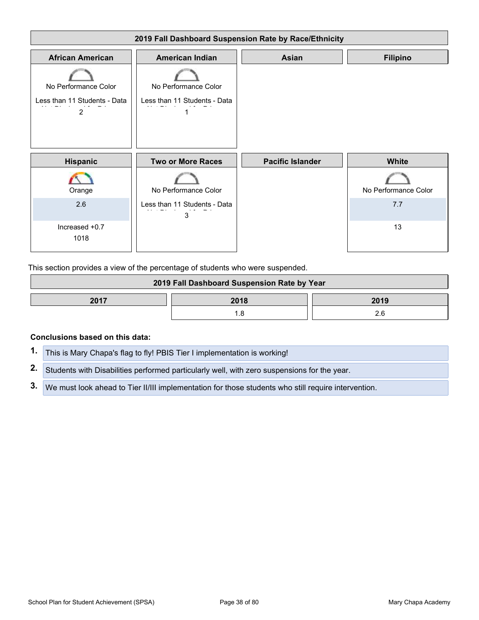

This section provides a view of the percentage of students who were suspended.

| 2019 Fall Dashboard Suspension Rate by Year |      |      |
|---------------------------------------------|------|------|
| 2017                                        | 2018 | 2019 |
|                                             |      |      |

#### Conclusions based on this data:

| 1. This is Mary Chapa's flag to fly! PBIS Tier I implementation is working!                            |
|--------------------------------------------------------------------------------------------------------|
| 2. Students with Disabilities performed particularly well, with zero suspensions for the year.         |
| 3. We must look ahead to Tier II/III implementation for those students who still require intervention. |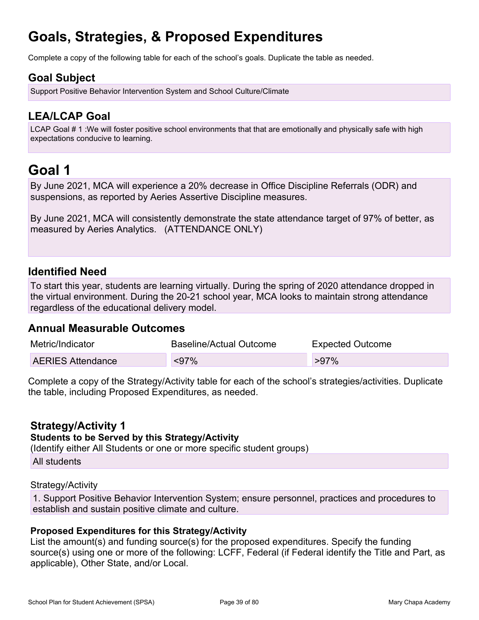# Goals, Strategies, & Proposed Expenditures

Complete a copy of the following table for each of the school's goals. Duplicate the table as needed.

### Goal Subject

Support Positive Behavior Intervention System and School Culture/Climate

### LEA/LCAP Goal

**Goals, Strategies, & Proposed Expenditures**<br>Complete a copy of the following table for each of the school's goals. Duplicate the table as needed.<br>**Goal Subject**<br>LEA/LCAP Goal<br>LCAP Goal 1<br>CAP Goal 1 1 : We will foster posi expectations conducive to learning.

# Goal 1

By June 2021, MCA will experience a 20% decrease in Office Discipline Referrals (ODR) and suspensions, as reported by Aeries Assertive Discipline measures.

By June 2021, MCA will consistently demonstrate the state attendance target of 97% of better, as measured by Aeries Analytics. (ATTENDANCE ONLY)

### Identified Need

To start this year, students are learning virtually. During the spring of 2020 attendance dropped in the virtual environment. During the 20-21 school year, MCA looks to maintain strong attendance regardless of the educational delivery model.

### Annual Measurable Outcomes

| Metric/Indicator         | Baseline/Actual Outcome | <b>Expected Outcome</b> |
|--------------------------|-------------------------|-------------------------|
| <b>AERIES Attendance</b> | $97%$                   | $>97\%$                 |

Complete a copy of the Strategy/Activity table for each of the school's strategies/activities. Duplicate the table, including Proposed Expenditures, as needed.

### Strategy/Activity 1

#### Students to be Served by this Strategy/Activity

(Identify either All Students or one or more specific student groups)

All students

#### Strategy/Activity

1. Support Positive Behavior Intervention System; ensure personnel, practices and procedures to establish and sustain positive climate and culture.

### Proposed Expenditures for this Strategy/Activity

Metric/Indicator Baseline/Actual Outcome Expected Outcome<br>
AERIES Attendance <97% >97%<br>
Complete a copy of the Strategy/Activity table for each of the school's strategies/activities. Duplicate<br>
he table, including Proposed source(s) using one or more of the following: LCFF, Federal (if Federal identify the Title and Part, as applicable), Other State, and/or Local.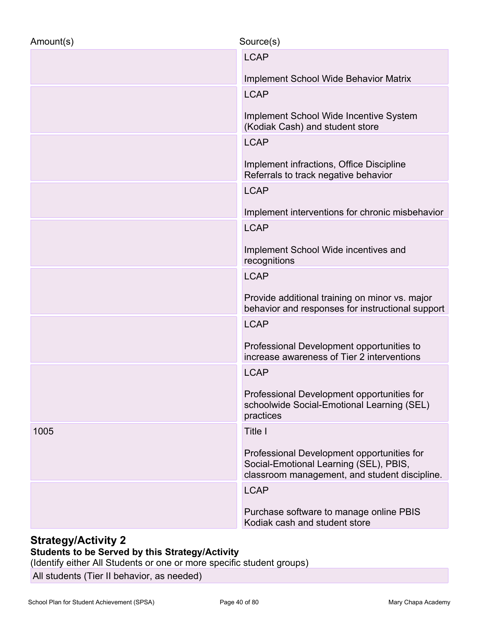| <b>LCAP</b><br>Implement School Wide Behavior Matrix<br><b>LCAP</b><br>Implement School Wide Incentive System<br>(Kodiak Cash) and student store |
|--------------------------------------------------------------------------------------------------------------------------------------------------|
|                                                                                                                                                  |
|                                                                                                                                                  |
|                                                                                                                                                  |
|                                                                                                                                                  |
| <b>LCAP</b>                                                                                                                                      |
| Implement infractions, Office Discipline<br>Referrals to track negative behavior                                                                 |
| <b>LCAP</b>                                                                                                                                      |
| Implement interventions for chronic misbehavior                                                                                                  |
| <b>LCAP</b>                                                                                                                                      |
| Implement School Wide incentives and<br>recognitions                                                                                             |
| <b>LCAP</b>                                                                                                                                      |
| Provide additional training on minor vs. major<br>behavior and responses for instructional support                                               |
| <b>LCAP</b>                                                                                                                                      |
| Professional Development opportunities to<br>increase awareness of Tier 2 interventions                                                          |
| <b>LCAP</b>                                                                                                                                      |
| Professional Development opportunities for<br>schoolwide Social-Emotional Learning (SEL)<br>practices                                            |
| Title I<br>1005                                                                                                                                  |
| Professional Development opportunities for<br>Social-Emotional Learning (SEL), PBIS,<br>classroom management, and student discipline.            |
| <b>LCAP</b>                                                                                                                                      |
| Purchase software to manage online PBIS<br>Kodiak cash and student store                                                                         |

### Students to be Served by this Strategy/Activity

(Identify either All Students or one or more specific student groups)

All students (Tier II behavior, as needed)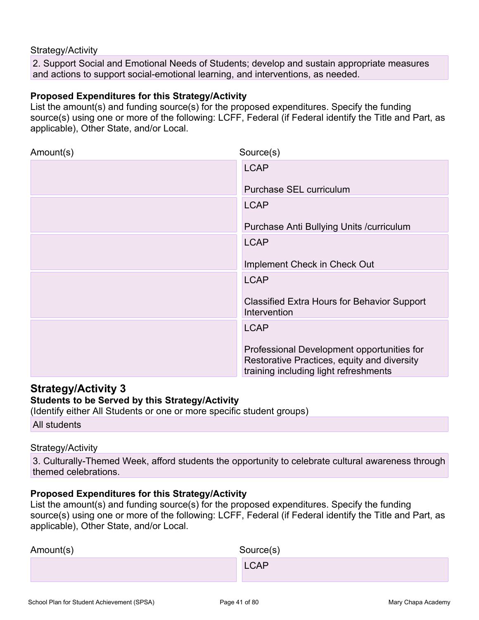2. Support Social and Emotional Needs of Students; develop and sustain appropriate measures and actions to support social-emotional learning, and interventions, as needed.

#### Proposed Expenditures for this Strategy/Activity

Strategy/Activity<br>
2. Support Social and Emotional Needs of Students; develop and sustain appropriate measures<br>
and actions to support social-emotional learning, and interventions, as needed.<br> **Proposed Expenditures for th** source(s) using one or more of the following: LCFF, Federal (if Federal identify the Title and Part, as applicable), Other State, and/or Local.

| Amount(s)                                                                                                                                                                                  | Source(s)                                                                                                                          |
|--------------------------------------------------------------------------------------------------------------------------------------------------------------------------------------------|------------------------------------------------------------------------------------------------------------------------------------|
|                                                                                                                                                                                            | <b>LCAP</b>                                                                                                                        |
|                                                                                                                                                                                            | <b>Purchase SEL curriculum</b>                                                                                                     |
|                                                                                                                                                                                            | <b>LCAP</b>                                                                                                                        |
|                                                                                                                                                                                            | Purchase Anti Bullying Units / curriculum                                                                                          |
|                                                                                                                                                                                            | <b>LCAP</b>                                                                                                                        |
|                                                                                                                                                                                            | Implement Check in Check Out                                                                                                       |
|                                                                                                                                                                                            | <b>LCAP</b>                                                                                                                        |
|                                                                                                                                                                                            | <b>Classified Extra Hours for Behavior Support</b><br>Intervention                                                                 |
|                                                                                                                                                                                            | <b>LCAP</b>                                                                                                                        |
|                                                                                                                                                                                            | Professional Development opportunities for<br>Restorative Practices, equity and diversity<br>training including light refreshments |
| <b>Strategy/Activity 3</b><br><b>Students to be Served by this Strategy/Activity</b><br>(Identify either All Students or one or more specific student groups)                              |                                                                                                                                    |
| All students                                                                                                                                                                               |                                                                                                                                    |
| Strategy/Activity                                                                                                                                                                          |                                                                                                                                    |
| themed celebrations.                                                                                                                                                                       | 3. Culturally-Themed Week, afford students the opportunity to celebrate cultural awareness through                                 |
| Proposed Expenditures for this Strategy/Activity<br>List the amount(s) and funding source(s) for the proposed expenditures. Specify the funding<br>applicable), Other State, and/or Local. | source(s) using one or more of the following: LCFF, Federal (if Federal identify the Title and Part, as                            |
| Amount(s)                                                                                                                                                                                  | Source(s)                                                                                                                          |

### Strategy/Activity 3

### Students to be Served by this Strategy/Activity

#### Strategy/Activity

#### Proposed Expenditures for this Strategy/Activity

| Amount(s) | Source(s)   |
|-----------|-------------|
|           | <b>LCAP</b> |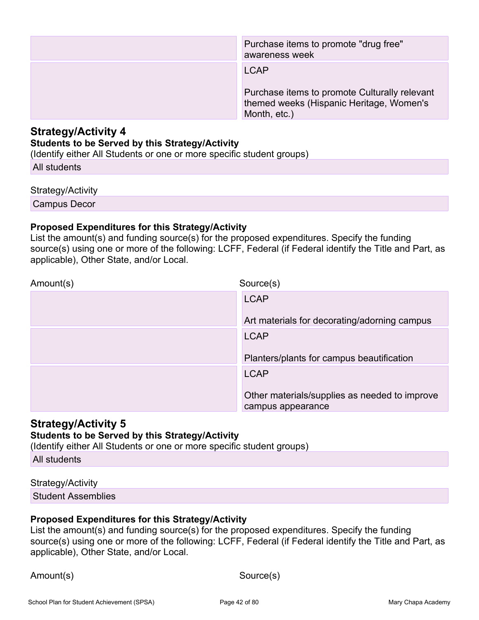|                                                                                                                                                                                                   | Purchase items to promote "drug free"<br>awareness week                                                   |
|---------------------------------------------------------------------------------------------------------------------------------------------------------------------------------------------------|-----------------------------------------------------------------------------------------------------------|
|                                                                                                                                                                                                   | <b>LCAP</b>                                                                                               |
|                                                                                                                                                                                                   | Purchase items to promote Culturally relevant<br>themed weeks (Hispanic Heritage, Women's<br>Month, etc.) |
| <b>Strategy/Activity 4</b><br><b>Students to be Served by this Strategy/Activity</b><br>(Identify either All Students or one or more specific student groups)                                     |                                                                                                           |
| All students                                                                                                                                                                                      |                                                                                                           |
| Strategy/Activity                                                                                                                                                                                 |                                                                                                           |
| Campus Decor                                                                                                                                                                                      |                                                                                                           |
| <b>Proposed Expenditures for this Strategy/Activity</b><br>List the amount(s) and funding source(s) for the proposed expenditures. Specify the funding<br>applicable), Other State, and/or Local. | source(s) using one or more of the following: LCFF, Federal (if Federal identify the Title and Part, as   |
| Amount(s)                                                                                                                                                                                         | Source(s)                                                                                                 |

#### Students to be Served by this Strategy/Activity

#### Strategy/Activity

### Proposed Expenditures for this Strategy/Activity

| Amount(s)                                                                                                                                                                                         | Source(s)                                                                                               |
|---------------------------------------------------------------------------------------------------------------------------------------------------------------------------------------------------|---------------------------------------------------------------------------------------------------------|
|                                                                                                                                                                                                   | <b>LCAP</b>                                                                                             |
|                                                                                                                                                                                                   | Art materials for decorating/adorning campus                                                            |
|                                                                                                                                                                                                   | <b>LCAP</b>                                                                                             |
|                                                                                                                                                                                                   | Planters/plants for campus beautification                                                               |
|                                                                                                                                                                                                   | <b>LCAP</b>                                                                                             |
|                                                                                                                                                                                                   | Other materials/supplies as needed to improve<br>campus appearance                                      |
| <b>Strategy/Activity 5</b><br><b>Students to be Served by this Strategy/Activity</b><br>(Identify either All Students or one or more specific student groups)                                     |                                                                                                         |
| All students                                                                                                                                                                                      |                                                                                                         |
| Strategy/Activity                                                                                                                                                                                 |                                                                                                         |
| <b>Student Assemblies</b>                                                                                                                                                                         |                                                                                                         |
| <b>Proposed Expenditures for this Strategy/Activity</b><br>List the amount(s) and funding source(s) for the proposed expenditures. Specify the funding<br>applicable), Other State, and/or Local. | source(s) using one or more of the following: LCFF, Federal (if Federal identify the Title and Part, as |
| Amount(s)                                                                                                                                                                                         | Source(s)                                                                                               |

### Strategy/Activity 5

### Students to be Served by this Strategy/Activity

### Strategy/Activity

### Proposed Expenditures for this Strategy/Activity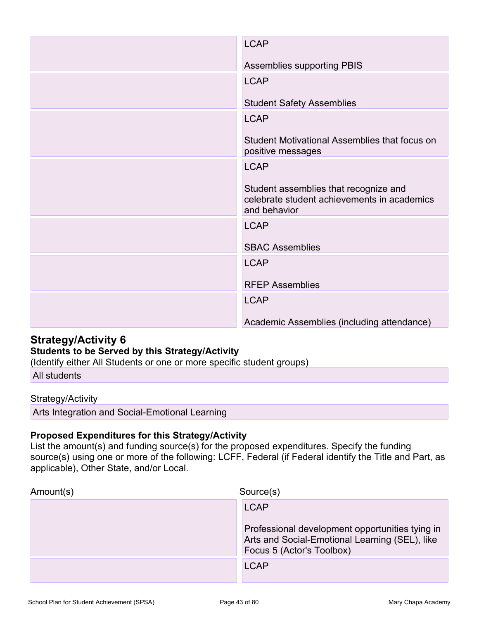|                                                                                                                                                                                            | <b>LCAP</b>                                                                                             |
|--------------------------------------------------------------------------------------------------------------------------------------------------------------------------------------------|---------------------------------------------------------------------------------------------------------|
|                                                                                                                                                                                            | <b>Assemblies supporting PBIS</b>                                                                       |
|                                                                                                                                                                                            | <b>LCAP</b>                                                                                             |
|                                                                                                                                                                                            | <b>Student Safety Assemblies</b>                                                                        |
|                                                                                                                                                                                            | <b>LCAP</b>                                                                                             |
|                                                                                                                                                                                            | Student Motivational Assemblies that focus on<br>positive messages                                      |
|                                                                                                                                                                                            | <b>LCAP</b>                                                                                             |
|                                                                                                                                                                                            | Student assemblies that recognize and<br>celebrate student achievements in academics<br>and behavior    |
|                                                                                                                                                                                            | <b>LCAP</b>                                                                                             |
|                                                                                                                                                                                            | <b>SBAC Assemblies</b>                                                                                  |
|                                                                                                                                                                                            | <b>LCAP</b>                                                                                             |
|                                                                                                                                                                                            | <b>RFEP Assemblies</b>                                                                                  |
|                                                                                                                                                                                            | <b>LCAP</b>                                                                                             |
|                                                                                                                                                                                            | Academic Assemblies (including attendance)                                                              |
| <b>Strategy/Activity 6</b><br><b>Students to be Served by this Strategy/Activity</b><br>(Identify either All Students or one or more specific student groups)                              |                                                                                                         |
| All students                                                                                                                                                                               |                                                                                                         |
| Strategy/Activity                                                                                                                                                                          |                                                                                                         |
| Arts Integration and Social-Emotional Learning                                                                                                                                             |                                                                                                         |
| Proposed Expenditures for this Strategy/Activity<br>List the amount(s) and funding source(s) for the proposed expenditures. Specify the funding<br>applicable), Other State, and/or Local. | source(s) using one or more of the following: LCFF, Federal (if Federal identify the Title and Part, as |
| Amount(s)                                                                                                                                                                                  | Source(s)                                                                                               |

### Students to be Served by this Strategy/Activity

#### Strategy/Activity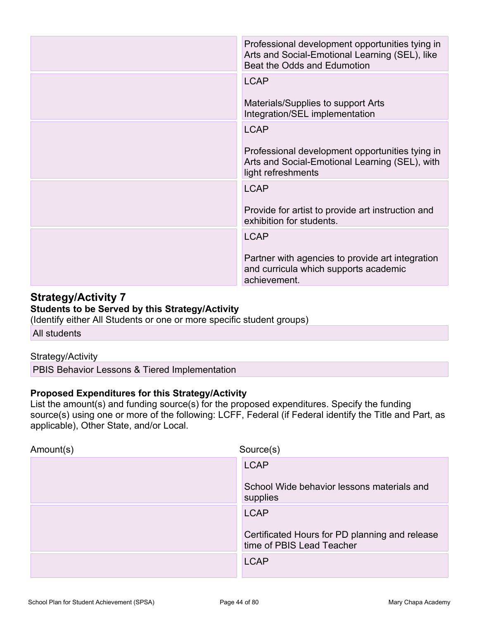|                                                                                                                                                               | Professional development opportunities tying in<br>Arts and Social-Emotional Learning (SEL), like<br>Beat the Odds and Edumotion                                                                       |
|---------------------------------------------------------------------------------------------------------------------------------------------------------------|--------------------------------------------------------------------------------------------------------------------------------------------------------------------------------------------------------|
|                                                                                                                                                               | <b>LCAP</b>                                                                                                                                                                                            |
|                                                                                                                                                               | Materials/Supplies to support Arts<br>Integration/SEL implementation                                                                                                                                   |
|                                                                                                                                                               | <b>LCAP</b>                                                                                                                                                                                            |
|                                                                                                                                                               | Professional development opportunities tying in<br>Arts and Social-Emotional Learning (SEL), with<br>light refreshments                                                                                |
|                                                                                                                                                               | <b>LCAP</b>                                                                                                                                                                                            |
|                                                                                                                                                               | Provide for artist to provide art instruction and<br>exhibition for students.                                                                                                                          |
|                                                                                                                                                               | <b>LCAP</b>                                                                                                                                                                                            |
|                                                                                                                                                               | Partner with agencies to provide art integration<br>and curricula which supports academic<br>achievement.                                                                                              |
| <b>Strategy/Activity 7</b><br><b>Students to be Served by this Strategy/Activity</b><br>(Identify either All Students or one or more specific student groups) |                                                                                                                                                                                                        |
| All students                                                                                                                                                  |                                                                                                                                                                                                        |
| Strategy/Activity                                                                                                                                             |                                                                                                                                                                                                        |
| PBIS Behavior Lessons & Tiered Implementation                                                                                                                 |                                                                                                                                                                                                        |
| <b>Proposed Expenditures for this Strategy/Activity</b><br>applicable), Other State, and/or Local.                                                            | List the amount(s) and funding source(s) for the proposed expenditures. Specify the funding<br>source(s) using one or more of the following: LCFF, Federal (if Federal identify the Title and Part, as |
| Amount(s)                                                                                                                                                     | Source(s)                                                                                                                                                                                              |

### Strategy/Activity 7 Students to be Served by this Strategy/Activity

### Strategy/Activity

| Source(s)<br>Amount(s)                                                      |  |
|-----------------------------------------------------------------------------|--|
| <b>LCAP</b>                                                                 |  |
| School Wide behavior lessons materials and<br>supplies                      |  |
| <b>LCAP</b>                                                                 |  |
| Certificated Hours for PD planning and release<br>time of PBIS Lead Teacher |  |
| <b>LCAP</b>                                                                 |  |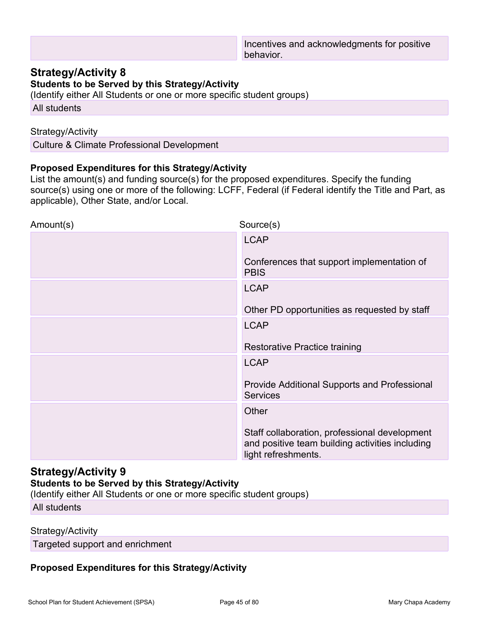Students to be Served by this Strategy/Activity

(Identify either All Students or one or more specific student groups)

All students

#### Strategy/Activity

Culture & Climate Professional Development

### Proposed Expenditures for this Strategy/Activity

Incentives and acknowledgments for positive<br> **Strategy/Activity 8**<br> **Students to be Served by this Strategy/Activity**<br>
(Identify either All Students or one or more specific student groups)<br>
All students<br>
Strategy/Activity<br> source(s) using one or more of the following: LCFF, Federal (if Federal identify the Title and Part, as applicable), Other State, and/or Local.

| Source(s)<br>Amount(s)<br><b>LCAP</b><br>Conferences that support implementation of<br><b>PBIS</b><br><b>LCAP</b><br>Other PD opportunities as requested by staff<br><b>LCAP</b><br><b>Restorative Practice training</b><br><b>LCAP</b><br>Provide Additional Supports and Professional<br><b>Services</b><br>Other<br>Staff collaboration, professional development<br>and positive team building activities including | List the amount(s) and funding source(s) for the proposed experimitures. Opecify the funding<br>applicable), Other State, and/or Local. | source(s) using one or more of the following: LCFF, Federal (if Federal identify the Title and Part, as |
|-------------------------------------------------------------------------------------------------------------------------------------------------------------------------------------------------------------------------------------------------------------------------------------------------------------------------------------------------------------------------------------------------------------------------|-----------------------------------------------------------------------------------------------------------------------------------------|---------------------------------------------------------------------------------------------------------|
|                                                                                                                                                                                                                                                                                                                                                                                                                         |                                                                                                                                         |                                                                                                         |
|                                                                                                                                                                                                                                                                                                                                                                                                                         |                                                                                                                                         |                                                                                                         |
|                                                                                                                                                                                                                                                                                                                                                                                                                         |                                                                                                                                         |                                                                                                         |
|                                                                                                                                                                                                                                                                                                                                                                                                                         |                                                                                                                                         |                                                                                                         |
|                                                                                                                                                                                                                                                                                                                                                                                                                         |                                                                                                                                         |                                                                                                         |
|                                                                                                                                                                                                                                                                                                                                                                                                                         |                                                                                                                                         |                                                                                                         |
|                                                                                                                                                                                                                                                                                                                                                                                                                         |                                                                                                                                         |                                                                                                         |
|                                                                                                                                                                                                                                                                                                                                                                                                                         |                                                                                                                                         |                                                                                                         |
|                                                                                                                                                                                                                                                                                                                                                                                                                         |                                                                                                                                         |                                                                                                         |
|                                                                                                                                                                                                                                                                                                                                                                                                                         |                                                                                                                                         |                                                                                                         |
|                                                                                                                                                                                                                                                                                                                                                                                                                         |                                                                                                                                         | light refreshments.                                                                                     |

### Strategy/Activity 9

### Students to be Served by this Strategy/Activity

(Identify either All Students or one or more specific student groups) All students

#### Strategy/Activity

Targeted support and enrichment

### Proposed Expenditures for this Strategy/Activity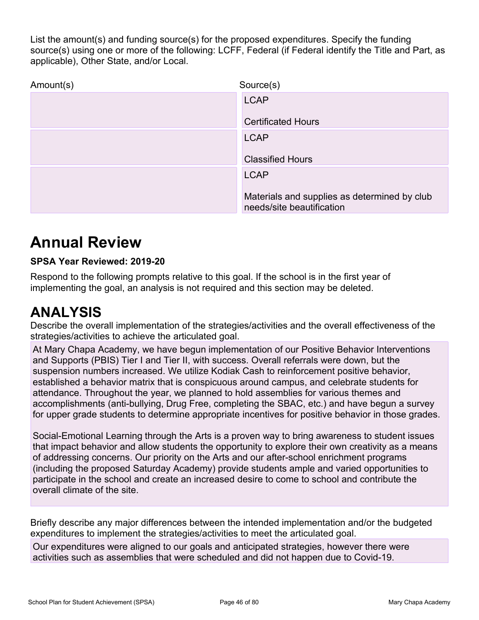List the amount(s) and funding source(s) for the proposed expenditures. Specify the funding<br>source(s) using one or more of the following: LCFF, Federal (if Federal identify the Title and Part, as<br>applicable), Other State, source(s) using one or more of the following: LCFF, Federal (if Federal identify the Title and Part, as applicable), Other State, and/or Local.

| Source(s)                                                                 |
|---------------------------------------------------------------------------|
| <b>LCAP</b>                                                               |
| <b>Certificated Hours</b>                                                 |
| <b>LCAP</b>                                                               |
| <b>Classified Hours</b>                                                   |
| <b>LCAP</b>                                                               |
| Materials and supplies as determined by club<br>needs/site beautification |
|                                                                           |

# Annual Review

### SPSA Year Reviewed: 2019-20

Respond to the following prompts relative to this goal. If the school is in the first year of implementing the goal, an analysis is not required and this section may be deleted.

# ANALYSIS

Describe the overall implementation of the strategies/activities and the overall effectiveness of the strategies/activities to achieve the articulated goal.

At Mary Chapa Academy, we have begun implementation of our Positive Behavior Interventions and Supports (PBIS) Tier I and Tier II, with success. Overall referrals were down, but the suspension numbers increased. We utilize Kodiak Cash to reinforcement positive behavior, established a behavior matrix that is conspicuous around campus, and celebrate students for attendance. Throughout the year, we planned to hold assemblies for various themes and accomplishments (anti-bullying, Drug Free, completing the SBAC, etc.) and have begun a survey for upper grade students to determine appropriate incentives for positive behavior in those grades. Exercise the controllary and the students and the school is in the first year of<br>
Respond to the following prompts relative to this goal. If the school is in the first year of<br>
mplementing the goal, an analysis is not requ Respond to the following prompts relative to this goal. If the school is in the first year of the pollometring the goal, an analysis is not required and this section may be deleted.<br>
ANALYSIS<br>
Describe the overall implemen Describe the overall implementation of the strategies/activities and the overall effectiveness of the strategies/activities to achieve the ariticulated goal.<br>
At Mary Chapa Academy, we have begun implementation of our Posi At Mary Chapa Academy, we have begun implementation of our Positive Behavior Interventions<br>auspension (PBIS) Tier I and Tier II, with success. Overall referrals were down, but the<br>suspension numbers increased. We utilize K

Social-Emotional Learning through the Arts is a proven way to bring awareness to student issues that impact behavior and allow students the opportunity to explore their own creativity as a means of addressing concerns. Our priority on the Arts and our after-school enrichment programs overall climate of the site.

expenditures to implement the strategies/activities to meet the articulated goal.

activities such as assemblies that were scheduled and did not happen due to Covid-19.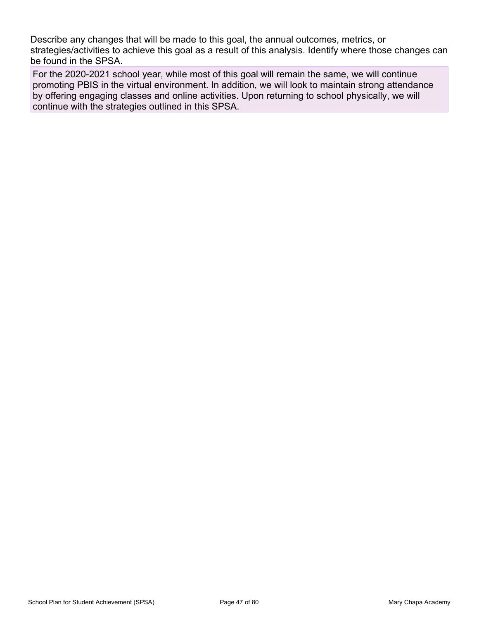Describe any changes that will be made to this goal, the annual outcomes, metrics, or<br>strategies/activities to achieve this goal as a result of this analysis. Identify where those changes can<br>be found in the SPSA.<br>For the strategies/activities to achieve this goal as a result of this analysis. Identify where those changes can be found in the SPSA.

For the 2020-2021 school year, while most of this goal will remain the same, we will continue promoting PBIS in the virtual environment. In addition, we will look to maintain strong attendance by offering engaging classes and online activities. Upon returning to school physically, we will continue with the strategies outlined in this SPSA.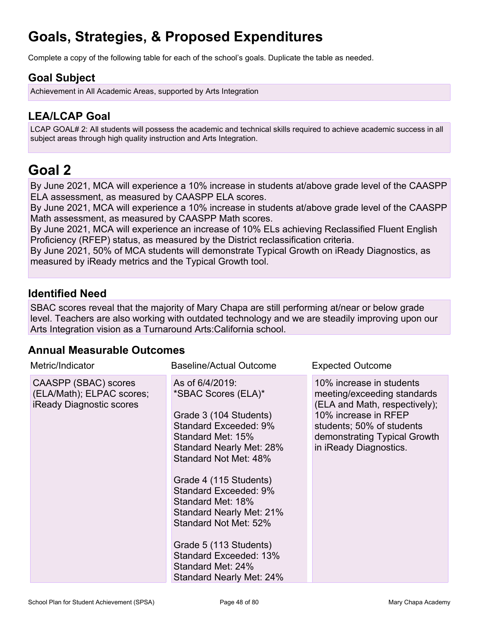# Goals, Strategies, & Proposed Expenditures

Complete a copy of the following table for each of the school's goals. Duplicate the table as needed.

### Goal Subject

Achievement in All Academic Areas, supported by Arts Integration

# LEA/LCAP Goal

LCAP GOAL# 2: All students will possess the academic and technical skills required to achieve academic success in all **Goals, Strategies, & Proposed Expenditures**<br>Complete a copy of the following table for each of the school's goals. Duplicate the table<br>**Goal Subject**<br>Achievement in All Academic Areas, supported by Arts Integration.<br>LEA/L

# Goal 2

By June 2021, MCA will experience a 10% increase in students at/above grade level of the CAASPP ELA assessment, as measured by CAASPP ELA scores.

By June 2021, MCA will experience a 10% increase in students at/above grade level of the CAASPP Math assessment, as measured by CAASPP Math scores.

By June 2021, MCA will experience an increase of 10% ELs achieving Reclassified Fluent English Proficiency (RFEP) status, as measured by the District reclassification criteria.

By June 2021, 50% of MCA students will demonstrate Typical Growth on iReady Diagnostics, as measured by iReady metrics and the Typical Growth tool.

### Identified Need

SBAC scores reveal that the majority of Mary Chapa are still performing at/near or below grade level. Teachers are also working with outdated technology and we are steadily improving upon our Arts Integration vision as a Turnaround Arts:California school.

### Annual Measurable Outcomes

| Metric/Indicator                                                                     | <b>Baseline/Actual Outcome</b>                                                                                                                                                                                                                                                                                                                                                                        | <b>Expected Outcome</b>                                                                                                                                                                                 |  |
|--------------------------------------------------------------------------------------|-------------------------------------------------------------------------------------------------------------------------------------------------------------------------------------------------------------------------------------------------------------------------------------------------------------------------------------------------------------------------------------------------------|---------------------------------------------------------------------------------------------------------------------------------------------------------------------------------------------------------|--|
| CAASPP (SBAC) scores<br>(ELA/Math); ELPAC scores;<br><b>iReady Diagnostic scores</b> | As of 6/4/2019:<br>*SBAC Scores (ELA)*<br>Grade 3 (104 Students)<br>Standard Exceeded: 9%<br>Standard Met: 15%<br>Standard Nearly Met: 28%<br>Standard Not Met: 48%<br>Grade 4 (115 Students)<br>Standard Exceeded: 9%<br>Standard Met: 18%<br>Standard Nearly Met: 21%<br>Standard Not Met: 52%<br>Grade 5 (113 Students)<br>Standard Exceeded: 13%<br>Standard Met: 24%<br>Standard Nearly Met: 24% | 10% increase in students<br>meeting/exceeding standards<br>(ELA and Math, respectively);<br>10% increase in RFEP<br>students; 50% of students<br>demonstrating Typical Growth<br>in iReady Diagnostics. |  |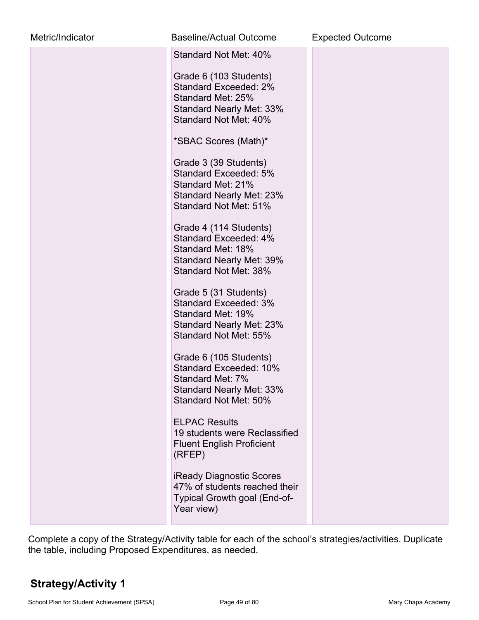| Metric/Indicator | <b>Baseline/Actual Outcome</b>                                                                                                                                                                                                                                                                                                                                                                                                                                                                                                                                                                                                                                                                                                                                                                                                      | <b>Expected Outcome</b> |
|------------------|-------------------------------------------------------------------------------------------------------------------------------------------------------------------------------------------------------------------------------------------------------------------------------------------------------------------------------------------------------------------------------------------------------------------------------------------------------------------------------------------------------------------------------------------------------------------------------------------------------------------------------------------------------------------------------------------------------------------------------------------------------------------------------------------------------------------------------------|-------------------------|
|                  | Standard Not Met: 40%<br>Grade 6 (103 Students)<br>Standard Exceeded: 2%<br>Standard Met: 25%<br><b>Standard Nearly Met: 33%</b><br>Standard Not Met: 40%<br>*SBAC Scores (Math)*<br>Grade 3 (39 Students)<br>Standard Exceeded: 5%<br>Standard Met: 21%<br><b>Standard Nearly Met: 23%</b><br>Standard Not Met: 51%<br>Grade 4 (114 Students)<br>Standard Exceeded: 4%<br>Standard Met: 18%<br><b>Standard Nearly Met: 39%</b><br>Standard Not Met: 38%<br>Grade 5 (31 Students)<br><b>Standard Exceeded: 3%</b><br>Standard Met: 19%<br><b>Standard Nearly Met: 23%</b><br>Standard Not Met: 55%<br>Grade 6 (105 Students)<br>Standard Exceeded: 10%<br>Standard Met: 7%<br><b>Standard Nearly Met: 33%</b><br>Standard Not Met: 50%<br><b>ELPAC Results</b><br>19 students were Reclassified<br><b>Fluent English Proficient</b> |                         |
|                  | (RFEP)<br><b>iReady Diagnostic Scores</b><br>47% of students reached their<br>Typical Growth goal (End-of-<br>Year view)                                                                                                                                                                                                                                                                                                                                                                                                                                                                                                                                                                                                                                                                                                            |                         |

Complete a copy of the Strategy/Activity table for each of the school's strategies/activities. Duplicate the table, including Proposed Expenditures, as needed.

# Strategy/Activity 1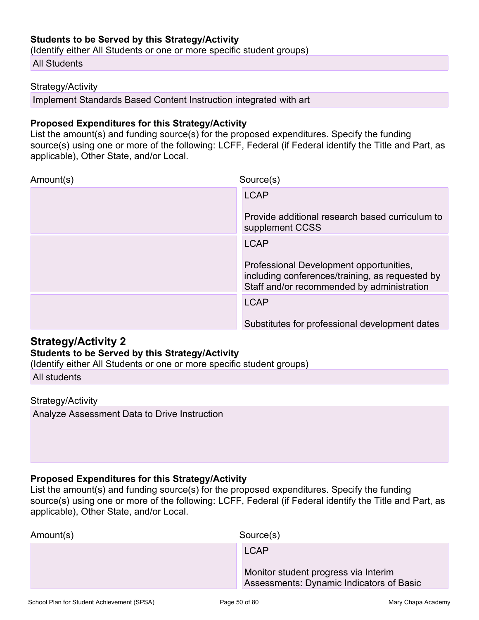### Students to be Served by this Strategy/Activity

(Identify either All Students or one or more specific student groups)

All Students

#### Strategy/Activity

Implement Standards Based Content Instruction integrated with art

#### Proposed Expenditures for this Strategy/Activity

Students to be Served by this Strategy/Activity<br>
(Identify either All Students<br>
Strategy/Activity<br>
Strategy/Activity<br>
Implement Standards Based Content Instruction integrated with art<br> **Proposed Expenditures for this Strat** source(s) using one or more of the following: LCFF, Federal (if Federal identify the Title and Part, as applicable), Other State, and/or Local.

| Amount(s)                                                                                                                                                                                         | Source(s)                                                                                                                                |
|---------------------------------------------------------------------------------------------------------------------------------------------------------------------------------------------------|------------------------------------------------------------------------------------------------------------------------------------------|
|                                                                                                                                                                                                   | <b>LCAP</b><br>Provide additional research based curriculum to                                                                           |
|                                                                                                                                                                                                   | supplement CCSS                                                                                                                          |
|                                                                                                                                                                                                   | <b>LCAP</b>                                                                                                                              |
|                                                                                                                                                                                                   | Professional Development opportunities,<br>including conferences/training, as requested by<br>Staff and/or recommended by administration |
|                                                                                                                                                                                                   | <b>LCAP</b>                                                                                                                              |
|                                                                                                                                                                                                   | Substitutes for professional development dates                                                                                           |
| <b>Strategy/Activity 2</b><br><b>Students to be Served by this Strategy/Activity</b><br>(Identify either All Students or one or more specific student groups)                                     |                                                                                                                                          |
| All students                                                                                                                                                                                      |                                                                                                                                          |
| Strategy/Activity                                                                                                                                                                                 |                                                                                                                                          |
| Analyze Assessment Data to Drive Instruction                                                                                                                                                      |                                                                                                                                          |
|                                                                                                                                                                                                   |                                                                                                                                          |
| <b>Proposed Expenditures for this Strategy/Activity</b><br>List the amount(s) and funding source(s) for the proposed expenditures. Specify the funding<br>applicable), Other State, and/or Local. | source(s) using one or more of the following: LCFF, Federal (if Federal identify the Title and Part, as                                  |
| Amount(s)                                                                                                                                                                                         | Source(s)                                                                                                                                |

### Strategy/Activity 2

### Students to be Served by this Strategy/Activity

### Strategy/Activity

### Proposed Expenditures for this Strategy/Activity

| Amount(s) | Source(s)                                                                        |  |
|-----------|----------------------------------------------------------------------------------|--|
|           | <b>LCAP</b>                                                                      |  |
|           | Monitor student progress via Interim<br>Assessments: Dynamic Indicators of Basic |  |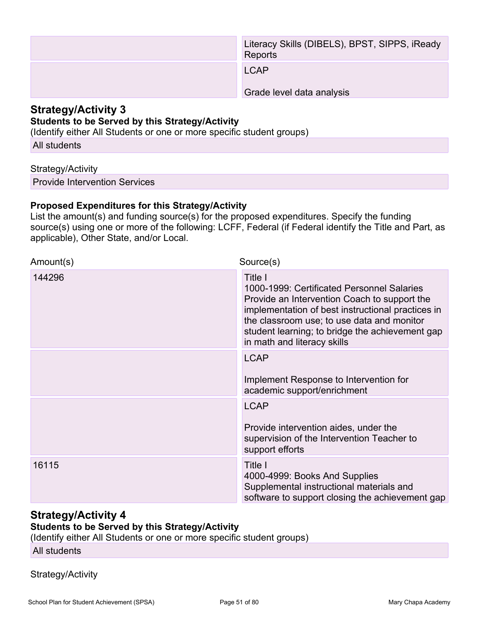|                                                                                                                                                               | Literacy Skills (DIBELS), BPST, SIPPS, iReady<br>Reports                                                                                                                                               |
|---------------------------------------------------------------------------------------------------------------------------------------------------------------|--------------------------------------------------------------------------------------------------------------------------------------------------------------------------------------------------------|
|                                                                                                                                                               | <b>LCAP</b>                                                                                                                                                                                            |
|                                                                                                                                                               | Grade level data analysis                                                                                                                                                                              |
| <b>Strategy/Activity 3</b><br><b>Students to be Served by this Strategy/Activity</b><br>(Identify either All Students or one or more specific student groups) |                                                                                                                                                                                                        |
| All students                                                                                                                                                  |                                                                                                                                                                                                        |
| Strategy/Activity                                                                                                                                             |                                                                                                                                                                                                        |
| <b>Provide Intervention Services</b>                                                                                                                          |                                                                                                                                                                                                        |
| <b>Proposed Expenditures for this Strategy/Activity</b><br>applicable), Other State, and/or Local.                                                            | List the amount(s) and funding source(s) for the proposed expenditures. Specify the funding<br>source(s) using one or more of the following: LCFF, Federal (if Federal identify the Title and Part, as |
| Amount(s)                                                                                                                                                     | Source(s)                                                                                                                                                                                              |

#### Strategy/Activity 3 Students to be Served by this Strategy/Activity

### Strategy/Activity

### Proposed Expenditures for this Strategy/Activity

| Amount(s) | Source(s)                                                                                                                                                                                                                                                                                  |
|-----------|--------------------------------------------------------------------------------------------------------------------------------------------------------------------------------------------------------------------------------------------------------------------------------------------|
| 144296    | Title I<br>1000-1999: Certificated Personnel Salaries<br>Provide an Intervention Coach to support the<br>implementation of best instructional practices in<br>the classroom use; to use data and monitor<br>student learning; to bridge the achievement gap<br>in math and literacy skills |
|           | <b>LCAP</b><br>Implement Response to Intervention for<br>academic support/enrichment                                                                                                                                                                                                       |
|           | <b>LCAP</b><br>Provide intervention aides, under the<br>supervision of the Intervention Teacher to<br>support efforts                                                                                                                                                                      |
| 16115     | Title I<br>4000-4999: Books And Supplies<br>Supplemental instructional materials and<br>software to support closing the achievement gap                                                                                                                                                    |

### Strategy/Activity 4

## Students to be Served by this Strategy/Activity

(Identify either All Students or one or more specific student groups)

All students

### Strategy/Activity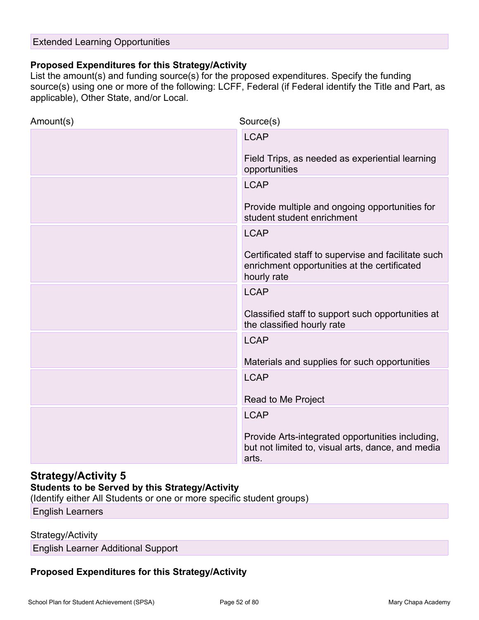### Extended Learning Opportunities

### Proposed Expenditures for this Strategy/Activity

Extended Learning Opportunities<br> **Proposed Expenditures for this Strategy/Activity**<br>
List the amount(s) and funding source(s) for the proposed expenditures. Specify the funding<br>
source(s) using one or more of the following source(s) using one or more of the following: LCFF, Federal (if Federal identify the Title and Part, as applicable), Other State, and/or Local.

| Amount(s)                                                                     | Source(s)                                                                                                          |
|-------------------------------------------------------------------------------|--------------------------------------------------------------------------------------------------------------------|
|                                                                               | <b>LCAP</b>                                                                                                        |
|                                                                               | Field Trips, as needed as experiential learning<br>opportunities                                                   |
|                                                                               | <b>LCAP</b>                                                                                                        |
|                                                                               | Provide multiple and ongoing opportunities for<br>student student enrichment                                       |
|                                                                               | <b>LCAP</b>                                                                                                        |
|                                                                               | Certificated staff to supervise and facilitate such<br>enrichment opportunities at the certificated<br>hourly rate |
|                                                                               | <b>LCAP</b>                                                                                                        |
|                                                                               | Classified staff to support such opportunities at<br>the classified hourly rate                                    |
|                                                                               | <b>LCAP</b>                                                                                                        |
|                                                                               | Materials and supplies for such opportunities                                                                      |
|                                                                               | <b>LCAP</b>                                                                                                        |
|                                                                               | Read to Me Project                                                                                                 |
|                                                                               | <b>LCAP</b>                                                                                                        |
|                                                                               | Provide Arts-integrated opportunities including,<br>but not limited to, visual arts, dance, and media<br>arts.     |
| <b>Strategy/Activity 5</b><br>Students to be Served by this Strategy/Activity |                                                                                                                    |

### Strategy/Activity 5

### Students to be Served by this Strategy/Activity

(Identify either All Students or one or more specific student groups)

English Learners

#### Strategy/Activity

English Learner Additional Support

### Proposed Expenditures for this Strategy/Activity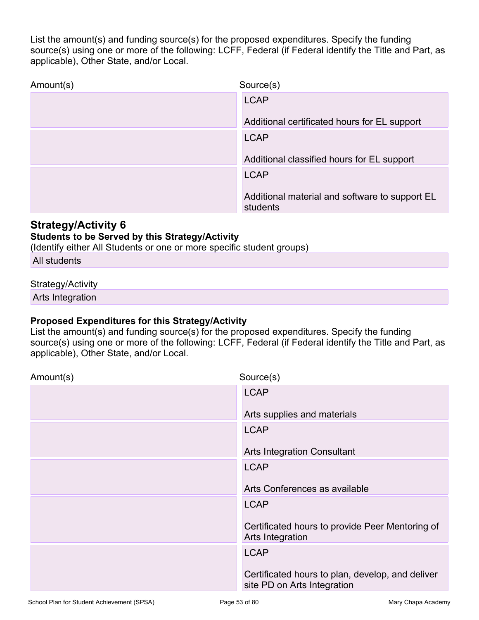List the amount(s) and funding source(s) for the proposed expenditures. Specify the funding<br>source(s) using one or more of the following: LCFF, Federal (if Federal identify the Title and Part, as<br>applicable), Other State, source(s) using one or more of the following: LCFF, Federal (if Federal identify the Title and Part, as applicable), Other State, and/or Local.

| Amount(s)                                                                                                                                                                                         | Source(s)                                                                                               |
|---------------------------------------------------------------------------------------------------------------------------------------------------------------------------------------------------|---------------------------------------------------------------------------------------------------------|
|                                                                                                                                                                                                   | <b>LCAP</b>                                                                                             |
|                                                                                                                                                                                                   | Additional certificated hours for EL support                                                            |
|                                                                                                                                                                                                   | <b>LCAP</b>                                                                                             |
|                                                                                                                                                                                                   | Additional classified hours for EL support                                                              |
|                                                                                                                                                                                                   | <b>LCAP</b>                                                                                             |
|                                                                                                                                                                                                   | Additional material and software to support EL<br>students                                              |
| <b>Strategy/Activity 6</b><br><b>Students to be Served by this Strategy/Activity</b><br>(Identify either All Students or one or more specific student groups)                                     |                                                                                                         |
| All students                                                                                                                                                                                      |                                                                                                         |
| Strategy/Activity                                                                                                                                                                                 |                                                                                                         |
| Arts Integration                                                                                                                                                                                  |                                                                                                         |
| <b>Proposed Expenditures for this Strategy/Activity</b><br>List the amount(s) and funding source(s) for the proposed expenditures. Specify the funding<br>applicable), Other State, and/or Local. | source(s) using one or more of the following: LCFF, Federal (if Federal identify the Title and Part, as |
| Amount(s)                                                                                                                                                                                         | Source(s)                                                                                               |

### Strategy/Activity 6

### Students to be Served by this Strategy/Activity

### Strategy/Activity

### Proposed Expenditures for this Strategy/Activity

| Amount(s) | Source(s)                                                                       |
|-----------|---------------------------------------------------------------------------------|
|           | <b>LCAP</b>                                                                     |
|           | Arts supplies and materials                                                     |
|           | <b>LCAP</b>                                                                     |
|           | <b>Arts Integration Consultant</b>                                              |
|           | <b>LCAP</b>                                                                     |
|           | Arts Conferences as available                                                   |
|           | <b>LCAP</b>                                                                     |
|           | Certificated hours to provide Peer Mentoring of<br>Arts Integration             |
|           | <b>LCAP</b>                                                                     |
|           | Certificated hours to plan, develop, and deliver<br>site PD on Arts Integration |
|           |                                                                                 |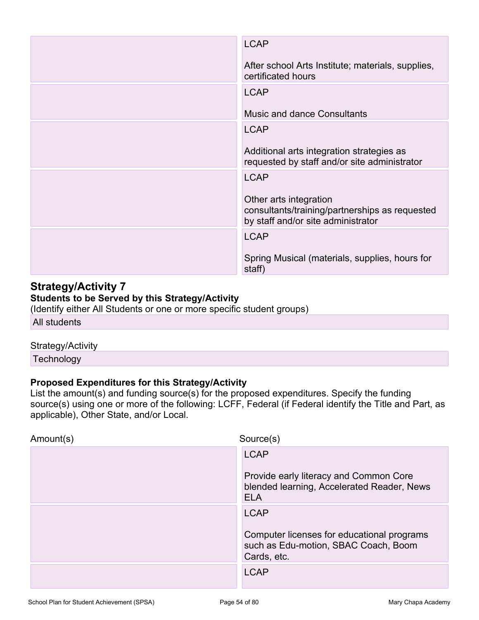|                                                                                                                                                                        | <b>LCAP</b>                                                                                                    |
|------------------------------------------------------------------------------------------------------------------------------------------------------------------------|----------------------------------------------------------------------------------------------------------------|
|                                                                                                                                                                        | After school Arts Institute; materials, supplies,<br>certificated hours                                        |
|                                                                                                                                                                        | <b>LCAP</b>                                                                                                    |
|                                                                                                                                                                        | <b>Music and dance Consultants</b>                                                                             |
|                                                                                                                                                                        | <b>LCAP</b>                                                                                                    |
|                                                                                                                                                                        | Additional arts integration strategies as<br>requested by staff and/or site administrator                      |
|                                                                                                                                                                        | <b>LCAP</b>                                                                                                    |
|                                                                                                                                                                        | Other arts integration<br>consultants/training/partnerships as requested<br>by staff and/or site administrator |
|                                                                                                                                                                        | <b>LCAP</b>                                                                                                    |
|                                                                                                                                                                        | Spring Musical (materials, supplies, hours for<br>staff)                                                       |
| <b>Strategy/Activity 7</b><br>Students to be Served by this Strategy/Activity<br>(Identify either All Students or one or more specific student groups)<br>All students |                                                                                                                |
| Strategy/Activity<br>Technology                                                                                                                                        |                                                                                                                |
| Proposed Expenditures for this Strategy/Activity                                                                                                                       | List the amount(s) and funding source(s) for the proposed expenditures. Specify the funding                    |
| applicable), Other State, and/or Local.                                                                                                                                | source(s) using one or more of the following: LCFF, Federal (if Federal identify the Title and Part, as        |
| Amount(s)                                                                                                                                                              | Source(s)                                                                                                      |

### Students to be Served by this Strategy/Activity

### Strategy/Activity

| Amount(s) | Source(s)                                                                                          |  |
|-----------|----------------------------------------------------------------------------------------------------|--|
|           | <b>LCAP</b>                                                                                        |  |
|           | Provide early literacy and Common Core<br>blended learning, Accelerated Reader, News<br><b>ELA</b> |  |
|           | <b>LCAP</b>                                                                                        |  |
|           | Computer licenses for educational programs<br>such as Edu-motion, SBAC Coach, Boom<br>Cards, etc.  |  |
|           | <b>LCAP</b>                                                                                        |  |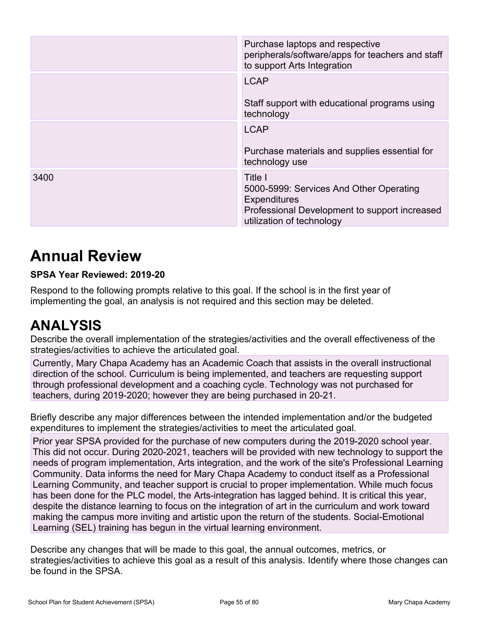|      | Purchase laptops and respective<br>peripherals/software/apps for teachers and staff<br>to support Arts Integration                                      |
|------|---------------------------------------------------------------------------------------------------------------------------------------------------------|
|      | <b>LCAP</b><br>Staff support with educational programs using<br>technology                                                                              |
|      | <b>LCAP</b><br>Purchase materials and supplies essential for<br>technology use                                                                          |
| 3400 | Title I<br>5000-5999: Services And Other Operating<br><b>Expenditures</b><br>Professional Development to support increased<br>utilization of technology |

# Annual Review

### SPSA Year Reviewed: 2019-20

Respond to the following prompts relative to this goal. If the school is in the first year of implementing the goal, an analysis is not required and this section may be deleted.

# ANALYSIS

Describe the overall implementation of the strategies/activities and the overall effectiveness of the strategies/activities to achieve the articulated goal.

Currently, Mary Chapa Academy has an Academic Coach that assists in the overall instructional direction of the school. Curriculum is being implemented, and teachers are requesting support through professional development and a coaching cycle. Technology was not purchased for teachers, during 2019-2020; however they are being purchased in 20-21. Example 11 **CONDUP 12 2019-2020**<br> **Bridge any many many manufolic system of the filter scribe and the intended implementing the goal, an analysis is not required and this section may be deleted.<br>
ANALYSIS<br>
Describe the ove** 

expenditures to implement the strategies/activities to meet the articulated goal.

Prior year SPSA provided for the purchase of new computers during the 2019-2020 school year. This did not occur. During 2020-2021, teachers will be provided with new technology to support the needs of program implementation, Arts integration, and the work of the site's Professional Learning Community. Data informs the need for Mary Chapa Academy to conduct itself as a Professional Learning Community, and teacher support is crucial to proper implementation. While much focus has been done for the PLC model, the Arts-integration has lagged behind. It is critical this year, despite the distance learning to focus on the integration of art in the curriculum and work toward making the campus more inviting and artistic upon the return of the students. Social-Emotional Learning (SEL) training has begun in the virtual learning environment. strategies/activities to achieve the articulated goal.<br>
Curricultum diversion Academy has an Academic Coach that assists in the overall instructional<br>
direction of the school. Curriculum is being implemented, and teachers

strategies/activities to achieve this goal as a result of this analysis. Identify where those changes can be found in the SPSA.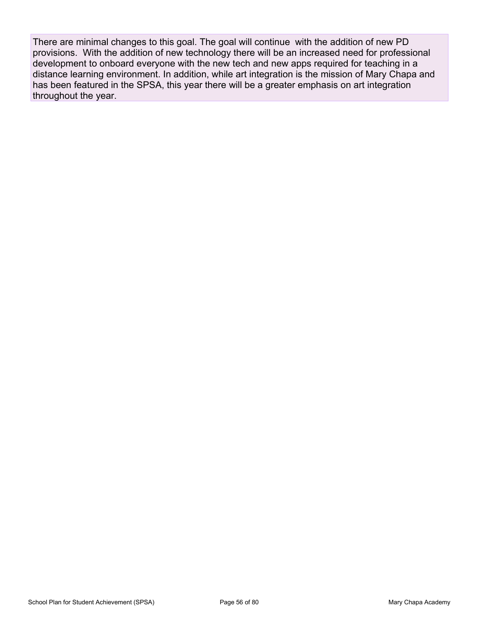There are minimal changes to this goal. The goal will continue with the addition of new PD provisions. With the addition of new technology there will be an increased need for professional development to onboard everyone with the new tech and new apps required for teaching in a distance learning environment. In addition, while art integration is the mission of Mary Chapa and has been featured in the SPSA, this year there will be a greater emphasis on art integration throughout the year.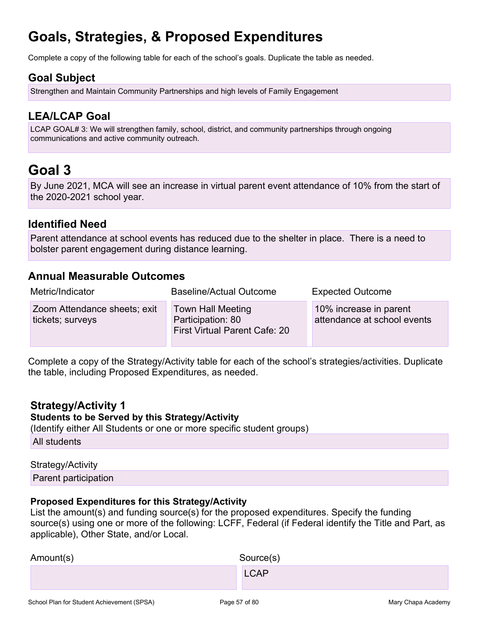# Goals, Strategies, & Proposed Expenditures

Complete a copy of the following table for each of the school's goals. Duplicate the table as needed.

### Goal Subject

### LEA/LCAP Goal

**Goals, Strategies, & Proposed Expenditures**<br>Complete a copy of the following table for each of the school's goals. Duplicate the table as needed.<br>**Soal Subject**<br>Strengthen and Maintain Community Partnerships and high leve LCAP GOAL# 3: We will strengthen family, school, district, and community partnerships through ongoing communications and active community outreach.

# Goal 3

By June 2021, MCA will see an increase in virtual parent event attendance of 10% from the start of the 2020-2021 school year.

### Identified Need

Parent attendance at school events has reduced due to the shelter in place. There is a need to bolster parent engagement during distance learning.

### Annual Measurable Outcomes

| Annual Measurable Outcomes                                                                         |                                                                                                                                                                                                        |                                                       |
|----------------------------------------------------------------------------------------------------|--------------------------------------------------------------------------------------------------------------------------------------------------------------------------------------------------------|-------------------------------------------------------|
| Metric/Indicator                                                                                   | <b>Baseline/Actual Outcome</b>                                                                                                                                                                         | <b>Expected Outcome</b>                               |
| Zoom Attendance sheets; exit<br>tickets; surveys                                                   | <b>Town Hall Meeting</b><br>Participation: 80<br><b>First Virtual Parent Cafe: 20</b>                                                                                                                  | 10% increase in parent<br>attendance at school events |
| the table, including Proposed Expenditures, as needed.                                             | Complete a copy of the Strategy/Activity table for each of the school's strategies/activities. Duplicate                                                                                               |                                                       |
| <b>Strategy/Activity 1</b><br><b>Students to be Served by this Strategy/Activity</b>               | (Identify either All Students or one or more specific student groups)                                                                                                                                  |                                                       |
| All students                                                                                       |                                                                                                                                                                                                        |                                                       |
| Strategy/Activity                                                                                  |                                                                                                                                                                                                        |                                                       |
| Parent participation                                                                               |                                                                                                                                                                                                        |                                                       |
| <b>Proposed Expenditures for this Strategy/Activity</b><br>applicable), Other State, and/or Local. | List the amount(s) and funding source(s) for the proposed expenditures. Specify the funding<br>source(s) using one or more of the following: LCFF, Federal (if Federal identify the Title and Part, as |                                                       |
| Amount(s)                                                                                          | Source(s)                                                                                                                                                                                              |                                                       |

### Strategy/Activity 1

### Students to be Served by this Strategy/Activity

#### Strategy/Activity

#### Proposed Expenditures for this Strategy/Activity

| Amount(s) | Source(s)   |
|-----------|-------------|
|           | <b>LCAP</b> |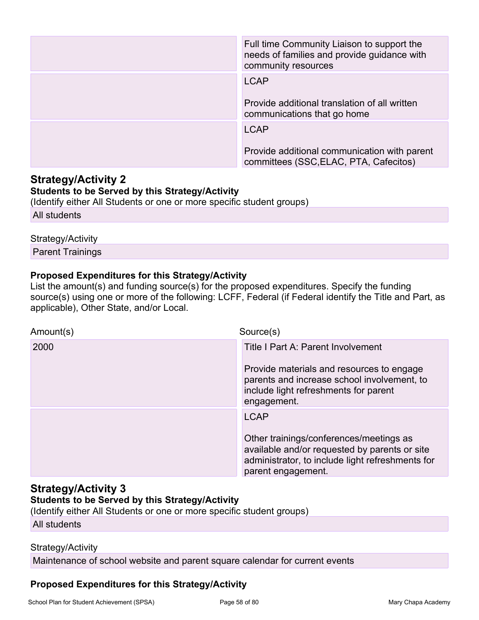|                                                                                                                                                                                                                                                                                                              | Full time Community Liaison to support the<br>needs of families and provide guidance with<br>community resources |
|--------------------------------------------------------------------------------------------------------------------------------------------------------------------------------------------------------------------------------------------------------------------------------------------------------------|------------------------------------------------------------------------------------------------------------------|
|                                                                                                                                                                                                                                                                                                              | <b>LCAP</b>                                                                                                      |
|                                                                                                                                                                                                                                                                                                              | Provide additional translation of all written<br>communications that go home                                     |
|                                                                                                                                                                                                                                                                                                              | <b>LCAP</b>                                                                                                      |
|                                                                                                                                                                                                                                                                                                              | Provide additional communication with parent<br>committees (SSC, ELAC, PTA, Cafecitos)                           |
| <b>Strategy/Activity 2</b><br><b>Students to be Served by this Strategy/Activity</b><br>(Identify either All Students or one or more specific student groups)                                                                                                                                                |                                                                                                                  |
| All students                                                                                                                                                                                                                                                                                                 |                                                                                                                  |
| Strategy/Activity                                                                                                                                                                                                                                                                                            |                                                                                                                  |
| <b>Parent Trainings</b>                                                                                                                                                                                                                                                                                      |                                                                                                                  |
| <b>Proposed Expenditures for this Strategy/Activity</b><br>List the amount(s) and funding source(s) for the proposed expenditures. Specify the funding<br>source(s) using one or more of the following: LCFF, Federal (if Federal identify the Title and Part, as<br>applicable), Other State, and/or Local. |                                                                                                                  |
| Amount(s)                                                                                                                                                                                                                                                                                                    | Source(s)                                                                                                        |

### Strategy/Activity 2 Students to be Served by this Strategy/Activity

### Strategy/Activity

### Proposed Expenditures for this Strategy/Activity

| Amount(s) | Source(s)                                                                                                                                                          |
|-----------|--------------------------------------------------------------------------------------------------------------------------------------------------------------------|
| 2000      | Title I Part A: Parent Involvement                                                                                                                                 |
|           | Provide materials and resources to engage<br>parents and increase school involvement, to<br>include light refreshments for parent<br>engagement.                   |
|           | <b>LCAP</b>                                                                                                                                                        |
|           | Other trainings/conferences/meetings as<br>available and/or requested by parents or site<br>administrator, to include light refreshments for<br>parent engagement. |

### Strategy/Activity 3 Students to be Served by this Strategy/Activity

(Identify either All Students or one or more specific student groups)

All students

### Strategy/Activity

Maintenance of school website and parent square calendar for current events

### Proposed Expenditures for this Strategy/Activity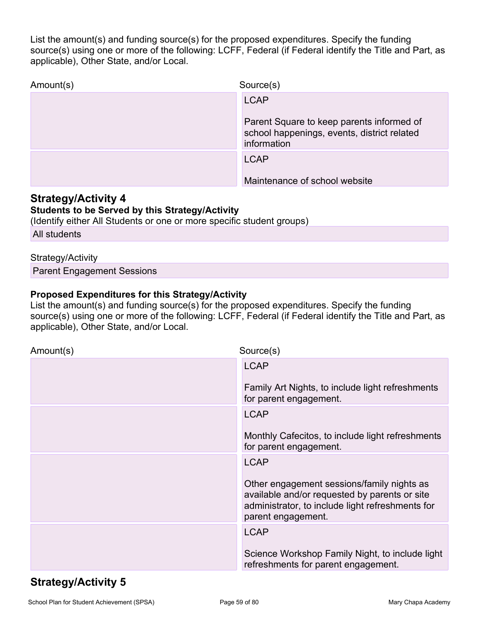List the amount(s) and funding source(s) for the proposed expenditures. Specify the funding<br>source(s) using one or more of the following: LCFF, Federal (if Federal identify the Title and Part, as<br>applicable), Other State, source(s) using one or more of the following: LCFF, Federal (if Federal identify the Title and Part, as applicable), Other State, and/or Local.

| Amount(s)                                                                                                                                                                                         | Source(s)                                                                                               |
|---------------------------------------------------------------------------------------------------------------------------------------------------------------------------------------------------|---------------------------------------------------------------------------------------------------------|
|                                                                                                                                                                                                   | <b>LCAP</b>                                                                                             |
|                                                                                                                                                                                                   | Parent Square to keep parents informed of<br>school happenings, events, district related<br>information |
|                                                                                                                                                                                                   | <b>LCAP</b>                                                                                             |
|                                                                                                                                                                                                   | Maintenance of school website                                                                           |
| <b>Strategy/Activity 4</b><br><b>Students to be Served by this Strategy/Activity</b><br>(Identify either All Students or one or more specific student groups)                                     |                                                                                                         |
| All students                                                                                                                                                                                      |                                                                                                         |
| Strategy/Activity                                                                                                                                                                                 |                                                                                                         |
| <b>Parent Engagement Sessions</b>                                                                                                                                                                 |                                                                                                         |
| <b>Proposed Expenditures for this Strategy/Activity</b><br>List the amount(s) and funding source(s) for the proposed expenditures. Specify the funding<br>applicable), Other State, and/or Local. | source(s) using one or more of the following: LCFF, Federal (if Federal identify the Title and Part, as |
| Amount(s)                                                                                                                                                                                         | Source(s)                                                                                               |

### Strategy/Activity 4

### Students to be Served by this Strategy/Activity

#### Strategy/Activity

### Proposed Expenditures for this Strategy/Activity

| Amount(s) | Source(s)                                                                                                                                                             |  |
|-----------|-----------------------------------------------------------------------------------------------------------------------------------------------------------------------|--|
|           | <b>LCAP</b>                                                                                                                                                           |  |
|           | Family Art Nights, to include light refreshments<br>for parent engagement.                                                                                            |  |
|           | <b>LCAP</b>                                                                                                                                                           |  |
|           | Monthly Cafecitos, to include light refreshments<br>for parent engagement.                                                                                            |  |
|           | <b>LCAP</b>                                                                                                                                                           |  |
|           | Other engagement sessions/family nights as<br>available and/or requested by parents or site<br>administrator, to include light refreshments for<br>parent engagement. |  |
|           | <b>LCAP</b>                                                                                                                                                           |  |
|           | Science Workshop Family Night, to include light<br>refreshments for parent engagement.                                                                                |  |

# Strategy/Activity 5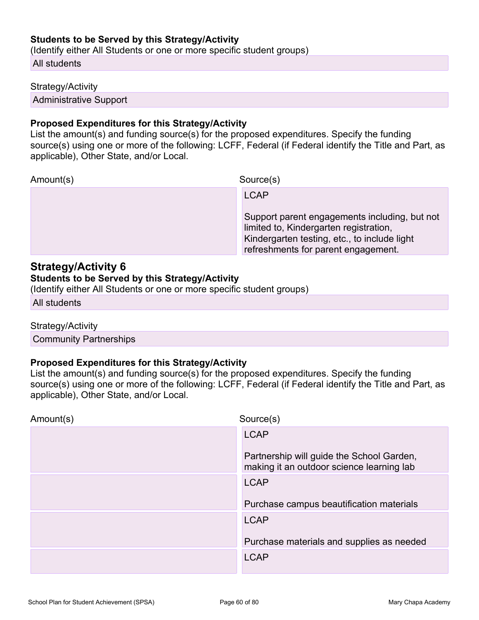#### Students to be Served by this Strategy/Activity

(Identify either All Students or one or more specific student groups)

All students

#### Strategy/Activity

Administrative Support

### Proposed Expenditures for this Strategy/Activity

Students to be Served by this Strategy/Activity<br>
(Identify either All Students or one or more specific student groups)<br>
All students<br>
Strategy/Activity<br>
Administrative Support<br>
Proposed Expenditures for this Strategy/Activ source(s) using one or more of the following: LCFF, Federal (if Federal identify the Title and Part, as applicable), Other State, and/or Local.

Amount(s) Source(s)

**LCAP LCAP LCAP** 

Support parent engagements including, but not limited to, Kindergarten registration, Kindergarten testing, etc., to include light refreshments for parent engagement.

### Strategy/Activity 6

#### Students to be Served by this Strategy/Activity

(Identify either All Students or one or more specific student groups)

All students

#### Strategy/Activity

Community Partnerships

#### Proposed Expenditures for this Strategy/Activity

Amount(s)<br>
LCAP<br>
Support parent engagements including, but not<br>
imided to, Kindergarten registration,<br>
Strategy/Activity 6<br>
Students to be Served by this Strategy/Activity<br>
(ldentify either All Students or one or more spec source(s) using one or more of the following: LCFF, Federal (if Federal identify the Title and Part, as applicable), Other State, and/or Local.

| Amount(s) | Source(s)                                                                              |  |
|-----------|----------------------------------------------------------------------------------------|--|
|           | <b>LCAP</b>                                                                            |  |
|           | Partnership will guide the School Garden,<br>making it an outdoor science learning lab |  |
|           | <b>LCAP</b>                                                                            |  |
|           | Purchase campus beautification materials                                               |  |
|           | <b>LCAP</b>                                                                            |  |
|           | Purchase materials and supplies as needed                                              |  |
|           | <b>LCAP</b>                                                                            |  |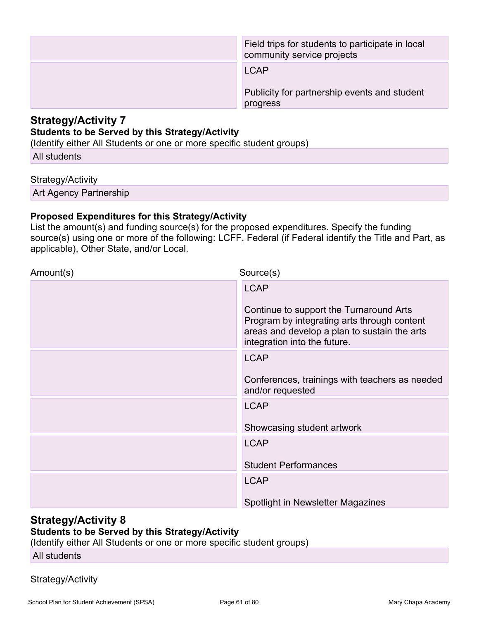|                                                                                                                                                               | Field trips for students to participate in local<br>community service projects                                                                                                                         |
|---------------------------------------------------------------------------------------------------------------------------------------------------------------|--------------------------------------------------------------------------------------------------------------------------------------------------------------------------------------------------------|
|                                                                                                                                                               | <b>LCAP</b>                                                                                                                                                                                            |
|                                                                                                                                                               | Publicity for partnership events and student<br>progress                                                                                                                                               |
| <b>Strategy/Activity 7</b><br><b>Students to be Served by this Strategy/Activity</b><br>(Identify either All Students or one or more specific student groups) |                                                                                                                                                                                                        |
| All students                                                                                                                                                  |                                                                                                                                                                                                        |
| Strategy/Activity                                                                                                                                             |                                                                                                                                                                                                        |
| Art Agency Partnership                                                                                                                                        |                                                                                                                                                                                                        |
| <b>Proposed Expenditures for this Strategy/Activity</b><br>applicable), Other State, and/or Local.                                                            | List the amount(s) and funding source(s) for the proposed expenditures. Specify the funding<br>source(s) using one or more of the following: LCFF, Federal (if Federal identify the Title and Part, as |
| Amount(s)                                                                                                                                                     | Source(s)                                                                                                                                                                                              |

### Strategy/Activity 7 Students to be Served by this Strategy/Activity

#### Strategy/Activity

### Proposed Expenditures for this Strategy/Activity

| <b>Students to be Served by this Strategy/Activity</b><br>(Identify either All Students or one or more specific student groups) |                                                                                                                                                                                                                                                                            |
|---------------------------------------------------------------------------------------------------------------------------------|----------------------------------------------------------------------------------------------------------------------------------------------------------------------------------------------------------------------------------------------------------------------------|
| All students                                                                                                                    |                                                                                                                                                                                                                                                                            |
| Strategy/Activity                                                                                                               |                                                                                                                                                                                                                                                                            |
| Art Agency Partnership                                                                                                          |                                                                                                                                                                                                                                                                            |
| <b>Proposed Expenditures for this Strategy/Activity</b><br>applicable), Other State, and/or Local.                              | List the amount(s) and funding source(s) for the proposed expenditures. Specify the funding<br>source(s) using one or more of the following: LCFF, Federal (if Federal identify the Title and Part, as                                                                     |
| Amount(s)                                                                                                                       | Source(s)                                                                                                                                                                                                                                                                  |
|                                                                                                                                 | <b>LCAP</b><br>Continue to support the Turnaround Arts<br>Program by integrating arts through content<br>areas and develop a plan to sustain the arts<br>integration into the future.<br><b>LCAP</b><br>Conferences, trainings with teachers as needed<br>and/or requested |
|                                                                                                                                 | <b>LCAP</b><br>Showcasing student artwork                                                                                                                                                                                                                                  |
|                                                                                                                                 | <b>LCAP</b><br><b>Student Performances</b>                                                                                                                                                                                                                                 |
|                                                                                                                                 | <b>LCAP</b><br>Spotlight in Newsletter Magazines                                                                                                                                                                                                                           |

### Strategy/Activity 8 Students to be Served by this Strategy/Activity

(Identify either All Students or one or more specific student groups)

### All students

### Strategy/Activity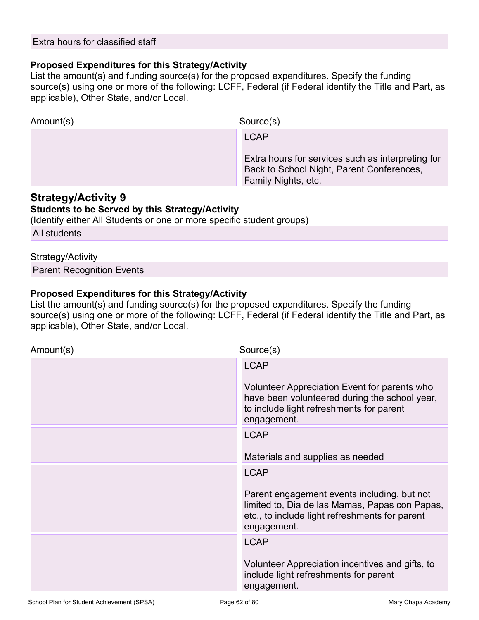### Proposed Expenditures for this Strategy/Activity

Extra hours for classified staff<br> **Proposed Expenditures for this Strategy/Activity**<br>
List the amount(s) and funding source(s) for the proposed expenditures. Specify the funding<br>
source(s) using one or more of the followin source(s) using one or more of the following: LCFF, Federal (if Federal identify the Title and Part, as applicable), Other State, and/or Local.

| <b>FIUDOSE LADENTIONES IOI UNS SUBJECTIONES</b><br>List the amount(s) and funding source(s) for the proposed expenditures. Specify the funding<br>applicable), Other State, and/or Local.  | source(s) using one or more of the following: LCFF, Federal (if Federal identify the Title and Part, as                              |
|--------------------------------------------------------------------------------------------------------------------------------------------------------------------------------------------|--------------------------------------------------------------------------------------------------------------------------------------|
| Amount(s)                                                                                                                                                                                  | Source(s)                                                                                                                            |
|                                                                                                                                                                                            | <b>LCAP</b><br>Extra hours for services such as interpreting for<br>Back to School Night, Parent Conferences,<br>Family Nights, etc. |
| <b>Strategy/Activity 9</b><br><b>Students to be Served by this Strategy/Activity</b><br>(Identify either All Students or one or more specific student groups)                              |                                                                                                                                      |
| All students                                                                                                                                                                               |                                                                                                                                      |
| Strategy/Activity                                                                                                                                                                          |                                                                                                                                      |
| <b>Parent Recognition Events</b>                                                                                                                                                           |                                                                                                                                      |
| Proposed Expenditures for this Strategy/Activity<br>List the amount(s) and funding source(s) for the proposed expenditures. Specify the funding<br>applicable), Other State, and/or Local. | source(s) using one or more of the following: LCFF, Federal (if Federal identify the Title and Part, as                              |
| Amount(s)                                                                                                                                                                                  | Source(s)                                                                                                                            |

### Strategy/Activity 9

### Students to be Served by this Strategy/Activity

#### Strategy/Activity

### Proposed Expenditures for this Strategy/Activity

| Amount(s) | Source(s)                                                                                                                                                                     |
|-----------|-------------------------------------------------------------------------------------------------------------------------------------------------------------------------------|
|           | <b>LCAP</b><br>Volunteer Appreciation Event for parents who<br>have been volunteered during the school year,<br>to include light refreshments for parent<br>engagement.       |
|           | <b>LCAP</b><br>Materials and supplies as needed                                                                                                                               |
|           | <b>LCAP</b><br>Parent engagement events including, but not<br>limited to, Dia de las Mamas, Papas con Papas,<br>etc., to include light refreshments for parent<br>engagement. |
|           | <b>LCAP</b><br>Volunteer Appreciation incentives and gifts, to<br>include light refreshments for parent<br>engagement.                                                        |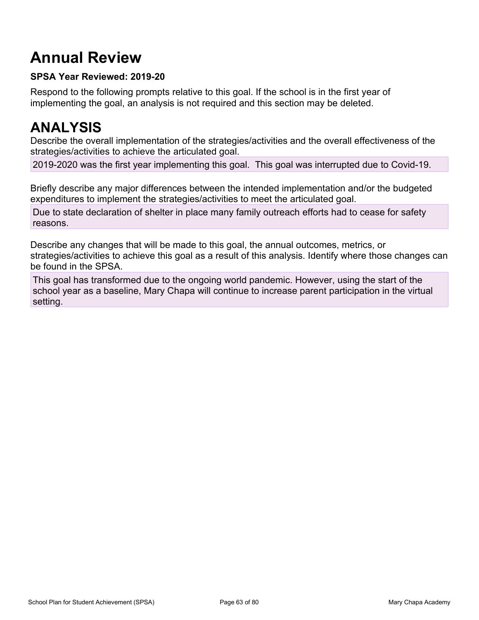# Annual Review

### SPSA Year Reviewed: 2019-20

Respond to the following prompts relative to this goal. If the school is in the first year of implementing the goal, an analysis is not required and this section may be deleted.

# ANALYSIS

Describe the overall implementation of the strategies/activities and the overall effectiveness of the strategies/activities to achieve the articulated goal. **Annual Review**<br>
SPSA Year Reviewed: 2019-20<br>
Respond to the following prompts relative to this goal. If the school is in the first year of<br>
implementing the goal, an analysis is not required and this section may be delete

expenditures to implement the strategies/activities to meet the articulated goal.

Due to state declaration of shelter in place many family outreach efforts had to cease for safety reasons.

**Annual Review**<br>SPSA Year Reviewed: 2019-20<br>Respond to the following prompts relative to this goal. If the school is in the first year of<br>implementing the goal, an analysis is not required and this section may be deleted.<br> strategies/activities to achieve this goal as a result of this analysis. Identify where those changes can be found in the SPSA.

This goal has transformed due to the ongoing world pandemic. However, using the start of the school year as a baseline, Mary Chapa will continue to increase parent participation in the virtual setting.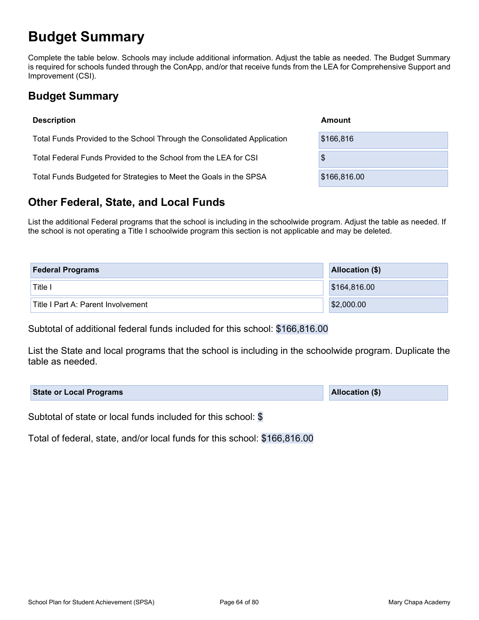# Budget Summary

Complete the table below. Schools may include additional information. Adjust the table as needed. The Budget Summary is required for schools funded through the ConApp, and/or that receive funds from the LEA for Comprehensive Support and Improvement (CSI).

# Budget Summary

| <b>Description</b>                                                      | Amount        |
|-------------------------------------------------------------------------|---------------|
| Total Funds Provided to the School Through the Consolidated Application | \$166,816     |
| Total Federal Funds Provided to the School from the LEA for CSI         | $\frac{1}{2}$ |
| Total Funds Budgeted for Strategies to Meet the Goals in the SPSA       | \$166,816.00  |

## Other Federal, State, and Local Funds

List the additional Federal programs that the school is including in the schoolwide program. Adjust the table as needed. If the school is not operating a Title I schoolwide program this section is not applicable and may be deleted.

| <b>Federal Programs</b>            | Allocation (\$) |
|------------------------------------|-----------------|
| Title i                            | \$164,816.00    |
| Title I Part A: Parent Involvement | \$2,000.00      |

Subtotal of additional federal funds included for this school: \$166,816.00

List the State and local programs that the school is including in the schoolwide program. Duplicate the table as needed.

| <b>State or Local Programs</b> | Allocation (\$) |
|--------------------------------|-----------------|
|--------------------------------|-----------------|

Subtotal of state or local funds included for this school: \$

Total of federal, state, and/or local funds for this school: \$166,816.00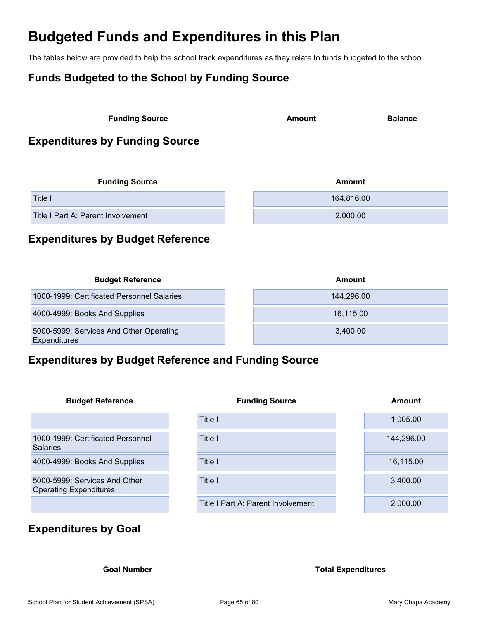# Budgeted Funds and Expenditures in this Plan

The tables below are provided to help the school track expenditures as they relate to funds budgeted to the school.

### Funds Budgeted to the School by Funding Source

| <b>Funding Source</b> |        |                |  |
|-----------------------|--------|----------------|--|
|                       | Amount | <b>Balance</b> |  |

### Expenditures by Funding Source

| <b>Funding Source</b>              | Amount     |  |
|------------------------------------|------------|--|
| Title I                            | 164,816.00 |  |
| Title I Part A: Parent Involvement | 2,000.00   |  |

# Expenditures by Budget Reference

| <b>Budget Reference</b>                                 | Amount     |
|---------------------------------------------------------|------------|
| 1000-1999: Certificated Personnel Salaries              | 144,296.00 |
| 4000-4999: Books And Supplies                           | 16,115.00  |
| 5000-5999: Services And Other Operating<br>Expenditures | 3.400.00   |

### Expenditures by Budget Reference and Funding Source

| <b>Budget Reference</b>                                        | <b>Funding Source</b>              | Amount     |
|----------------------------------------------------------------|------------------------------------|------------|
|                                                                | Title I                            | 1,005.00   |
| 1000-1999: Certificated Personnel<br><b>Salaries</b>           | Title I                            | 144,296.00 |
| 4000-4999: Books And Supplies                                  | Title I                            | 16,115.00  |
| 5000-5999: Services And Other<br><b>Operating Expenditures</b> | Title I                            | 3,400.00   |
|                                                                | Title I Part A: Parent Involvement | 2,000.00   |

## Expenditures by Goal

#### Goal Number **Total Expenditures**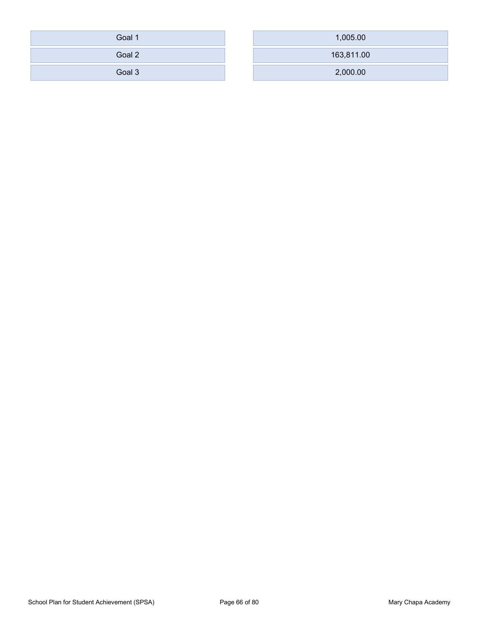| Goal 1 | 1,005.00   |
|--------|------------|
| Goal 2 | 163,811.00 |
| Goal 3 | 2,000.00   |

| Goal 1 | 1,005.00   |
|--------|------------|
| Goal 2 | 163,811.00 |
|        |            |
| Goal 3 | 2,000.00   |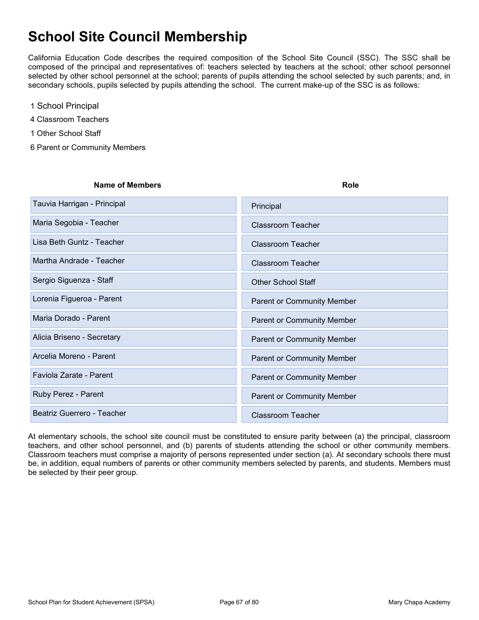# School Site Council Membership

**School Site Council Membership**<br>California Education Code describes the required composition of the School Site Council (SSC). The SSC shall be<br>composed of the principal and representatives of: teachers selected by teache composed of the principal and representatives of: teachers selected by teachers at the school; other school personnel selected by other school personnel at the school; parents of pupils attending the school selected by such parents; and, in secondary schools, pupils selected by pupils attending the school. The current make-up of the SSC is as follows:

- 
- 1 School Principal<br>4 Classroom Teachers
- 1 Other School Staff
- 6 Parent or Community Members

| Name of Members             | Role                       |
|-----------------------------|----------------------------|
| Tauvia Harrigan - Principal | Principal                  |
| Maria Segobia - Teacher     | Classroom Teacher          |
| Lisa Beth Guntz - Teacher   | Classroom Teacher          |
| Martha Andrade - Teacher    | Classroom Teacher          |
| Sergio Siguenza - Staff     | <b>Other School Staff</b>  |
| Lorenia Figueroa - Parent   | Parent or Community Member |
| Maria Dorado - Parent       | Parent or Community Member |
| Alicia Briseno - Secretary  | Parent or Community Member |
| Arcelia Moreno - Parent     | Parent or Community Member |
| Faviola Zarate - Parent     | Parent or Community Member |
| Ruby Perez - Parent         | Parent or Community Member |
| Beatriz Guerrero - Teacher  | <b>Classroom Teacher</b>   |

At elementary schools, the school site council must be constituted to ensure parity between (a) the principal, classroom teachers, and other school personnel, and (b) parents of students attending the school or other community members. Classroom teachers must comprise a majority of persons represented under section (a). At secondary schools there must be, in addition, equal numbers of parents or other community members selected by parents, and students. Members must be selected by their peer group.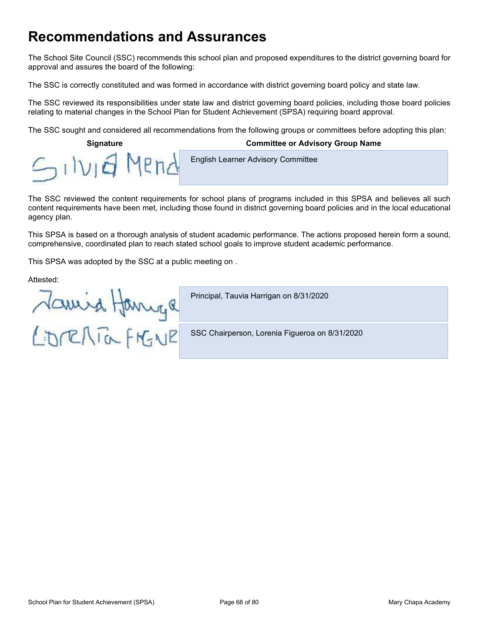# Recommendations and Assurances

The School Site Council (SSC) recommends this school plan and proposed expenditures to the district governing board for approval and assures the board of the following:

The SSC is correctly constituted and was formed in accordance with district governing board policy and state law.

The SSC reviewed its responsibilities under state law and district governing board policies, including those board policies relating to material changes in the School Plan for Student Achievement (SPSA) requiring board approval.

The SSC sought and considered all recommendations from the following groups or committees before adopting this plan:

### Signature Committee or Advisory Group Name **English Learner Advisory Committee** MPn NIE

The SSC reviewed the content requirements for school plans of programs included in this SPSA and believes all such content requirements have been met, including those found in district governing board policies and in the local educational agency plan.

This SPSA is based on a thorough analysis of student academic performance. The actions proposed herein form a sound, comprehensive, coordinated plan to reach stated school goals to improve student academic performance.

This SPSA was adopted by the SSC at a public meeting on .

Attested:

Namira Hannya<br>LidreATa FrGNE

Principal, Tauvia Harrigan on 8/31/2020

SSC Chairperson, Lorenia Figueroa on 8/31/2020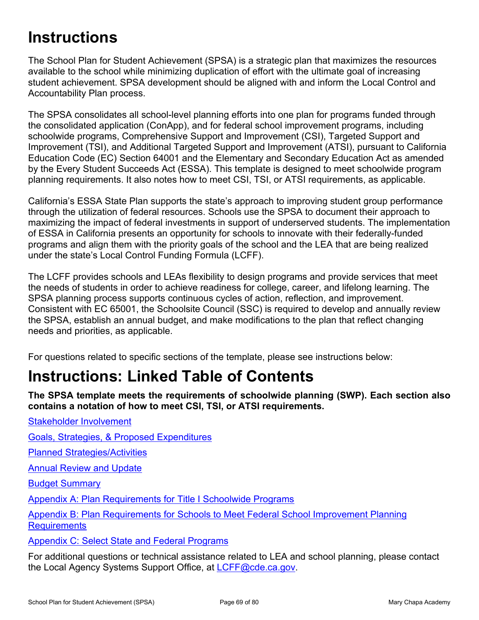# **Instructions**

The School Plan for Student Achievement (SPSA) is a strategic plan that maximizes the resources available to the school while minimizing duplication of effort with the ultimate goal of increasing student achievement. SPSA development should be aligned with and inform the Local Control and Accountability Plan process.

The SPSA consolidates all school-level planning efforts into one plan for programs funded through the consolidated application (ConApp), and for federal school improvement programs, including schoolwide programs, Comprehensive Support and Improvement (CSI), Targeted Support and Improvement (TSI), and Additional Targeted Support and Improvement (ATSI), pursuant to California Education Code (EC) Section 64001 and the Elementary and Secondary Education Act as amended by the Every Student Succeeds Act (ESSA). This template is designed to meet schoolwide program planning requirements. It also notes how to meet CSI, TSI, or ATSI requirements, as applicable.

California's ESSA State Plan supports the state's approach to improving student group performance through the utilization of federal resources. Schools use the SPSA to document their approach to maximizing the impact of federal investments in support of underserved students. The implementation of ESSA in California presents an opportunity for schools to innovate with their federally-funded programs and align them with the priority goals of the school and the LEA that are being realized under the state's Local Control Funding Formula (LCFF). Education Code (EC) Section 64001 and the Elementary and Secondary Education Act as amended<br>by the Every Student Succeeds Act (ESSA). This template is designed to meet schoolwide program<br>planning requirements. It also note

The LCFF provides schools and LEAs flexibility to design programs and provide services that meet the needs of students in order to achieve readiness for college, career, and lifelong learning. The SPSA planning process supports continuous cycles of action, reflection, and improvement. Consistent with EC 65001, the Schoolsite Council (SSC) is required to develop and annually review the SPSA, establish an annual budget, and make modifications to the plan that reflect changing needs and priorities, as applicable.

# Instructions: Linked Table of Contents

The SPSA template meets the requirements of schoolwide planning (SWP). Each section also contains a notation of how to meet CSI, TSI, or ATSI requirements. For questions related to specific sections of the template, please see instructions below:<br> **Instructions: Linked Table of Contents**<br>
The SPSA template meets the requirements of schoolwide planning (SWP). Each section also

Stakeholder Involvement

Goals, Strategies, & Proposed Expenditures

Planned Strategies/Activities

Annual Review and Update

Budget Summary

Appendix A: Plan Requirements for Title I Schoolwide Programs

Appendix B: Plan Requirements for Schools to Meet Federal School Improvement Planning **Requirements** 

Appendix C: Select State and Federal Programs

the Local Agency Systems Support Office, at LCFF@cde.ca.gov.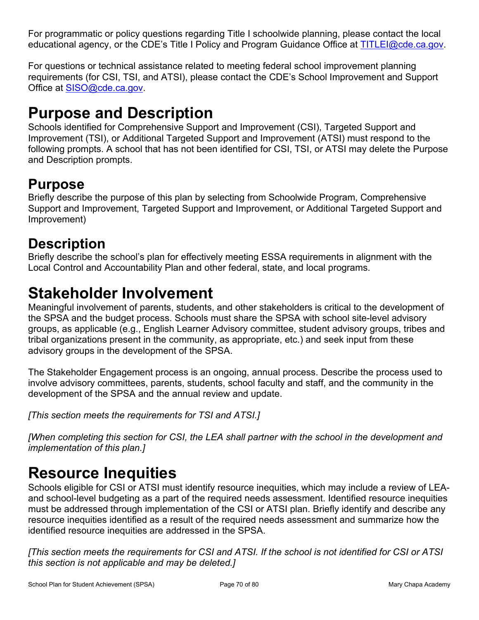For programmatic or policy questions regarding Title I schoolwide planning, please contact the local<br>educational agency, or the CDE's Title I Policy and Program Guidance Office at <u>TITLEI@cde.ca.gov</u>.<br>For questions or tech For programmatic or policy questions regarding Title I schoolwide planning, please contact the local<br>educational agency, or the CDE's Title I Policy and Program Guidance Office at TITLEI@cde.ca.gov.<br>For questions or techni requirements (for CSI, TSI, and ATSI), please contact the CDE's School Improvement and Support Office at SISO@cde.ca.gov.

# Purpose and Description

Schools identified for Comprehensive Support and Improvement (CSI), Targeted Support and Improvement (TSI), or Additional Targeted Support and Improvement (ATSI) must respond to the following prompts. A school that has not been identified for CSI, TSI, or ATSI may delete the Purpose and Description prompts. For programmatic or policy questions regarding Title I schoolwide planning, please contact the local<br>educational agency, or the CDE's Title I Policy and Program Guidance Office at <u>TITLEI@cde.ca.gov</u>.<br>For questions or tech

# Purpose

Briefly describe the purpose of this plan by selecting from Schoolwide Program, Comprehensive Improvement)

# **Description**

Briefly describe the school's plan for effectively meeting ESSA requirements in alignment with the Local Control and Accountability Plan and other federal, state, and local programs.

# Stakeholder Involvement

Meaningful involvement of parents, students, and other stakeholders is critical to the development of the SPSA and the budget process. Schools must share the SPSA with school site-level advisory groups, as applicable (e.g., English Learner Advisory committee, student advisory groups, tribes and tribal organizations present in the community, as appropriate, etc.) and seek input from these advisory groups in the development of the SPSA.

The Stakeholder Engagement process is an ongoing, annual process. Describe the process used to involve advisory committees, parents, students, school faculty and staff, and the community in the development of the SPSA and the annual review and update.

[This section meets the requirements for TSI and ATSI.]

[When completing this section for CSI, the LEA shall partner with the school in the development and implementation of this plan.]

# Resource Inequities

Schools eligible for CSI or ATSI must identify resource inequities, which may include a review of LEAand school-level budgeting as a part of the required needs assessment. Identified resource inequities must be addressed through implementation of the CSI or ATSI plan. Briefly identify and describe any resource inequities identified as a result of the required needs assessment and summarize how the identified resource inequities are addressed in the SPSA.

[This section meets the requirements for CSI and ATSI. If the school is not identified for CSI or ATSI this section is not applicable and may be deleted.]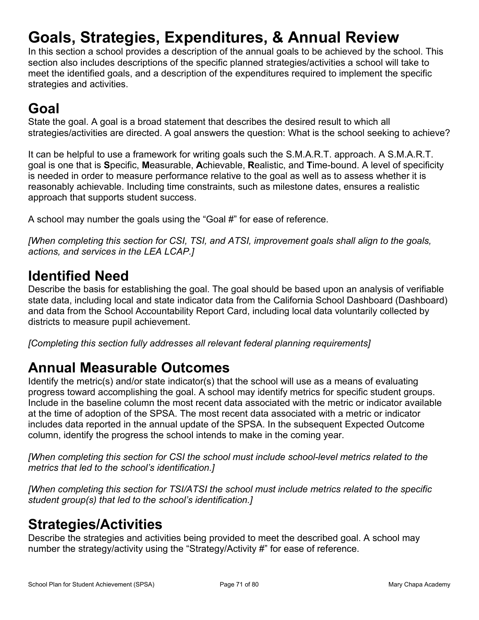# Goals, Strategies, Expenditures, & Annual Review

In this section a school provides a description of the annual goals to be achieved by the school. This section also includes descriptions of the specific planned strategies/activities a school will take to meet the identified goals, and a description of the expenditures required to implement the specific strategies and activities.

# Goal

State the goal. A goal is a broad statement that describes the desired result to which all strategies/activities are directed. A goal answers the question: What is the school seeking to achieve?

It can be helpful to use a framework for writing goals such the S.M.A.R.T. approach. A S.M.A.R.T. goal is one that is Specific, Measurable, Achievable, Realistic, and Time-bound. A level of specificity is needed in order to measure performance relative to the goal as well as to assess whether it is reasonably achievable. Including time constraints, such as milestone dates, ensures a realistic approach that supports student success.

A school may number the goals using the "Goal #" for ease of reference.

[When completing this section for CSI, TSI, and ATSI, improvement goals shall align to the goals, actions, and services in the LEA LCAP.]

# Identified Need

Describe the basis for establishing the goal. The goal should be based upon an analysis of verifiable state data, including local and state indicator data from the California School Dashboard (Dashboard) and data from the School Accountability Report Card, including local data voluntarily collected by districts to measure pupil achievement.

[Completing this section fully addresses all relevant federal planning requirements]

# Annual Measurable Outcomes

Identify the metric(s) and/or state indicator(s) that the school will use as a means of evaluating easonaby achievation and accomplishing inter constanting, such as interstorte dates, ensures a realistic.<br>A school may number the goals using the "Goal #" for ease of reference.<br>Mhen completing this section for CSI, TSI, a Include in the baseline column the most recent data associated with the metric or indicator available at the time of adoption of the SPSA. The most recent data associated with a metric or indicator includes data reported in the annual update of the SPSA. In the subsequent Expected Outcome column, identify the progress the school intends to make in the coming year.

[When completing this section for CSI the school must include school-level metrics related to the metrics that led to the school's identification.]

[When completing this section for TSI/ATSI the school must include metrics related to the specific student group(s) that led to the school's identification.

# Strategies/Activities

Describe the strategies and activities being provided to meet the described goal. A school may number the strategy/activity using the "Strategy/Activity #" for ease of reference.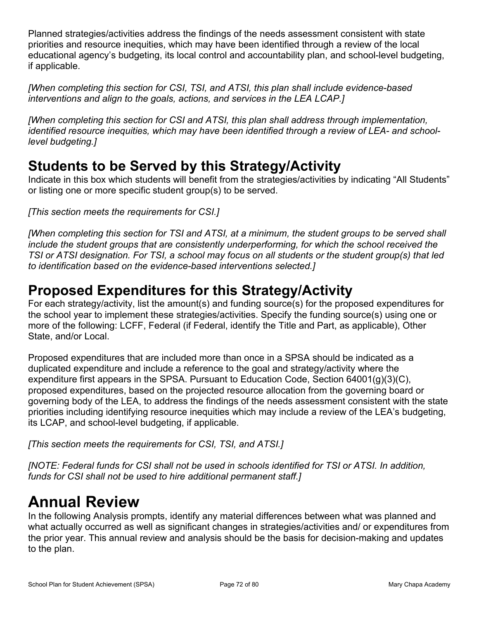Planned strategies/activities address the findings of the needs assessment consistent with state priorities and resource inequities, which may have been identified through a review of the local educational agency's budgeting, its local control and accountability plan, and school-level budgeting, Planned strategies/activities address the findings of the needs a<br>priorities and resource inequities, which may have been identified<br>ducational agency's budgeting, its local control and accountab<br>if applicable.<br>[When compl

[When completing this section for CSI, TSI, and ATSI, this plan shall include evidence-based interventions and align to the goals, actions, and services in the LEA LCAP.]

[When completing this section for CSI and ATSI, this plan shall address through implementation, identified resource inequities, which may have been identified through a review of LEA- and schoollevel budgeting.]

# Students to be Served by this Strategy/Activity

Indicate in this box which students will benefit from the strategies/activities by indicating "All Students" or listing one or more specific student group(s) to be served.

[This section meets the requirements for CSI.]

[When completing this section for TSI and ATSI, at a minimum, the student groups to be served shall include the student groups that are consistently underperforming, for which the school received the TSI or ATSI designation. For TSI, a school may focus on all students or the student group(s) that led to identification based on the evidence-based interventions selected.] merventions and angli to the goals, actions, and services in the LLA LOAr. J<br>
(identified resource inequities, which may have been identified through a review of LEA- and school-<br>
level budgeting.]<br> **Students to be Served** 

# Proposed Expenditures for this Strategy/Activity

the school year to implement these strategies/activities. Specify the funding source(s) using one or more of the following: LCFF, Federal (if Federal, identify the Title and Part, as applicable), Other State, and/or Local.

Proposed expenditures that are included more than once in a SPSA should be indicated as a duplicated expenditure and include a reference to the goal and strategy/activity where the expenditure first appears in the SPSA. Pursuant to Education Code, Section 64001(g)(3)(C), proposed expenditures, based on the projected resource allocation from the governing board or governing body of the LEA, to address the findings of the needs assessment consistent with the state priorities including identifying resource inequities which may include a review of the LEA's budgeting, [When completing this section for TSI and ATSI, at a minimum, the include the student groups that are consistently underperforming, for TSI or ATSI designation. For TSI, a school may focus on all student to identification

[This section meets the requirements for CSI, TSI, and ATSI.]

[NOTE: Federal funds for CSI shall not be used in schools identified for TSI or ATSI. In addition, funds for CSI shall not be used to hire additional permanent staff.]

# Annual Review

In the following Analysis prompts, identify any material differences between what was planned and what actually occurred as well as significant changes in strategies/activities and/ or expenditures from the prior year. This annual review and analysis should be the basis for decision-making and updates to the plan.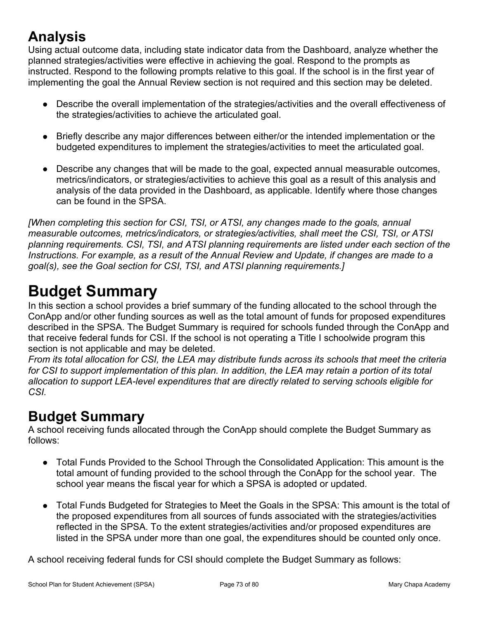### Analysis

Using actual outcome data, including state indicator data from the Dashboard, analyze whether the planned strategies/activities were effective in achieving the goal. Respond to the prompts as instructed. Respond to the following prompts relative to this goal. If the school is in the first year of **Analysis**<br>
Using actual outcome data, including state indicator data from the Dashboard, analyze whether the<br>
planned strategies/activities were effective in achieving the goal. Respond to the prompts as<br>
instructed. Resp

- Describe the overall implementation of the strategies/activities and the overall effectiveness of the strategies/activities to achieve the articulated goal.
- Briefly describe any major differences between either/or the intended implementation or the budgeted expenditures to implement the strategies/activities to meet the articulated goal.
- Describe any changes that will be made to the goal, expected annual measurable outcomes, metrics/indicators, or strategies/activities to achieve this goal as a result of this analysis and analysis of the data provided in the Dashboard, as applicable. Identify where those changes can be found in the SPSA.

**Analysis**<br>
Using actual outcome data, including state indicator data from the Dashboard, analyze whether the<br>
planned strategies/activities were effective in achieving the goal. Respond to the prompts as<br>
implementing th measurable outcomes, metrics/indicators, or strategies/activities, shall meet the CSI, TSI, or ATSI planning requirements. CSI, TSI, and ATSI planning requirements are listed under each section of the Instructions. For example, as a result of the Annual Review and Update, if changes are made to a goal(s), see the Goal section for CSI, TSI, and ATSI planning requirements.]

## Budget Summary

In this section a school provides a brief summary of the funding allocated to the school through the ConApp and/or other funding sources as well as the total amount of funds for proposed expenditures described in the SPSA. The Budget Summary is required for schools funded through the ConApp and that receive federal funds for CSI. If the school is not operating a Title I schoolwide program this section is not applicable and may be deleted.

From its total allocation for CSI, the LEA may distribute funds across its schools that meet the criteria for CSI to support implementation of this plan. In addition, the LEA may retain a portion of its total allocation to support LEA-level expenditures that are directly related to serving schools eligible for CSI.

### Budget Summary

A school receiving funds allocated through the ConApp should complete the Budget Summary as follows:

- Total Funds Provided to the School Through the Consolidated Application: This amount is the total amount of funding provided to the school through the ConApp for the school year. The school year means the fiscal year for which a SPSA is adopted or updated.
- Total Funds Budgeted for Strategies to Meet the Goals in the SPSA: This amount is the total of the proposed expenditures from all sources of funds associated with the strategies/activities reflected in the SPSA. To the extent strategies/activities and/or proposed expenditures are listed in the SPSA under more than one goal, the expenditures should be counted only once.

A school receiving federal funds for CSI should complete the Budget Summary as follows: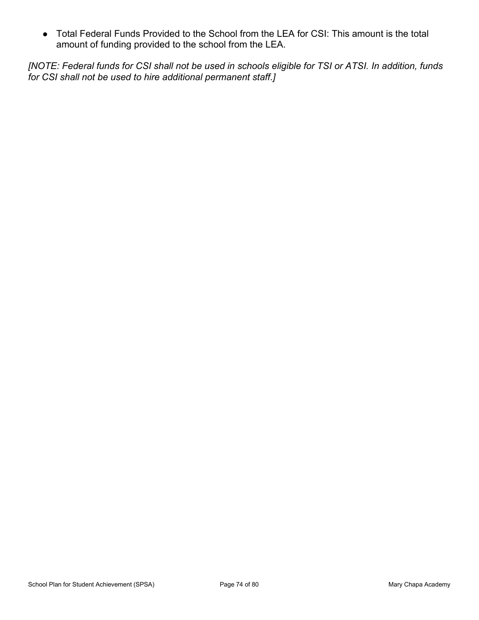Total Federal Funds Provided to the School from the LEA for CSI: This amount is the total amount of funding provided to the school from the LEA.

[NOTE: Federal funds for CSI shall not be used in schools eligible for TSI or ATSI. In addition, funds for CSI shall not be used to hire additional permanent staff.]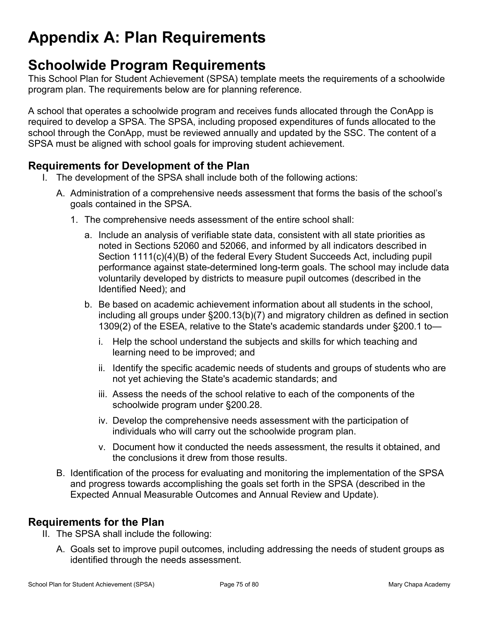# Appendix A: Plan Requirements

### Schoolwide Program Requirements

This School Plan for Student Achievement (SPSA) template meets the requirements of a schoolwide program plan. The requirements below are for planning reference.

A school that operates a schoolwide program and receives funds allocated through the ConApp is required to develop a SPSA. The SPSA, including proposed expenditures of funds allocated to the school through the ConApp, must be reviewed annually and updated by the SSC. The content of a SPSA must be aligned with school goals for improving student achievement.

#### Requirements for Development of the Plan

- I. The development of the SPSA shall include both of the following actions:
	- A. Administration of a comprehensive needs assessment that forms the basis of the school's goals contained in the SPSA.
		- 1. The comprehensive needs assessment of the entire school shall:
- a. Include an analysis of verifiable state data, consistent with all state priorities as noted in Sections 52060 and 52066, and informed by all indicators described in Section 1111(c)(4)(B) of the federal Every Student Succeeds Act, including pupil performance against state-determined long-term goals. The school may include data voluntarily developed by districts to measure pupil outcomes (described in the Identified Need); and igned with school goals for improving student achievement.<br> **s for Development of the Plan**<br>
opment of the SPSA shall include both of the following actions:<br>
stration of a comprehensive needs assessment that forms the basi is comprehensive needs assessment of the entire school shall:<br>
Include an analysis of verifiable state data, consistent with all state priorities as<br>
Incled in Section s 52060 and 52066, and informed by all indicators desc
	- b. Be based on academic achievement information about all students in the school, including all groups under §200.13(b)(7) and migratory children as defined in section 1309(2) of the ESEA, relative to the State's academic standards under §200.1 to
		- learning need to be improved; and
		- ii. Identify the specific academic needs of students and groups of students who are not yet achieving the State's academic standards; and
		- iii. Assess the needs of the school relative to each of the components of the schoolwide program under §200.28.
		- individuals who will carry out the schoolwide program plan.
		- v. Document how it conducted the needs assessment, the results it obtained, and the conclusions it drew from those results.
	- B. Identification of the process for evaluating and monitoring the implementation of the SPSA and progress towards accomplishing the goals set forth in the SPSA (described in the Expected Annual Measurable Outcomes and Annual Review and Update).

#### Requirements for the Plan

- II. The SPSA shall include the following:
	- A. Goals set to improve pupil outcomes, including addressing the needs of student groups as identified through the needs assessment.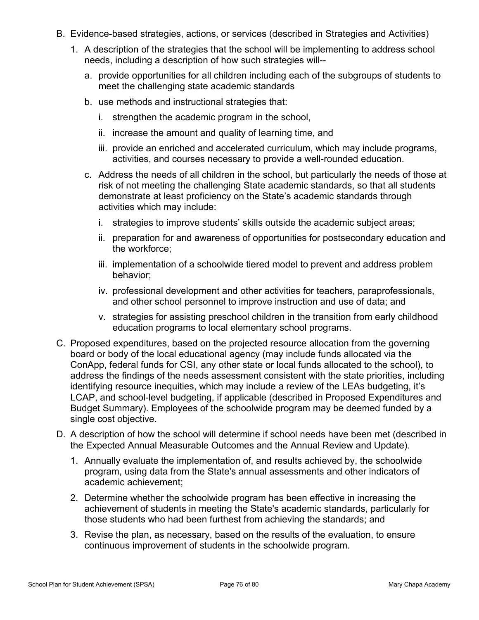- B. Evidence-based strategies, actions, or services (described in Strategies and Activities)
- 1. A description of the strategies that the school will be implementing to address school needs, including a description of how such strategies will- ce-based strategies, actions, or services (described in Strategies and<br>escription of the strategies that the school will be implementing to ad<br>ds, including a description of how such strategies will--<br>provide opportunities
	- a. provide opportunities for all children including each of the subgroups of students to meet the challenging state academic standards
	- b. use methods and instructional strategies that:
		-
		- ii. increase the amount and quality of learning time, and
		- iii. provide an enriched and accelerated curriculum, which may include programs, activities, and courses necessary to provide a well-rounded education.
	- c. Address the needs of all children in the school, but particularly the needs of those at risk of not meeting the challenging State academic standards, so that all students demonstrate at least proficiency on the State's academic standards through activities which may include: ce-based strategies, actions, or services (described in Strategies and Activities)<br>escription of the strategies that the school will be implementing to address school<br>ds, including a description of how such strategies will meet the chanenging state academic stantiants<br>
	i. strengthen the academic program in the school,<br>
	i. increase the amount and quality of learning time, and<br>
	iii. provide an enriched and accelerated curriculum, which may inc
		-
		- ii. preparation for and awareness of opportunities for postsecondary education and the workforce;
		- iii. implementation of a schoolwide tiered model to prevent and address problem behavior;
		- and other school personnel to improve instruction and use of data; and
		- v. strategies for assisting preschool children in the transition from early childhood education programs to local elementary school programs.
- iii. provide an enriched and accelerated curriculum, which may include programs,<br>activities, and courses necessary to provide a well-rounded education.<br>C. Address the needs of all children in the school, but particularly t board or body of the local educational agency (may include funds allocated via the ConApp, federal funds for CSI, any other state or local funds allocated to the school), to address the findings of the needs assessment consistent with the state priorities, including identifying resource inequities, which may include a review of the LEAs budgeting, it's LCAP, and school-level budgeting, if applicable (described in Proposed Expenditures and Budget Summary). Employees of the schoolwide program may be deemed funded by a single cost objective. ii. preparation for and awareness of opportunities for postsecondary education and<br>the workforce;<br>iii. implementation of a schoolwide tiered model to prevent and address problem<br>behavior;<br>v. professional development and ot in the state of the school person and other activities for teachers and the state of processionals, and other school personnel to improve instruction and use of data; and v. stategies for assisting preschool children in th
- the Expected Annual Measurable Outcomes and the Annual Review and Update).
	- 1. Annually evaluate the implementation of, and results achieved by, the schoolwide academic achievement;
	- 2. Determine whether the schoolwide program has been effective in increasing the achievement of students in meeting the State's academic standards, particularly for those students who had been furthest from achieving the standards; and
	- 3. Revise the plan, as necessary, based on the results of the evaluation, to ensure continuous improvement of students in the schoolwide program.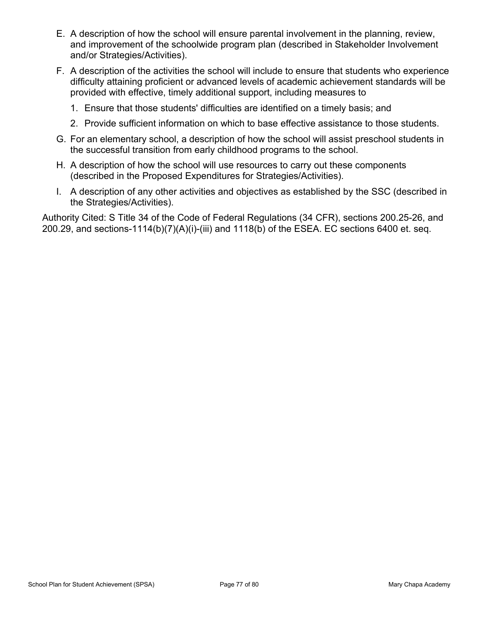- E. A description of how the school will ensure parental involvement in the planning, review, and improvement of the schoolwide program plan (described in Stakeholder Involvement and/or Strategies/Activities).
- F. A description of the activities the school will include to ensure that students who experience difficulty attaining proficient or advanced levels of academic achievement standards will be provided with effective, timely additional support, including measures to E. A description of how the school will ensure parental involvement in the planning, review,<br>and improvement of the schoolwide program plan (described in Stakeholder Involvement<br>and/or Strategies/Activities).<br>F. A descript E. A description of how the school will ensure parental involvement in the planning, review,<br>and improvement of the schoolwide program plan (described in Stakeholder Involvement<br>and/or Strategies/Activities).<br>F. A descrip E. A description of how the school will ensure parental involvement in the planning, review, and improvement of the schoolwide program plan (described in Stakeholder Involvement and/or Strategies/Activities).<br>
F. A descri
	- 1. Ensure that those students' difficulties are identified on a timely basis; and
	- 2. Provide sufficient information on which to base effective assistance to those students.
- the successful transition from early childhood programs to the school.
- (described in the Proposed Expenditures for Strategies/Activities).
- the Strategies/Activities).

Authority Cited: S Title 34 of the Code of Federal Regulations (34 CFR), sections 200.25-26, and 200.29, and sections-1114(b)(7)(A)(i)-(iii) and 1118(b) of the ESEA. EC sections 6400 et. seq.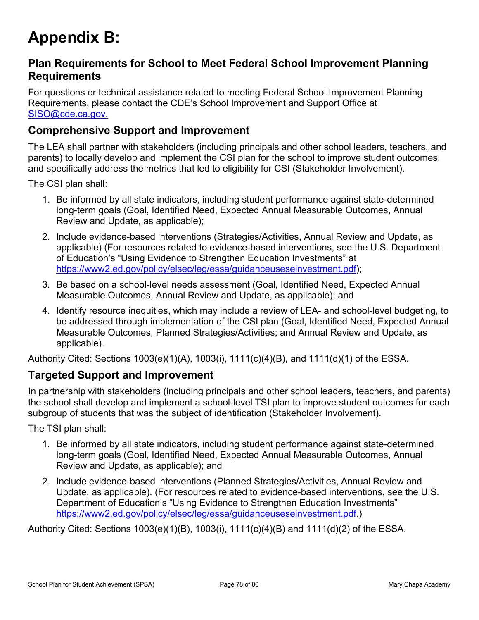# Appendix B:

#### Plan Requirements for School to Meet Federal School Improvement Planning **Requirements**

**Appendix B:**<br>Plan Requirements<br>Requirements<br>For questions or technical assistance related to meeting Federal School Improvement Planning<br>Requirements, please contact the CDE's School Improvement and Support Office at<br>SISO Requirements, please contact the CDE's School Improvement and Support Office at SISO@cde.ca.gov.

#### Comprehensive Support and Improvement

The LEA shall partner with stakeholders (including principals and other school leaders, teachers, and parents) to locally develop and implement the CSI plan for the school to improve student outcomes, and specifically address the metrics that led to eligibility for CSI (Stakeholder Involvement).

The CSI plan shall:

- 1. Be informed by all state indicators, including student performance against state-determined long-term goals (Goal, Identified Need, Expected Annual Measurable Outcomes, Annual Review and Update, as applicable);
- 2. Include evidence-based interventions (Strategies/Activities, Annual Review and Update, as applicable) (For resources related to evidence-based interventions, see the U.S. Department of Education's "Using Evidence to Strengthen Education Investments" at https://www2.ed.gov/policy/elsec/leg/essa/guidanceuseseinvestment.pdf);
- 3. Be based on a school-level needs assessment (Goal, Identified Need, Expected Annual Measurable Outcomes, Annual Review and Update, as applicable); and
- 4. Identify resource inequities, which may include a review of LEA- and school-level budgeting, to be addressed through implementation of the CSI plan (Goal, Identified Need, Expected Annual Measurable Outcomes, Planned Strategies/Activities; and Annual Review and Update, as applicable).

Authority Cited: Sections 1003(e)(1)(A), 1003(i), 1111(c)(4)(B), and 1111(d)(1) of the ESSA.

#### Targeted Support and Improvement

In partnership with stakeholders (including principals and other school leaders, teachers, and parents) the school shall develop and implement a school-level TSI plan to improve student outcomes for each subgroup of students that was the subject of identification (Stakeholder Involvement).

The TSI plan shall:

- 1. Be informed by all state indicators, including student performance against state-determined long-term goals (Goal, Identified Need, Expected Annual Measurable Outcomes, Annual Review and Update, as applicable); and
- 2. Include evidence-based interventions (Planned Strategies/Activities, Annual Review and Update, as applicable). (For resources related to evidence-based interventions, see the U.S. Department of Education's "Using Evidence to Strengthen Education Investments" https://www2.ed.gov/policy/elsec/leg/essa/guidanceuseseinvestment.pdf.)

Authority Cited: Sections 1003(e)(1)(B), 1003(i), 1111(c)(4)(B) and 1111(d)(2) of the ESSA.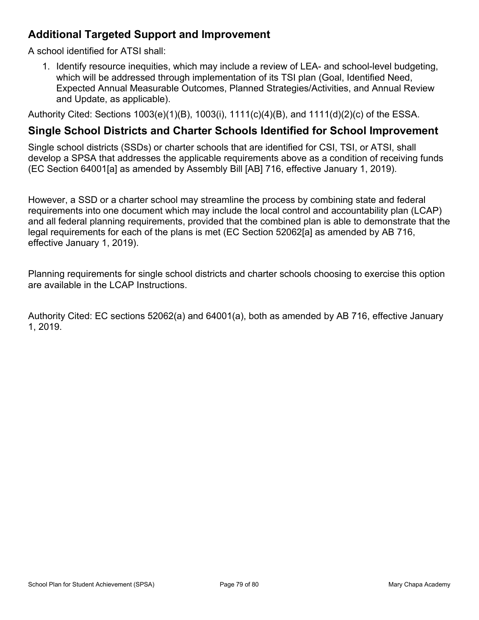#### Additional Targeted Support and Improvement

A school identified for ATSI shall:

1. Identify resource inequities, which may include a review of LEA- and school-level budgeting, which will be addressed through implementation of its TSI plan (Goal, Identified Need, Expected Annual Measurable Outcomes, Planned Strategies/Activities, and Annual Review and Update, as applicable).

Authority Cited: Sections 1003(e)(1)(B), 1003(i), 1111(c)(4)(B), and 1111(d)(2)(c) of the ESSA.

#### Single School Districts and Charter Schools Identified for School Improvement

Single school districts (SSDs) or charter schools that are identified for CSI, TSI, or ATSI, shall develop a SPSA that addresses the applicable requirements above as a condition of receiving funds (EC Section 64001[a] as amended by Assembly Bill [AB] 716, effective January 1, 2019).

However, a SSD or a charter school may streamline the process by combining state and federal Additional Targeted Support and Improvement<br>
A school identified for ATSI shall:<br>
1. Identify resource inequities, which may include a review of LEA- and school-level budgeting,<br>
which may include a review of LEA- and sch and all federal planning requirements, provided that the combined plan is able to demonstrate that the legal requirements for each of the plans is met (EC Section 52062[a] as amended by AB 716, effective January 1, 2019).

Planning requirements for single school districts and charter schools choosing to exercise this option are available in the LCAP Instructions.

Authority Cited: EC sections 52062(a) and 64001(a), both as amended by AB 716, effective January 1, 2019.